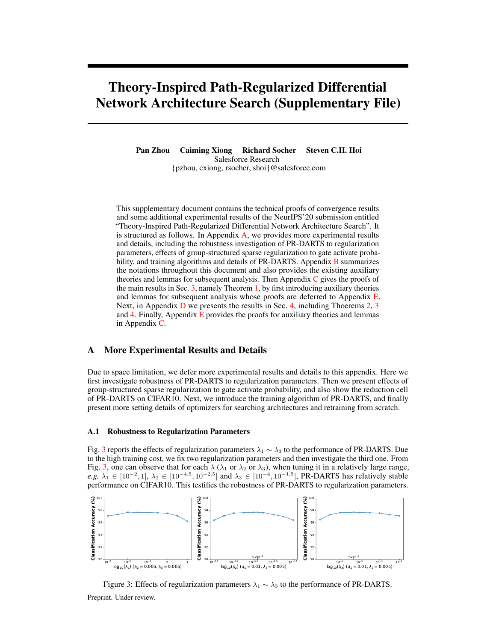# <span id="page-0-2"></span>Theory-Inspired Path-Regularized Differential Network Architecture Search (Supplementary File)

Pan Zhou Caiming Xiong Richard Socher Steven C.H. Hoi Salesforce Research {pzhou, cxiong, rsocher, shoi}@salesforce.com

This supplementary document contains the technical proofs of convergence results and some additional experimental results of the NeurIPS'20 submission entitled "Theory-Inspired Path-Regularized Differential Network Architecture Search". It is structured as follows. In Appendix [A,](#page-0-0) we provides more experimental results and details, including the robustness investigation of PR-DARTS to regularization parameters, effects of group-structured sparse regularization to gate activate probability, and training algorithms and details of PR-DARTS. Appendix **[B](#page-2-0)** summarizes the notations throughout this document and also provides the existing auxiliary theories and lemmas for subsequent analysis. Then Appendix  $C$  gives the proofs of the main results in Sec. 3, namely Theorem 1, by first introducing auxiliary theories and lemmas for subsequent analysis whose proofs are deferred to Appendix [E.](#page-30-0) Next, in Appendix [D](#page-27-0) we presents the results in Sec. 4, including Thoerems 2, 3 and 4. Finally, Appendix [E](#page-30-0) provides the proofs for auxiliary theories and lemmas in Appendix [C.](#page-3-0)

# <span id="page-0-0"></span>A More Experimental Results and Details

Due to space limitation, we defer more experimental results and details to this appendix. Here we first investigate robustness of PR-DARTS to regularization parameters. Then we present effects of group-structured sparse regularization to gate activate probability, and also show the reduction cell of PR-DARTS on CIFAR10. Next, we introduce the training algorithm of PR-DARTS, and finally present more setting details of optimizers for searching architectures and retraining from scratch.

### A.1 Robustness to Regularization Parameters

Fig. [3](#page-0-1) reports the effects of regularization parameters  $\lambda_1 \sim \lambda_3$  to the performance of PR-DARTS. Due to the high training cost, we fix two regularization parameters and then investigate the third one. From Fig. [3,](#page-0-1) one can observe that for each  $\lambda$  ( $\lambda_1$  or  $\lambda_2$  or  $\lambda_3$ ), when tuning it in a relatively large range, *e.g.*  $\lambda_1$  ∈ [10<sup>-2</sup>, 1],  $\lambda_2$  ∈ [10<sup>-4.5</sup>, 10<sup>-2.5</sup>] and  $\lambda_3$  ∈ [10<sup>-4</sup>, 10<sup>-1.5</sup>], PR-DARTS has relatively stable performance on CIFAR10. This testifies the robustness of PR-DARTS to regularization parameters.

<span id="page-0-1"></span>

Figure 3: Effects of regularization parameters  $\lambda_1 \sim \lambda_3$  to the performance of PR-DARTS. Preprint. Under review.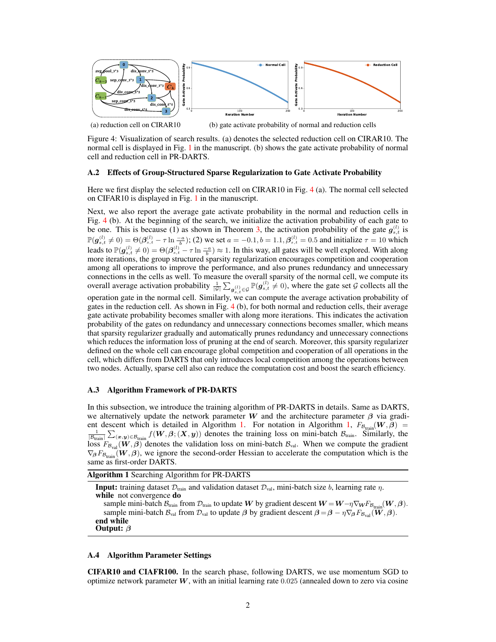<span id="page-1-0"></span>

(a) reduction cell on CIRAR10

(b) gate activate probability of normal and reduction cells

Figure 4: Visualization of search results. (a) denotes the selected reduction cell on CIRAR10. The normal cell is displayed in Fig. [1](#page-0-1) in the manuscript. (b) shows the gate activate probability of normal cell and reduction cell in PR-DARTS.

## A.2 Effects of Group-Structured Sparse Regularization to Gate Activate Probability

Here we first display the selected reduction cell on CIRAR10 in Fig. [4](#page-1-0) (a). The normal cell selected on CIFAR10 is displayed in Fig. [1](#page-0-1) in the manuscript.

Next, we also report the average gate activate probability in the normal and reduction cells in Fig. [4](#page-1-0) (b). At the beginning of the search, we initialize the activation probability of each gate to be one. This is because (1) as shown in Theorem [3,](#page-0-2) the activation probability of the gate  $g_{s,t}^{(l)}$  is  $\mathbb{P}(\mathbf{g}_{s,t}^{(l)} \neq 0) = \Theta(\mathbf{\beta}_{s,t}^{(l)} - \tau \ln \frac{-a}{b})$ ; (2) we set  $a = -0.1, b = 1.1, \mathbf{\beta}_{s,t}^{(l)} = 0.5$  and initialize  $\tau = 10$  which leads to  $\mathbb{P}(\mathbf{g}_{s,t}^{(l)} \neq 0) = \Theta(\beta_{s,t}^{(l)} - \tau \ln \frac{-a}{b}) \approx 1$ . In this way, all gates will be well explored. With along more iterations, the group structured sparsity regularization encourages competition and cooperation among all operations to improve the performance, and also prunes redundancy and unnecessary connections in the cells as well. To measure the overall sparsity of the normal cell, we compute its overall average activation probability  $\frac{1}{|\mathcal{G}|} \sum_{g_{s,t}^{(l)} \in \mathcal{G}} \mathbb{P}(g_{s,t}^{(l)} \neq 0)$ , where the gate set G collects all the operation gate in the normal cell. Similarly, we can compute the average activation probability of gates in the reduction cell. As shown in Fig. [4](#page-1-0) (b), for both normal and reduction cells, their average gate activate probability becomes smaller with along more iterations. This indicates the activation probability of the gates on redundancy and unnecessary connections becomes smaller, which means that sparsity regularizer gradually and automatically prunes redundancy and unnecessary connections

which reduces the information loss of pruning at the end of search. Moreover, this sparsity regularizer defined on the whole cell can encourage global competition and cooperation of all operations in the cell, which differs from DARTS that only introduces local competition among the operations between two nodes. Actually, sparse cell also can reduce the computation cost and boost the search efficiency.

#### A.3 Algorithm Framework of PR-DARTS

In this subsection, we introduce the training algorithm of PR-DARTS in details. Same as DARTS, we alternatively update the network parameter W and the architecture parameter  $\beta$  via gradi-ent descent which is detailed in Algorithm [1.](#page-1-1) For notation in Algorithm [1,](#page-1-1)  $F_{B_{\text{train}}}(\mathbf{W}, \beta)$  $\frac{1}{|\mathcal{B}_{\text{train}}|} \sum_{(\bm{x},\bm{y}) \in \mathcal{B}_{\text{train}}} f(\bm{W}, \bm{\beta}; (\bm{X}, \bm{y}))$  denotes the training loss on mini-batch  $\mathcal{B}_{\text{train}}$ . Similarly, the loss  $F_{\mathcal{B}_{val}}(\mathbf{W}, \boldsymbol{\beta})$  denotes the validation loss on mini-batch  $\mathcal{B}_{val}$ . When we compute the gradient  $\nabla_{\beta} F_{\beta_{\text{train}}} (W, \beta)$ , we ignore the second-order Hessian to accelerate the computation which is the same as first-order DARTS.

<span id="page-1-1"></span>Algorithm 1 Searching Algorithm for PR-DARTS

**Input:** training dataset  $\mathcal{D}_{train}$  and validation dataset  $\mathcal{D}_{val}$ , mini-batch size b, learning rate  $\eta$ . while not convergence do

sample mini-batch  $\mathcal{B}_{train}$  from  $\mathcal{D}_{train}$  to update W by gradient descent  $W = W - \eta \nabla_{W} F_{\mathcal{B}_{train}}(W, \beta)$ . sample mini-batch  $\mathcal{B}_{val}$  from  $\mathcal{D}_{val}$  to update  $\beta$  by gradient descent  $\beta = \beta - \eta \nabla_{\beta} F_{\mathcal{B}_{val}}(\tilde{\boldsymbol{W}}, \beta)$ . end while Output:  $\beta$ 

#### A.4 Algorithm Parameter Settings

CIFAR10 and CIAFR100. In the search phase, following DARTS, we use momentum SGD to optimize network parameter  $W$ , with an initial learning rate 0.025 (annealed down to zero via cosine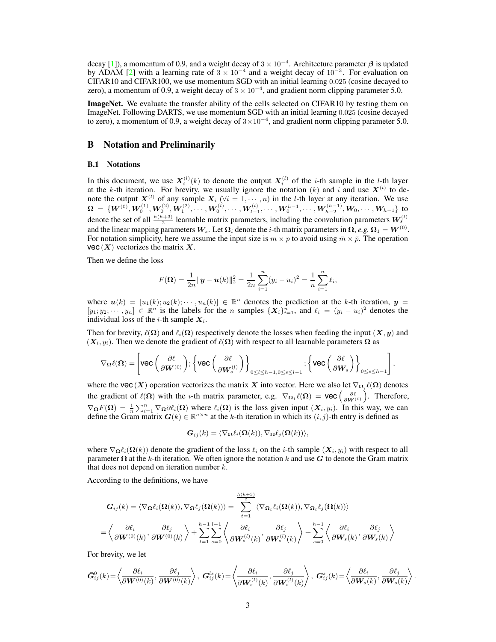decay [\[1\]](#page-41-0)), a momentum of 0.9, and a weight decay of  $3 \times 10^{-4}$ . Architecture parameter  $\beta$  is updated by ADAM [\[2\]](#page-41-1) with a learning rate of  $3 \times 10^{-4}$  and a weight decay of  $10^{-3}$ . For evaluation on CIFAR10 and CIFAR100, we use momentum SGD with an initial learning 0.025 (cosine decayed to zero), a momentum of 0.9, a weight decay of  $3 \times 10^{-4}$ , and gradient norm clipping parameter 5.0.

ImageNet. We evaluate the transfer ability of the cells selected on CIFAR10 by testing them on ImageNet. Following DARTS, we use momentum SGD with an initial learning 0.025 (cosine decayed to zero), a momentum of 0.9, a weight decay of  $3 \times 10^{-4}$ , and gradient norm clipping parameter 5.0.

# <span id="page-2-0"></span>B Notation and Preliminarily

#### B.1 Notations

In this document, we use  $X_i^{(l)}(k)$  to denote the output  $X_i^{(l)}$  of the *i*-th sample in the *l*-th layer at the k-th iteration. For brevity, we usually ignore the notation (k) and i and use  $X^{(l)}$  to denote the output  $X^{(l)}$  of any sample  $X_i$  ( $\forall i = 1, \dots, n$ ) in the *l*-th layer at any iteration. We use  $\bm{\Omega} \ = \ \{ \bm{W}^{(0)}, \bm{W}^{(1)}_0, \bm{W}^{(2)}_0, \bm{W}^{(2)}_1, \cdots, \bm{W}^{(l)}_0, \cdots, \bm{W}^{(l)}_{l-1}, \cdots, \bm{W}^{h-1}_0, \cdots, \bm{W}^{(h-1)}_{h-2}, \bm{W}_0, \cdots, \bm{W}_{h-1} \}$  to denote the set of all  $\frac{h(h+3)}{2}$  learnable matrix parameters, including the convolution parameters  $W_s^{(l)}$ and the linear mapping parameters  $W_s$ . Let  $\Omega_i$  denote the *i*-th matrix parameters in  $\Omega$ , *e.g*.  $\Omega_1 = W^{(0)}$ . For notation simplicity, here we assume the input size is  $m \times p$  to avoid using  $\bar{m} \times \bar{p}$ . The operation vec  $(X)$  vectorizes the matrix X.

Then we define the loss

$$
F(\mathbf{\Omega}) = \frac{1}{2n} ||\mathbf{y} - \mathbf{u}(k)||_2^2 = \frac{1}{2n} \sum_{i=1}^n (y_i - u_i)^2 = \frac{1}{n} \sum_{i=1}^n \ell_i,
$$

where  $u(k) = [u_1(k); u_2(k); \cdots, u_n(k)] \in \mathbb{R}^n$  denotes the prediction at the k-th iteration,  $y =$  $[y_1; y_2; \dots, y_n] \in \mathbb{R}^n$  is the labels for the *n* samples  $\{X_i\}_{i=1}^n$ , and  $\ell_i = (y_i - u_i)^2$  denotes the individual loss of the *i*-th sample  $X_i$ .

Then for brevity,  $\ell(\Omega)$  and  $\ell_i(\Omega)$  respectively denote the losses when feeding the input  $(X, y)$  and  $(X_i, y_i)$ . Then we denote the gradient of  $\ell(\Omega)$  with respect to all learnable parameters  $\Omega$  as

$$
\nabla_{\Omega} \ell(\Omega) = \left[ \text{vec}\left(\frac{\partial \ell}{\partial \bm{W}^{(0)}}\right); \left\{\text{vec}\left(\frac{\partial \ell}{\partial \bm{W}_s^{(l)}}\right)\right\}_{0\leq l\leq h-1, 0\leq s\leq l-1}; \left\{\text{vec}\left(\frac{\partial \ell}{\partial \bm{W}_s}\right)\right\}_{0\leq s\leq h-1} \right],
$$

where the vec  $(X)$  operation vectorizes the matrix X into vector. Here we also let  $\nabla_{\Omega_i} \ell(\Omega)$  denotes the gradient of  $\ell(\Omega)$  with the *i*-th matrix parameter, e.g.  $\nabla_{\Omega_1} \ell(\Omega) = \text{vec} \left( \frac{\partial \ell}{\partial W^{(0)}} \right)$ . Therefore,  $\nabla_{\Omega} F(\Omega) = \frac{1}{n} \sum_{i=1}^{n} \nabla_{\Omega} \partial \ell_i(\Omega)$  where  $\ell_i(\Omega)$  is the loss given input  $(X_i, y_i)$ . In this way, we can define the Gram matrix  $G(k) \in \mathbb{R}^{n \times n}$  at the k-th iteration in which its  $(i, j)$ -th entry is defined as

$$
\boldsymbol{G}_{ij}(k) = \langle \nabla_{\boldsymbol{\Omega}} \ell_i(\boldsymbol{\Omega}(k)), \nabla_{\boldsymbol{\Omega}} \ell_j(\boldsymbol{\Omega}(k)) \rangle,
$$

where  $\nabla_{\Omega} \ell_i(\Omega(k))$  denote the gradient of the loss  $\ell_i$  on the *i*-th sample  $(X_i, y_i)$  with respect to all parameter  $\Omega$  at the k-th iteration. We often ignore the notation k and use G to denote the Gram matrix that does not depend on iteration number  $k$ .

According to the definitions, we have

$$
G_{ij}(k) = \langle \nabla_{\Omega} \ell_i(\Omega(k)), \nabla_{\Omega} \ell_j(\Omega(k)) \rangle = \sum_{t=1}^{\frac{h(h+3)}{2}} \langle \nabla_{\Omega_t} \ell_i(\Omega(k)), \nabla_{\Omega_t} \ell_j(\Omega(k)) \rangle
$$
  

$$
= \left\langle \frac{\partial \ell_i}{\partial \mathbf{W}^{(0)}(k)}, \frac{\partial \ell_j}{\partial \mathbf{W}^{(0)}(k)} \right\rangle + \sum_{l=1}^{h-1} \sum_{s=0}^{l-1} \left\langle \frac{\partial \ell_i}{\partial \mathbf{W}_s^{(l)}(k)}, \frac{\partial \ell_j}{\partial \mathbf{W}_s^{(l)}(k)} \right\rangle + \sum_{s=0}^{h-1} \left\langle \frac{\partial \ell_i}{\partial \mathbf{W}_s(k)}, \frac{\partial \ell_j}{\partial \mathbf{W}_s(k)} \right\rangle
$$

For brevity, we let

$$
\bar{\boldsymbol{G}}_{ij}^0(k)\!=\!\left\langle \!\frac{\partial \ell_i}{\partial \boldsymbol{W}^{(0)}(k)},\frac{\partial \ell_j}{\partial \boldsymbol{W}^{(0)}(k)}\! \right\rangle,\; \boldsymbol{G}_{ij}^{ls}(k)\!=\!\left\langle \!\frac{\partial \ell_i}{\partial \boldsymbol{W}_s^{(l)}(k)},\frac{\partial \ell_j}{\partial \boldsymbol{W}_s^{(l)}(k)}\! \right\rangle,\; \boldsymbol{G}_{ij}^s(k)\!=\!\left\langle \!\frac{\partial \ell_i}{\partial \boldsymbol{W}_s(k)},\frac{\partial \ell_j}{\partial \boldsymbol{W}_s(k)}\! \right\rangle.
$$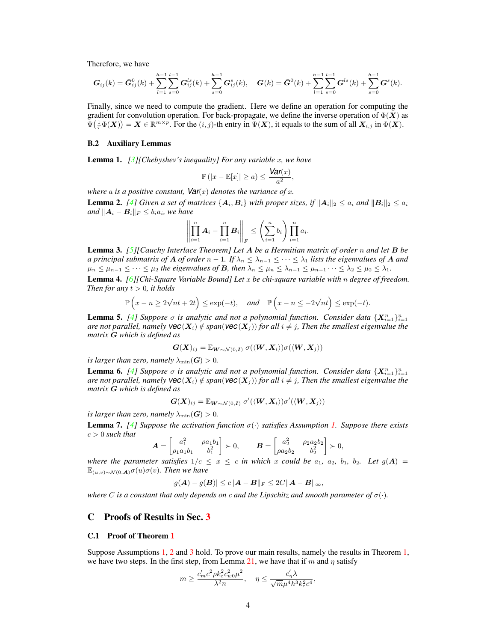Therefore, we have

$$
\boldsymbol{G}_{ij}(k) = \bar{\boldsymbol{G}}^{0}_{ij}(k) + \sum_{l=1}^{h-1}\sum_{s=0}^{l-1}\boldsymbol{G}^{ls}_{ij}(k) + \sum_{s=0}^{h-1}\boldsymbol{G}^{s}_{ij}(k), \quad \boldsymbol{G}(k) = \bar{\boldsymbol{G}}^{0}(k) + \sum_{l=1}^{h-1}\sum_{s=0}^{l-1}\boldsymbol{G}^{ls}(k) + \sum_{s=0}^{h-1}\boldsymbol{G}^{s}(k).
$$

Finally, since we need to compute the gradient. Here we define an operation for computing the gradient for convolution operation. For back-propagate, we define the inverse operation of  $\Phi(\vec{X})$  as  $\Psi(\frac{1}{\tau}\Phi(X)) = X \in \mathbb{R}^{m \times p}$ . For the  $(i, j)$ -th entry in  $\Psi(X)$ , it equals to the sum of all  $X_{i,j}$  in  $\Phi(X)$ .

#### B.2 Auxiliary Lemmas

<span id="page-3-6"></span>Lemma 1. *[\[3\]](#page-41-2)[Chebyshev's inequality] For any variable* x*, we have*

$$
\mathbb{P}(|x - \mathbb{E}[x]| \ge a) \le \frac{\text{Var}(x)}{a^2},
$$

*where* a *is a positive constant,*  $Var(x)$  *denotes the variance of* x.

<span id="page-3-1"></span>**Lemma 2.** *[\[4\]](#page-41-3)* Given a set of matrices  $\{A_i, B_i\}$  with proper sizes, if  $||A_i||_2 < a_i$  and  $||B_i||_2 < a_i$ *and*  $||A_i - B_i||_F \le b_i a_i$ *, we have* 

$$
\left\| \prod_{i=1}^n \mathbf{A}_i - \prod_{i=1}^n \mathbf{B}_i \right\|_F \leq \left( \sum_{i=1}^n b_i \right) \prod_{i=1}^n a_i.
$$

Lemma 3. *[\[5\]](#page-41-4)[Cauchy Interlace Theorem] Let* A *be a Hermitian matrix of order* n *and let* B *be a principal submatrix of* A *of order*  $n-1$ *. If*  $\lambda_n \leq \lambda_{n-1} \leq \cdots \leq \lambda_1$  *lists the eigenvalues of* A *and*  $\mu_n \leq \mu_{n-1} \leq \cdots \leq \mu_2$  the eigenvalues of **B**, then  $\lambda_n \leq \mu_n \leq \lambda_{n-1} \leq \mu_{n-1} \cdots \leq \lambda_2 \leq \mu_2 \leq \lambda_1$ .

<span id="page-3-7"></span>Lemma 4. *[\[6\]](#page-41-5)[Chi-Square Variable Bound] Let* x *be chi-square variable with* n *degree of freedom. Then for any*  $t > 0$ *, it holds* 

$$
\mathbb{P}\left(x - n \ge 2\sqrt{nt} + 2t\right) \le \exp(-t), \quad \text{and} \quad \mathbb{P}\left(x - n \le -2\sqrt{nt}\right) \le \exp(-t).
$$

<span id="page-3-3"></span>**Lemma 5.** [\[4\]](#page-41-3) Suppose  $\sigma$  is analytic and not a polynomial function. Consider data  $\{X_{i=1}^n\}_{i=1}^n$ *are not parallel, namely*  $\text{vec}(X_i) \notin \text{span}(\text{vec}(X_i))$  *for all*  $i \neq j$ *, Then the smallest eigenvalue the matrix* G *which is defined as*

$$
\boldsymbol{G}(\boldsymbol{X})_{ij} = \mathbb{E}_{\boldsymbol{W} \sim \mathcal{N}(0, \boldsymbol{I})} \; \sigma(\langle \boldsymbol{W}, \boldsymbol{X}_i \rangle) \sigma(\langle \boldsymbol{W}, \boldsymbol{X}_j \rangle)
$$

*is larger than zero, namely*  $\lambda_{\min}(G) > 0$ .

<span id="page-3-4"></span>**Lemma 6.** [\[4\]](#page-41-3) Suppose  $\sigma$  is analytic and not a polynomial function. Consider data  $\{X_{i=1}^n\}_{i=1}^n$ *are not parallel, namely*  $\text{vec}(X_i) \notin \text{span}(\text{vec}(X_i))$  *for all*  $i \neq j$ *, Then the smallest eigenvalue the matrix* G *which is defined as*

$$
\boldsymbol{G}(\boldsymbol{X})_{ij} = \mathbb{E}_{\boldsymbol{W} \sim \mathcal{N}(0, \boldsymbol{I})} \; \sigma'(\langle \boldsymbol{W}, \boldsymbol{X}_i \rangle) \sigma'(\langle \boldsymbol{W}, \boldsymbol{X}_j \rangle)
$$

*is larger than zero, namely*  $\lambda_{\min}(G) > 0$ *.* 

<span id="page-3-2"></span>Lemma 7. *[\[4\]](#page-41-3) Suppose the activation function* σ(·) *satisfies Assumption [1.](#page-0-2) Suppose there exists*  $c > 0$  *such that* 

$$
\mathbf{A} = \begin{bmatrix} a_1^2 & \rho a_1 b_1 \\ \rho_1 a_1 b_1 & b_1^2 \end{bmatrix} \succ 0, \qquad \mathbf{B} = \begin{bmatrix} a_2^2 & \rho_2 a_2 b_2 \\ \rho a_2 b_2 & b_2^2 \end{bmatrix} \succ 0,
$$

*where the parameter satisfies*  $1/c \leq x \leq c$  *in which* x *could be*  $a_1$ ,  $a_2$ ,  $b_1$ ,  $b_2$ . Let  $g(A)$ E(u,v)∼N(0,A)σ(u)σ(v)*. Then we have*

$$
|g(A) - g(B)| \le c \|A - B\|_F \le 2C \|A - B\|_{\infty},
$$

*where* C is a constant that only depends on c and the Lipschitz and smooth parameter of  $\sigma(\cdot)$ .

# <span id="page-3-0"></span>C Proofs of Results in Sec. [3](#page-0-2)

## <span id="page-3-5"></span>C.1 Proof of Theorem [1](#page-0-2)

Suppose Assumptions [1,](#page-0-2) [2](#page-0-2) and [3](#page-0-2) hold. To prove our main results, namely the results in Theorem [1,](#page-0-2) we have two steps. In the first step, from Lemma [21,](#page-7-0) we have that if m and  $\eta$  satisfy

$$
m\geq \frac{c_m'c^2\rho k_c^2c_{w0}^2\mu^2}{\lambda^2n},\quad \eta\leq \frac{c_\eta'\lambda}{\sqrt{m}\mu^4h^3k_c^2c^4},
$$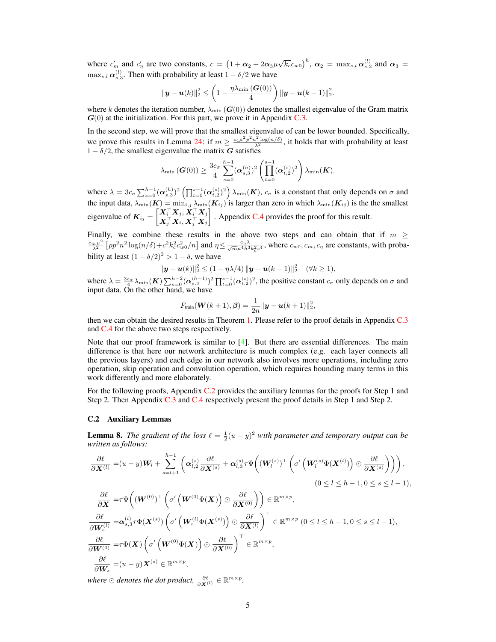where  $c'_m$  and  $c'_\eta$  are two constants,  $c = (1 + \alpha_2 + 2\alpha_3\mu\sqrt{k_c}c_{w0})^h$ ,  $\alpha_2 = \max_{s,l}\alpha_{s,2}^{(l)}$  and  $\alpha_3 =$  $\max_{s,l} \alpha_{s,3}^{(l)}$ . Then with probability at least  $1 - \delta/2$  we have

$$
\|\bm{y}-\bm{u}(k)\|_2^2 \leq \left(1-\frac{\eta\lambda_{\min}(\bm{G}(0))}{4}\right)\|\bm{y}-\bm{u}(k-1)\|_2^2.
$$

where k denotes the iteration number,  $\lambda_{\min} (G(0))$  denotes the smallest eigenvalue of the Gram matrix  $G(0)$  at the initialization. For this part, we prove it in Appendix [C.3.](#page-7-1)

In the second step, we will prove that the smallest eigenvalue of can be lower bounded. Specifically, we prove this results in Lemma [24:](#page-19-0) if  $m \ge \frac{c_4\mu^2 p^2 n^2 \log(n/\delta)}{\lambda^2}$ , it holds that with probability at least  $1 - \delta/2$ , the smallest eigenvalue the matrix G satisfies

$$
\lambda_{\min}(\boldsymbol{G}(0)) \geq \frac{3c_{\sigma}}{4} \sum_{s=0}^{h-1} (\boldsymbol{\alpha}_{s,3}^{(h)})^2 \left( \prod_{t=0}^{s-1} (\boldsymbol{\alpha}_{t,2}^{(s)})^2 \right) \lambda_{\min}(\boldsymbol{K}).
$$

where  $\lambda = 3c_{\sigma} \sum_{s=0}^{h-1} (\alpha_{s,3}^{(h)})^2 \left( \prod_{t=0}^{s-1} (\alpha_{t,2}^{(s)})^2 \right) \lambda_{\min}(K)$ ,  $c_{\sigma}$  is a constant that only depends on  $\sigma$  and the input data,  $\lambda_{\min}(\mathbf{K}) = \min_{i,j} \lambda_{\min}(\mathbf{K}_{ij})$  is larger than zero in which  $\lambda_{\min}(\mathbf{K}_{ij})$  is the the smallest eigenvalue of  $K_{ij} = \begin{bmatrix} X_i^{\top} X_j, X_i^{\top} X_j \\ \mathbf{v}^{\top} \mathbf{v} & \mathbf{v}^{\top} \mathbf{v} \end{bmatrix}$  $\boldsymbol{X}_j^\top\boldsymbol{X}_i, \boldsymbol{X}_j^\top\boldsymbol{X}_j$  $\big]$ . Appendix [C.4](#page-18-0) provides the proof for this result.

Finally, we combine these results in the above two steps and can obtain that if  $m \geq$  $c_m \mu^2$  $\frac{n\mu^2}{\lambda^2} \left[ \rho p^2 n^2 \log(n/\delta) + c^2 k_c^2 c_{w0}^2/n \right]$  and  $\eta \le \frac{c_\eta \lambda}{\sqrt{m}\mu^4 h^3 k_c^2 c^4}$ , where  $c_{w0}, c_m, c_\eta$  are constants, with probability at least  $(1 - \delta/2)^2 > 1 - \delta$ , we have

$$
\|\mathbf{y}-\mathbf{u}(k)\|_2^2 \le (1 - \eta\lambda/4) \|\mathbf{y}-\mathbf{u}(k-1)\|_2^2 \quad (\forall k \ge 1),
$$

where  $\lambda = \frac{3c_{\sigma}}{4} \lambda_{\min}(\boldsymbol{K}) \sum_{s=0}^{h-2} (\alpha_{s,3}^{(h-1)})^2 \prod_{t=0}^{s-1} (\alpha_{t,2}^{(s)})^2$ , the positive constant  $c_{\sigma}$  only depends on  $\sigma$  and input data. On the other hand, we have

$$
F_{\text{train}}(\boldsymbol{W}(k+1), \boldsymbol{\beta}) = \frac{1}{2n} \|\boldsymbol{y} - \boldsymbol{u}(k+1)\|_2^2,
$$

then we can obtain the desired results in Theorem [1.](#page-0-2) Please refer to the proof details in Appendix [C.3](#page-7-1) and [C.4](#page-18-0) for the above two steps respectively.

Note that our proof framework is similar to [\[4\]](#page-41-3). But there are essential differences. The main difference is that here our network architecture is much complex (e.g. each layer connects all the previous layers) and each edge in our network also involves more operations, including zero operation, skip operation and convolution operation, which requires bounding many terms in this work differently and more elaborately.

For the following proofs, Appendix [C.2](#page-4-0) provides the auxiliary lemmas for the proofs for Step 1 and Step 2. Then Appendix [C.3](#page-7-1) and [C.4](#page-18-0) respectively present the proof details in Step 1 and Step 2.

## <span id="page-4-0"></span>C.2 Auxiliary Lemmas

<span id="page-4-1"></span>**Lemma 8.** The gradient of the loss  $\ell = \frac{1}{2}(u - y)^2$  with parameter and temporary output can be *written as follows:*

$$
\frac{\partial \ell}{\partial \mathbf{X}^{(l)}} = (u - y)\mathbf{W}_l + \sum_{s=l+1}^{h-1} \left( \alpha_{l,2}^{(s)} \frac{\partial \ell}{\partial \mathbf{X}^{(s)}} + \alpha_{l,3}^{(s)} \tau \Psi \left( (\mathbf{W}_l^{(s)})^\top \left( \sigma' \left( \mathbf{W}_l^{(s)} \Phi(\mathbf{X}^{(l)}) \right) \odot \frac{\partial \ell}{\partial \mathbf{X}^{(s)}} \right) \right) \right),
$$
\n
$$
(0 \le l \le h - 1, 0 \le s \le l - 1),
$$
\n
$$
\frac{\partial \ell}{\partial \mathbf{X}} = \tau \Psi \left( (\mathbf{W}^{(0)})^\top \left( \sigma' \left( \mathbf{W}^{(0)} \Phi(\mathbf{X}) \right) \odot \frac{\partial \ell}{\partial \mathbf{X}^{(0)}} \right) \right) \in \mathbb{R}^{m \times p},
$$
\n
$$
\frac{\partial \ell}{\partial \mathbf{W}_s^{(l)}} = \alpha_{s,3}^{(l)} \tau \Phi(\mathbf{X}^{(s)}) \left( \sigma' \left( \mathbf{W}_s^{(l)} \Phi(\mathbf{X}^{(s)}) \right) \odot \frac{\partial \ell}{\partial \mathbf{X}^{(l)}} \right)^\top \in \mathbb{R}^{m \times p} \ (0 \le l \le h - 1, 0 \le s \le l - 1),
$$
\n
$$
\frac{\partial \ell}{\partial \mathbf{W}^{(0)}} = \tau \Phi(\mathbf{X}) \left( \sigma' \left( \mathbf{W}^{(0)} \Phi(\mathbf{X}) \right) \odot \frac{\partial \ell}{\partial \mathbf{X}^{(0)}} \right)^\top \in \mathbb{R}^{m \times p},
$$
\n
$$
\frac{\partial \ell}{\partial \mathbf{W}_s} = (u - y) \mathbf{X}^{(s)} \in \mathbb{R}^{m \times p},
$$

where  $\odot$  denotes the dot product,  $\frac{\partial \ell}{\partial \mathbf{X}^{(l)}} \in \mathbb{R}^{m \times p}$ .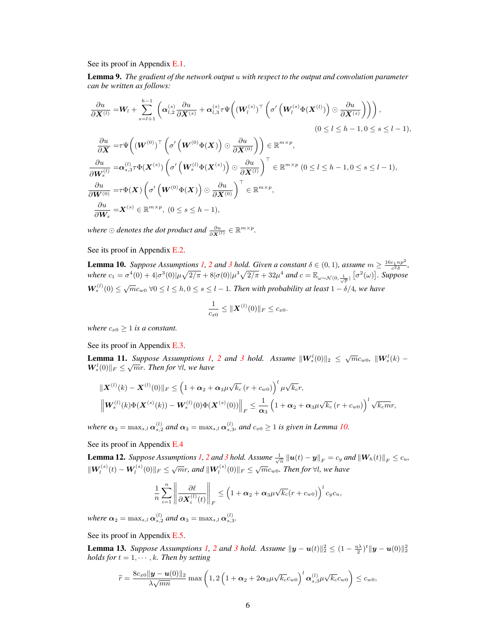See its proof in Appendix [E.1.](#page-30-1)

<span id="page-5-4"></span>Lemma 9. *The gradient of the network output* u *with respect to the output and convolution parameter can be written as follows:*

$$
\frac{\partial u}{\partial \mathbf{X}^{(l)}} = \mathbf{W}_{l} + \sum_{s=l+1}^{h-1} \left( \alpha_{l,2}^{(s)} \frac{\partial u}{\partial \mathbf{X}^{(s)}} + \alpha_{l,3}^{(s)} \tau \Psi \Big( (\mathbf{W}_{l}^{(s)})^{\top} \left( \sigma' \Big( \mathbf{W}_{l}^{(s)} \Phi(\mathbf{X}^{(l)}) \Big) \odot \frac{\partial u}{\partial \mathbf{X}^{(s)}} \Big) \right) \right),
$$
\n
$$
(0 \leq l \leq h-1, 0 \leq s \leq l-1),
$$
\n
$$
\frac{\partial u}{\partial \mathbf{X}} = \tau \Psi \Big( (\mathbf{W}^{(0)})^{\top} \left( \sigma' \Big( \mathbf{W}^{(0)} \Phi(\mathbf{X}) \Big) \odot \frac{\partial u}{\partial \mathbf{X}^{(0)}} \Big) \right) \in \mathbb{R}^{m \times p},
$$
\n
$$
\frac{\partial u}{\partial \mathbf{W}_{s}^{(l)}} = \alpha_{s,3}^{(l)} \tau \Phi(\mathbf{X}^{(s)}) \left( \sigma' \Big( \mathbf{W}_{s}^{(l)} \Phi(\mathbf{X}^{(s)}) \Big) \odot \frac{\partial u}{\partial \mathbf{X}^{(l)}} \right)^{\top} \in \mathbb{R}^{m \times p},
$$
\n
$$
\frac{\partial u}{\partial \mathbf{W}^{(0)}} = \tau \Phi(\mathbf{X}) \left( \sigma' \Big( \mathbf{W}^{(0)} \Phi(\mathbf{X}) \Big) \odot \frac{\partial u}{\partial \mathbf{X}^{(0)}} \right)^{\top} \in \mathbb{R}^{m \times p},
$$
\n
$$
\frac{\partial u}{\partial \mathbf{W}_{s}} = \mathbf{X}^{(s)} \in \mathbb{R}^{m \times p}, \ (0 \leq s \leq h-1),
$$

where  $\odot$  denotes the dot product and  $\frac{\partial u}{\partial \mathbf{X}^{(l)}} \in \mathbb{R}^{m \times p}$ .

See its proof in Appendix [E.2.](#page-30-2)

<span id="page-5-0"></span>**Lemma 10.** Suppose Assumptions [1,](#page-0-2) [2](#page-0-2) and [3](#page-0-2) hold. Given a constant  $\delta \in (0,1)$ , assume  $m \ge \frac{16c_1np^2}{c^2\delta}$ ,  $where \ c_1 = \sigma^4(0) + 4|\sigma^3(0)|\mu\sqrt{2/\pi} + 8|\sigma(0)|\mu^3\sqrt{2/\pi} + 32\mu^4 \ and \ c = \mathbb{E}_{\omega \sim \mathcal{N}(0, \frac{1}{\sqrt{p}})} [\sigma^2(\omega)].$  Suppose  $W_s^{(l)}(0) \leq \sqrt{m}c_{w0}$   $\forall 0 \leq l \leq h, 0 \leq s \leq l-1$ . Then with probability at least  $1 - \delta/4$ , we have

$$
\frac{1}{c_{x0}} \leq ||\boldsymbol{X}^{(l)}(0)||_F \leq c_{x0}.
$$

*where*  $c_{x0} \geq 1$  *is a constant.* 

See its proof in Appendix [E.3.](#page-30-3)

<span id="page-5-3"></span>**Lemma 11.** *Suppose Assumptions [1,](#page-0-2)* [2](#page-0-2) *and* [3](#page-0-2) *hold.* Assume  $\|\mathbf{W}_s^l(0)\|_2 \leq \sqrt{m}c_{w0}$ ,  $\|\mathbf{W}_s^l(k) - \mathbf{W}_s^l(k)\|_2 \leq \sqrt{m}c_{w0}$  $\boldsymbol{W}_s^l(0)\|_F \leq \sqrt{m}r$ . Then for  $\forall l$ , we have

$$
\|\mathbf{X}^{(l)}(k) - \mathbf{X}^{(l)}(0)\|_{F} \leq \left(1 + \alpha_{2} + \alpha_{3}\mu\sqrt{k_{c}}\left(r + c_{w0}\right)\right)^{l} \mu\sqrt{k_{c}}r,
$$
  

$$
\left\|\mathbf{W}_{s}^{(l)}(k)\Phi(\mathbf{X}^{(s)}(k)) - \mathbf{W}_{s}^{(l)}(0)\Phi(\mathbf{X}^{(s)}(0))\right\|_{F} \leq \frac{1}{\alpha_{3}}\left(1 + \alpha_{2} + \alpha_{3}\mu\sqrt{k_{c}}\left(r + c_{w0}\right)\right)^{l} \sqrt{k_{c}m}r,
$$

where  $\alpha_2 = \max_{s,l} \alpha_{s,2}^{(l)}$  and  $\alpha_3 = \max_{s,l} \alpha_{s,3}^{(l)}$ , and  $c_{x0} \ge 1$  is given in Lemma [10.](#page-5-0)

See its proof in Appendix [E.4](#page-32-0)

<span id="page-5-2"></span>**Lemma 1[2](#page-0-2).** Suppose Assumptions [1,](#page-0-2) 2 and [3](#page-0-2) hold. Assume  $\frac{1}{\sqrt{n}} ||u(t) - y||_F = c_y$  and  $||W_h(t)||_F \le c_u$ ,  $\|\mathbf{W}_l^{(s)}(t) - \mathbf{W}_l^{(s)}(0)\|_F \leq \sqrt{m}r$ , and  $\|\mathbf{W}_l^{(s)}(0)\|_F \leq \sqrt{m}c_{w0}$ . Then for  $\forall l$ , we have

$$
\frac{1}{n}\sum_{i=1}^n \left\|\frac{\partial \ell}{\partial \mathbf{X}_i^{(l)}(t)}\right\|_F \leq \left(1+\alpha_2+\alpha_3\mu\sqrt{k_c}(r+c_{w0})\right)^l c_y c_u,
$$

*where*  $\alpha_2 = \max_{s,l} \alpha_{s,2}^{(l)}$  and  $\alpha_3 = \max_{s,l} \alpha_{s,3}^{(l)}$ .

See its proof in Appendix [E.5.](#page-33-0)

<span id="page-5-1"></span>**Lemma 1[3](#page-0-2).** *Suppose Assumptions* [1,](#page-0-2) [2](#page-0-2) *and* 3 *hold.* Assume  $\|\mathbf{y} - \mathbf{u}(t)\|_2^2 \leq (1 - \frac{\eta \lambda}{2})^t \|\mathbf{y} - \mathbf{u}(0)\|_2^2$ *holds for*  $t = 1, \dots, k$ *. Then by setting* 

$$
\widetilde{r} = \frac{8c_{x0}||\mathbf{y} - \mathbf{u}(0)||_2}{\lambda\sqrt{mn}} \max\left(1, 2\left(1 + \alpha_2 + 2\alpha_3\mu\sqrt{k_c}c_{w0}\right)^l\alpha_{s,3}^{(l)}\mu\sqrt{k_c}c_{w0}\right) \leq c_{w0},
$$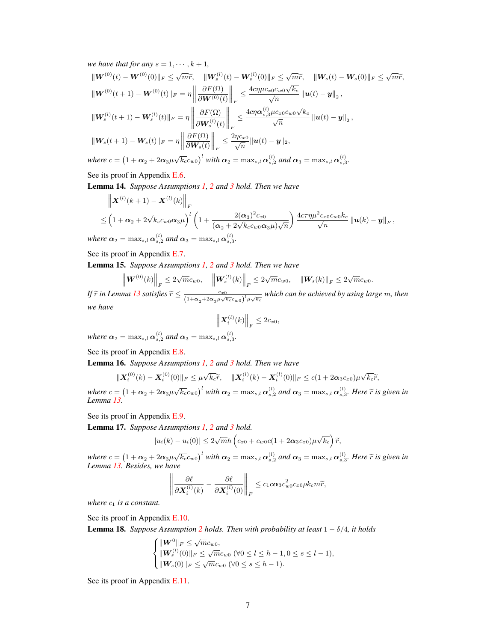*we have that for any*  $s = 1, \dots, k + 1$ ,  $\|{\boldsymbol W}^{(0)}(t) - {\boldsymbol W}^{(0)}(0)\|_F \leq \sqrt{m}\widetilde{r}, \quad \|{\boldsymbol W}^{(l)}_s(t) - {\boldsymbol W}^{(l)}_s(0)\|_F \leq \sqrt{m}\widetilde{r}, \quad \|{\boldsymbol W}_s(t) - {\boldsymbol W}_s(0)\|_F \leq \sqrt{m}\widetilde{r},$  $\|\boldsymbol{W}^{(0)}(t + 1) - \boldsymbol{W}^{(0)}(t)\|_F = \eta \Big\|$  $\partial F(\Omega)$  $\partial\bm{W}^{(0)}(t)$  $\bigg\|_F$  $\leq \frac{4c\eta\mu c_{x0}c_{w0}\sqrt{k_c}}{\sqrt{n}}\left\|\bm{u}(t)-\bm{y}\right\|_2,$  $\|{\bm{W}}^{(l)}_s(t+1) - {\bm{W}}^{(l)}_s(t)\|_F = \eta$   $\partial F(\Omega)$  $\partial\bm{W}_{s}^{(l)}(t)$  $\bigg\|_F$  $\leq\frac{4c\eta\boldsymbol{\alpha}^{(l)}_{s,3}\mu c_{x0}c_{w0}\sqrt{k_c}}{\sqrt{n}}\left\Vert \boldsymbol{u}(t)-\boldsymbol{y}\right\Vert _{2},$  $\|\mathbf{W}_s(t + 1) - \mathbf{W}_s(t)\|_F = \eta$  $\partial F(\Omega)$  $\partial\bm{W}_{s}(t)$  $\bigg\|_F$  $\leq \frac{2\eta c_{x0}}{\sqrt{n}} \|\boldsymbol{u}(t)-\boldsymbol{y}\|_2,$ *where*  $c = (1 + \alpha_2 + 2\alpha_3\mu\sqrt{k_c}c_{w0})^l$  *with*  $\alpha_2 = \max_{s,l}\alpha_{s,2}^{(l)}$  *and*  $\alpha_3 = \max_{s,l}\alpha_{s,3}^{(l)}$ .

See its proof in Appendix [E.6.](#page-34-0)

<span id="page-6-0"></span>Lemma 14. *Suppose Assumptions [1,](#page-0-2) [2](#page-0-2) and [3](#page-0-2) hold. Then we have*

$$
\left\| \boldsymbol{X}^{(l)}(k+1) - \boldsymbol{X}^{(l)}(k) \right\|_F
$$
  
\n
$$
\leq \left( 1 + \alpha_2 + 2\sqrt{k_c} c_{w0} \alpha_3 \mu \right)^l \left( 1 + \frac{2(\alpha_3)^2 c_{x0}}{(\alpha_2 + 2\sqrt{k_c} c_{w0} \alpha_3 \mu) \sqrt{n}} \right) \frac{4c\tau \eta \mu^2 c_{x0} c_{w0} k_c}{\sqrt{n}} \left\| \boldsymbol{u}(k) - \boldsymbol{y} \right\|_F,
$$

where  $\alpha_2 = \max_{s,l} \alpha_{s,2}^{(l)}$  and  $\alpha_3 = \max_{s,l} \alpha_{s,3}^{(l)}$ .

See its proof in Appendix [E.7.](#page-36-0)

<span id="page-6-1"></span>Lemma 15. *Suppose Assumptions [1,](#page-0-2) [2](#page-0-2) and [3](#page-0-2) hold. Then we have*

$$
\left\| \mathbf{W}^{(0)}(k) \right\|_F \leq 2\sqrt{m}c_{w0}, \quad \left\| \mathbf{W}^{(l)}_s(k) \right\|_F \leq 2\sqrt{m}c_{w0}, \quad \left\| \mathbf{W}_s(k) \right\|_F \leq 2\sqrt{m}c_{w0}.
$$

*If*  $\widetilde{r}$  in Lemma [13](#page-5-1) satisfies  $\widetilde{r} \leq \frac{c_{x0}}{(1+\alpha_2+2\alpha_3\mu\sqrt{k_c}c_{w0})^l\mu\sqrt{k_c}}$  which can be achieved by using large m, then *we have*

$$
\left\|\boldsymbol{X}_i^{(l)}(k)\right\|_F\leq 2c_{x0},
$$

where  $\alpha_2 = \max_{s,l} \alpha_{s,2}^{(l)}$  and  $\alpha_3 = \max_{s,l} \alpha_{s,3}^{(l)}$ .

See its proof in Appendix [E.8.](#page-37-0)

<span id="page-6-2"></span>Lemma 16. *Suppose Assumptions [1,](#page-0-2) [2](#page-0-2) and [3](#page-0-2) hold. Then we have*

$$
\|\boldsymbol{X}_i^{(0)}(k)-\boldsymbol{X}_i^{(0)}(0)\|_F\leq\mu\sqrt{k_c}\widetilde{r},\quad\|\boldsymbol{X}_i^{(l)}(k)-\boldsymbol{X}_i^{(l)}(0)\|_F\leq c(1+2\boldsymbol{\alpha}_3c_{x0})\mu\sqrt{k_c}\widetilde{r},
$$

*where*  $c = (1 + \alpha_2 + 2\alpha_3\mu\sqrt{k_c}c_{w0})^l$  *with*  $\alpha_2 = \max_{s,l} \alpha_{s,2}^{(l)}$  *and*  $\alpha_3 = \max_{s,l} \alpha_{s,3}^{(l)}$ *. Here*  $\tilde{r}$  *is given in Lemma [13.](#page-5-1)*

See its proof in Appendix [E.9.](#page-38-0)

<span id="page-6-3"></span>Lemma 17. *Suppose Assumptions [1,](#page-0-2) [2](#page-0-2) and [3](#page-0-2) hold.*

$$
|u_i(k) - u_i(0)| \leq 2\sqrt{m}h\left(c_{x0} + c_{w0}c(1 + 2\alpha_3c_{x0})\mu\sqrt{k_c}\right)\widetilde{r},
$$

*where*  $c = (1 + \alpha_2 + 2\alpha_3\mu\sqrt{k_c}c_{w0})^l$  *with*  $\alpha_2 = \max_{s,l} \alpha_{s,2}^{(l)}$  *and*  $\alpha_3 = \max_{s,l} \alpha_{s,3}^{(l)}$ . Here  $\tilde{r}$  is given in *Lemma [13.](#page-5-1) Besides, we have*

$$
\left\|\frac{\partial \ell}{\partial \mathbf{X}_i^{(l)}(k)} - \frac{\partial \ell}{\partial \mathbf{X}_i^{(l)}(0)}\right\|_F \leq c_1 c \alpha_3 c_{w0}^2 c_{x0} \rho k_c m \widetilde{r},
$$

*where*  $c_1$  *is a constant.* 

See its proof in Appendix [E.10.](#page-38-1)

<span id="page-6-4"></span>**Lemma 18.** *Suppose Assumption* [2](#page-0-2) *holds. Then with probability at least*  $1 - \delta/4$ *, it holds* 

$$
\begin{cases}\n\|{\boldsymbol W}^{0}\|_{F} \leq \sqrt{m}c_{w0},\\
\|{\boldsymbol W}^{(l)}_{s}(0)\|_{F} \leq \sqrt{m}c_{w0} \ (\forall 0 \leq l \leq h-1, 0 \leq s \leq l-1),\\
\|{\boldsymbol W}_{s}(0)\|_{F} \leq \sqrt{m}c_{w0} \ (\forall 0 \leq s \leq h-1).\n\end{cases}
$$

See its proof in Appendix [E.11.](#page-40-0)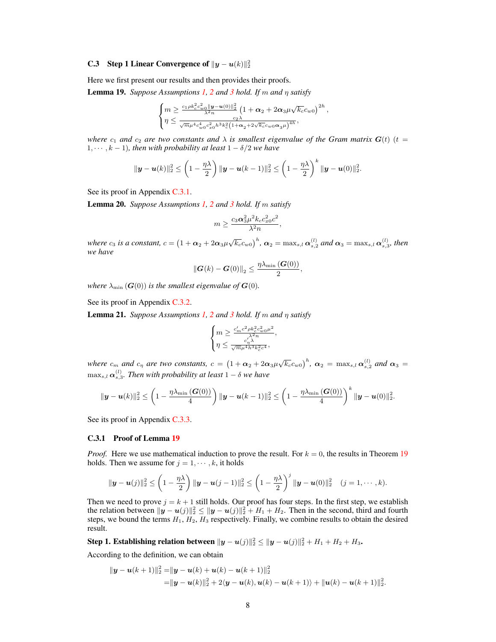# <span id="page-7-1"></span>**C.3** Step 1 Linear Convergence of  $||y - u(k)||_2^2$

Here we first present our results and then provides their proofs.

<span id="page-7-3"></span>**Lemma 19.** *Suppose Assumptions* [1,](#page-0-2) [2](#page-0-2) *and* [3](#page-0-2) *hold.* If m *and*  $\eta$  *satisfy* 

$$
\begin{cases} m \geq \frac{c_1 \rho k_c^2 c_{w0}^2 \| \bm{y} - \bm{u}(0) \|_2^2}{\lambda^2 n} \left( 1 + \bm{\alpha}_2 + 2 \bm{\alpha}_3 \mu \sqrt{k_c} c_{w0} \right)^{2h}, \\ \eta \leq \frac{c_2 \lambda}{\sqrt{m} \mu^4 c_{w0}^4 c_{x0}^2 h^3 k_c^2 \left( 1 + \bm{\alpha}_2 + 2 \sqrt{k_c} c_{w0} \bm{\alpha}_3 \mu \right)^{4h}}, \end{cases}
$$

*where*  $c_1$  *and*  $c_2$  *are two constants and*  $\lambda$  *is smallest eigenvalue of the Gram matrix G(t)* (t =  $1, \dots, k-1$ *), then with probability at least*  $1 - \delta/2$  *we have* 

$$
\|\bm{y}-\bm{u}(k)\|_2^2 \leq \left(1-\frac{\eta\lambda}{2}\right) \|\bm{y}-\bm{u}(k-1)\|_2^2 \leq \left(1-\frac{\eta\lambda}{2}\right)^k \|\bm{y}-\bm{u}(0)\|_2^2.
$$

See its proof in Appendix [C.3.1.](#page-7-2)

<span id="page-7-4"></span>Lemma 20. *Suppose Assumptions [1,](#page-0-2) [2](#page-0-2) and [3](#page-0-2) hold. If* m *satisfy*

$$
m \geq \frac{c_3\alpha_3^2\mu^2k_c c_{x0}^2c^2}{\lambda^2n},
$$

*where*  $c_3$  *is a constant,*  $c = (1 + \alpha_2 + 2\alpha_3\mu\sqrt{k_c}c_{w0})^h$ ,  $\alpha_2 = \max_{s,l}\alpha_{s,2}^{(l)}$  and  $\alpha_3 = \max_{s,l}\alpha_{s,3}^{(l)}$ , then *we have*

$$
\left\|\boldsymbol{G}(k)-\boldsymbol{G}(0)\right\|_2 \leq \frac{\eta\lambda_{\min}\left(\boldsymbol{G}(0)\right)}{2},
$$

*where*  $\lambda_{\min}$  ( $G(0)$ ) *is the smallest eigenvalue of*  $G(0)$ *.* 

See its proof in Appendix [C.3.2.](#page-12-0)

<span id="page-7-0"></span>**Lemma [2](#page-0-2)1.** *Suppose Assumptions [1,](#page-0-2) 2 and [3](#page-0-2) hold. If* m *and*  $\eta$  *satisfy* 

$$
\begin{cases} m \geq \frac{c_m'c^2 \rho k_c^2 c_w^2 \rho \mu^2}{\lambda^2 n}, \\ \eta \leq \frac{c_\eta' \lambda}{\sqrt{m} \mu^4 h^3 k_c^2 c^4}, \end{cases}
$$

*where*  $c_m$  *and*  $c_\eta$  *are two constants,*  $c = (1 + \alpha_2 + 2\alpha_3\mu\sqrt{k_c}c_{w0})^h$ ,  $\alpha_2 = \max_{s,l}\alpha_{s,2}^{(l)}$  *and*  $\alpha_3 =$  $\max_{s,l} \boldsymbol{\alpha}_{s,3}^{(l)}$ . Then with probability at least  $1-\delta$  we have

$$
\|\bm{y}-\bm{u}(k)\|_2^2 \leq \left(1-\frac{\eta\lambda_{\min}\left(\bm{G}(0)\right)}{4}\right) \|\bm{y}-\bm{u}(k-1)\|_2^2 \leq \left(1-\frac{\eta\lambda_{\min}\left(\bm{G}(0)\right)}{4}\right)^k \|\bm{y}-\bm{u}(0)\|_2^2.
$$

See its proof in Appendix [C.3.3.](#page-18-1)

#### <span id="page-7-2"></span>C.3.1 Proof of Lemma [19](#page-7-3)

*Proof.* Here we use mathematical induction to prove the result. For  $k = 0$ , the results in Theorem [19](#page-7-3) holds. Then we assume for  $j = 1, \dots, k$ , it holds

$$
\|\bm{y}-\bm{u}(j)\|_2^2 \leq \left(1-\frac{\eta\lambda}{2}\right) \|\bm{y}-\bm{u}(j-1)\|_2^2 \leq \left(1-\frac{\eta\lambda}{2}\right)^j \|\bm{y}-\bm{u}(0)\|_2^2 \quad (j=1,\cdots,k).
$$

Then we need to prove  $j = k + 1$  still holds. Our proof has four steps. In the first step, we establish the relation between  $||\mathbf{y} - \mathbf{u}(j)||_2^2 \le ||\mathbf{y} - \mathbf{u}(j)||_2^2 + H_1 + H_2$ . Then in the second, third and fourth steps, we bound the terms  $H_1$ ,  $H_2$ ,  $H_3$  respectively. Finally, we combine results to obtain the desired result.

Step 1. Establishing relation between  $\|{\bm y}-{\bm u}(j)\|_2^2 \le \|{\bm y}-{\bm u}(j)\|_2^2 + H_1 + H_2 + H_3.$ 

According to the definition, we can obtain

$$
\|\bm{y}-\bm{u}(k+1)\|_2^2 = \|\bm{y}-\bm{u}(k)+\bm{u}(k)-\bm{u}(k+1)\|_2^2
$$
  
=\|\bm{y}-\bm{u}(k)\|\_2^2 + 2\langle \bm{y}-\bm{u}(k), \bm{u}(k)-\bm{u}(k+1)\rangle + \|\bm{u}(k)-\bm{u}(k+1)\|\_2^2.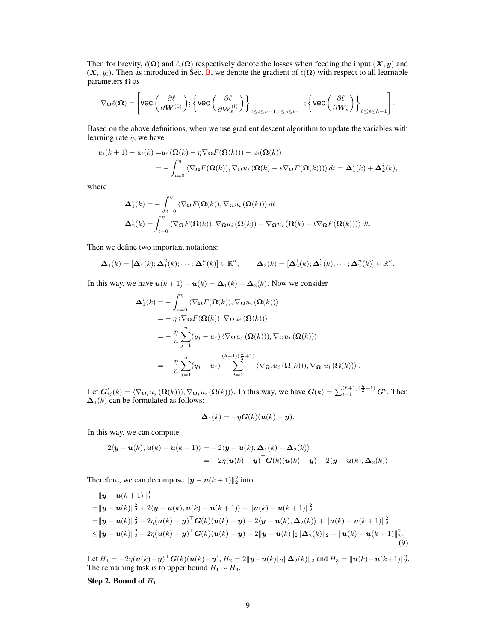Then for brevity,  $\ell(\Omega)$  and  $\ell_i(\Omega)$  respectively denote the losses when feeding the input  $(X, y)$  and  $(X_i, y_i)$ . Then as introduced in Sec. [B,](#page-2-0) we denote the gradient of  $\ell(\Omega)$  with respect to all learnable parameters  $\Omega$  as

$$
\nabla_{\boldsymbol{\Omega}} \ell(\boldsymbol{\Omega}) = \left[ \text{vec} \left( \frac{\partial \ell}{\partial \boldsymbol{W}^{(0)}} \right); \left\{ \text{vec} \left( \frac{\partial \ell}{\partial \boldsymbol{W}_s^{(l)}} \right) \right\}_{0 \leq l \leq h-1, 0 \leq s \leq l-1}; \left\{ \text{vec} \left( \frac{\partial \ell}{\partial \boldsymbol{W}_s} \right) \right\}_{0 \leq s \leq h-1} \right].
$$

Based on the above definitions, when we use gradient descent algorithm to update the variables with learning rate  $\eta$ , we have

$$
u_i(k+1) - u_i(k) = u_i \left(\Omega(k) - \eta \nabla_{\Omega} F(\Omega(k))\right) - u_i(\Omega(k))
$$
  
= 
$$
- \int_{t=0}^{\eta} \langle \nabla_{\Omega} F(\Omega(k)), \nabla_{\Omega} u_i \left(\Omega(k) - s \nabla_{\Omega} F(\Omega(k))\right) \rangle dt = \Delta_1^i(k) + \Delta_2^i(k),
$$

where

$$
\Delta_1^i(k) = -\int_{t=0}^{\eta} \langle \nabla_{\Omega} F(\Omega(k)), \nabla_{\Omega} u_i(\Omega(k)) \rangle dt
$$
  

$$
\Delta_2^i(k) = \int_{t=0}^{\eta} \langle \nabla_{\Omega} F(\Omega(k)), \nabla_{\Omega} u_i(\Omega(k)) - \nabla_{\Omega} u_i(\Omega(k) - t \nabla_{\Omega} F(\Omega(k))) \rangle dt.
$$

Then we define two important notations:

$$
\Delta_1(k) = [\Delta_1^1(k); \Delta_1^2(k); \cdots; \Delta_1^n(k)] \in \mathbb{R}^n, \qquad \Delta_2(k) = [\Delta_2^1(k); \Delta_2^2(k); \cdots; \Delta_2^n(k)] \in \mathbb{R}^n.
$$

In this way, we have  $u(k + 1) - u(k) = \Delta_1(k) + \Delta_2(k)$ . Now we consider

$$
\Delta_1^i(k) = -\int_{s=0}^\eta \langle \nabla_{\Omega} F(\Omega(k)), \nabla_{\Omega} u_i (\Omega(k)) \rangle \n= -\eta \langle \nabla_{\Omega} F(\Omega(k)), \nabla_{\Omega} u_i (\Omega(k)) \rangle \n= -\frac{\eta}{n} \sum_{j=1}^n (y_j - u_j) \langle \nabla_{\Omega} u_j (\Omega(k))), \nabla_{\Omega} u_i (\Omega(k)) \rangle \n= -\frac{\eta}{n} \sum_{j=1}^n (y_j - u_j) \sum_{t=1}^{(h+1)(\frac{h}{2}+1)} \langle \nabla_{\Omega_t} u_j (\Omega(k))), \nabla_{\Omega_t} u_i (\Omega(k)) \rangle.
$$

Let  $G_{ij}^t(k) = \langle \nabla_{\Omega_t} u_j \left( \Omega(k) \right) \rangle$ ,  $\nabla_{\Omega_t} u_i \left( \Omega(k) \right)$ . In this way, we have  $G(k) = \sum_{t=1}^{(h+1)(\frac{h}{2}+1)} G^t$ . Then  $\Delta_1(k)$  can be formulated as follows:

<span id="page-8-0"></span>
$$
\Delta_1(k) = -\eta \boldsymbol{G}(k)(\boldsymbol{u}(k) - \boldsymbol{y}).
$$

In this way, we can compute

$$
2\langle \mathbf{y} - \mathbf{u}(k), \mathbf{u}(k) - \mathbf{u}(k+1) \rangle = -2\langle \mathbf{y} - \mathbf{u}(k), \mathbf{\Delta}_1(k) + \mathbf{\Delta}_2(k) \rangle
$$
  
=  $-2\eta(\mathbf{u}(k) - \mathbf{y})^\top \mathbf{G}(k)(\mathbf{u}(k) - \mathbf{y}) - 2\langle \mathbf{y} - \mathbf{u}(k), \mathbf{\Delta}_2(k) \rangle$ 

Therefore, we can decompose  $||\mathbf{y} - \mathbf{u}(k+1)||_2^2$  into

$$
\| \mathbf{y} - \mathbf{u}(k+1) \|_{2}^{2}
$$
\n
$$
= \| \mathbf{y} - \mathbf{u}(k) \|_{2}^{2} + 2 \langle \mathbf{y} - \mathbf{u}(k), \mathbf{u}(k) - \mathbf{u}(k+1) \rangle + \| \mathbf{u}(k) - \mathbf{u}(k+1) \|_{2}^{2}
$$
\n
$$
= \| \mathbf{y} - \mathbf{u}(k) \|_{2}^{2} - 2\eta (\mathbf{u}(k) - \mathbf{y})^{\top} \mathbf{G}(k) (\mathbf{u}(k) - \mathbf{y}) - 2 \langle \mathbf{y} - \mathbf{u}(k), \Delta_{2}(k) \rangle + \| \mathbf{u}(k) - \mathbf{u}(k+1) \|_{2}^{2}
$$
\n
$$
\leq \| \mathbf{y} - \mathbf{u}(k) \|_{2}^{2} - 2\eta (\mathbf{u}(k) - \mathbf{y})^{\top} \mathbf{G}(k) (\mathbf{u}(k) - \mathbf{y}) + 2 \| \mathbf{y} - \mathbf{u}(k) \|_{2} \| \Delta_{2}(k) \|_{2} + \| \mathbf{u}(k) - \mathbf{u}(k+1) \|_{2}^{2}.
$$
\n(9)

Let  $H_1 = -2\eta(\mathbf{u}(k) - \mathbf{y})^\top \mathbf{G}(k)(\mathbf{u}(k) - \mathbf{y}), H_2 = 2\|\mathbf{y} - \mathbf{u}(k)\|_2 \|\mathbf{\Delta}_2(k)\|_2$  and  $H_3 = \|\mathbf{u}(k) - \mathbf{u}(k+1)\|_2^2$ . The remaining task is to upper bound  $H_1 \sim H_3$ .

Step 2. Bound of  $H_1$ .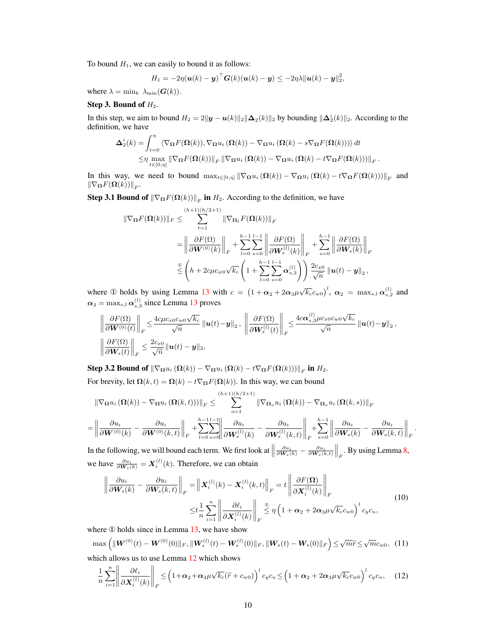To bound  $H_1$ , we can easily to bound it as follows:

$$
H_1 = -2\eta(\boldsymbol{u}(k) - \boldsymbol{y})^\top \boldsymbol{G}(k)(\boldsymbol{u}(k) - \boldsymbol{y}) \leq -2\eta\lambda \|\boldsymbol{u}(k) - \boldsymbol{y}\|_2^2,
$$

where  $\lambda = \min_k \lambda_{\min}(G(k)).$ 

## Step 3. Bound of  $H_2$ .

In this step, we aim to bound  $H_2 = 2||y - u(k)||_2 ||\Delta_2(k)||_2$  by bounding  $||\Delta_2^i(k)||_2$ . According to the definition, we have

$$
\Delta_2^i(k) = \int_{t=0}^{\eta} \langle \nabla_{\Omega} F(\Omega(k)), \nabla_{\Omega} u_i (\Omega(k)) - \nabla_{\Omega} u_i (\Omega(k) - s \nabla_{\Omega} F(\Omega(k))) \rangle dt
$$
  

$$
\leq \eta \max_{t \in [0,\eta]} \|\nabla_{\Omega} F(\Omega(k))\|_F \|\nabla_{\Omega} u_i (\Omega(k)) - \nabla_{\Omega} u_i (\Omega(k) - t \nabla_{\Omega} F(\Omega(k)))\|_F.
$$

In this way, we need to bound  $\max_{t \in [0,\eta]} \|\nabla_{\Omega} u_i\left(\Omega(k)\right) - \nabla_{\Omega} u_i\left(\Omega(k)\right) - t \nabla_{\Omega} F(\Omega(k))\|_F$  and  $\|\nabla_{\mathbf{\Omega}}F(\mathbf{\Omega}(k))\|_F.$ 

**Step 3.1 Bound of**  $\|\nabla_{\Omega} F(\Omega(k))\|_F$  in  $H_2$ . According to the definition, we have

$$
\begin{split} \|\nabla_{\Omega} F(\Omega(k))\|_{F} &\leq \sum_{t=1}^{(h+1)(h/2+1)} \|\nabla_{\Omega_{t}} F(\Omega(k))\|_{F} \\ &= \left\|\frac{\partial F(\Omega)}{\partial \mathbf{W}^{(0)}(k)}\right\|_{F} + \sum_{l=0}^{h-1} \sum_{s=0}^{l-1} \left\|\frac{\partial F(\Omega)}{\partial \mathbf{W}_{s}^{(l)}(k)}\right\|_{F} + \sum_{s=0}^{h-1} \left\|\frac{\partial F(\Omega)}{\partial \mathbf{W}_{s}(k)}\right\|_{F} \\ &\stackrel{\mathfrak{D}}{\leq} \left(h + 2c\mu c_{w0}\sqrt{k_{c}}\left(1 + \sum_{l=0}^{h-1} \sum_{s=0}^{l-1} \alpha_{s,3}^{(l)}\right)\right) \frac{2c_{x0}}{\sqrt{n}} \left\|\mathbf{u}(t) - \mathbf{y}\right\|_{2}, \end{split}
$$

where ① holds by using Lemma [13](#page-5-1) with  $c = (1 + \alpha_2 + 2\alpha_3\mu\sqrt{k_c}c_{w0})^l$ ,  $\alpha_2 = \max_{s,l}\alpha_{s,2}^{(l)}$  and  $\alpha_3 = \max_{s,l} \alpha_{s,3}^{(l)}$  since Lemma [13](#page-5-1) proves

$$
\left\|\frac{\partial F(\Omega)}{\partial \mathbf{W}^{(0)}(t)}\right\|_{F} \leq \frac{4c\mu c_{x0}c_{w0}\sqrt{k_{c}}}{\sqrt{n}}\left\|\mathbf{u}(t)-\mathbf{y}\right\|_{2},\ \left\|\frac{\partial F(\Omega)}{\partial \mathbf{W}^{(l)}_{s}(t)}\right\|_{F} \leq \frac{4c\alpha_{s,3}^{(l)}\mu c_{x0}c_{w0}\sqrt{k_{c}}}{\sqrt{n}}\left\|\mathbf{u}(t)-\mathbf{y}\right\|_{2},
$$
\n
$$
\left\|\frac{\partial F(\Omega)}{\partial \mathbf{W}_{s}(t)}\right\|_{F} \leq \frac{2c_{x0}}{\sqrt{n}}\left\|\mathbf{u}(t)-\mathbf{y}\right\|_{2},
$$

Step 3.2 Bound of  $\left\|\nabla_{\boldsymbol{\Omega}}u_i\left(\boldsymbol{\Omega}(k)\right)-\nabla_{\boldsymbol{\Omega}}u_i\left(\boldsymbol{\Omega}(k)-t\nabla_{\boldsymbol{\Omega}}F(\boldsymbol{\Omega}(k))\right)\right\|_F$  in  $H_2$ . For brevity, let  $\Omega(k, t) = \Omega(k) - t \nabla_{\Omega} F(\Omega(k))$ . In this way, we can bound

$$
\|\nabla_{\Omega} u_i\left(\Omega(k)\right) - \nabla_{\Omega} u_i\left(\Omega(k,t)\right)\right\|_F \leq \sum_{o=1}^{(h+1)(h/2+1)} \|\nabla_{\Omega_o} u_i\left(\Omega(k)\right) - \nabla_{\Omega_o} u_i\left(\Omega(k,s)\right)\|_F
$$

$$
= \left\|\frac{\partial u_i}{\partial W^{(0)}(k)} - \frac{\partial u_i}{\partial W^{(0)}(k,t)}\right\|_F + \sum_{l=0}^{h-1} \sum_{s=0}^{l-1} \left\|\frac{\partial u_i}{\partial W^{(l)}_s(k,t)} - \frac{\partial u_i}{\partial W^{(l)}_s(k,t)}\right\|_F + \sum_{s=0}^{h-1} \left\|\frac{\partial u_i}{\partial W_s(k)} - \frac{\partial u_i}{\partial W_s(k,t)}\right\|_F
$$

.

In the following, we will bound each term. We first look at  $\parallel$  $\frac{\partial u_i}{\partial \textbf{W}_s(k)} - \frac{\partial u_i}{\partial \textbf{W}_s(k,t)}\Big\|_F$ . By using Lemma [8,](#page-4-1) we have  $\frac{\partial u_i}{\partial \mathbf{W}_s(k)} = \mathbf{X}_i^{(l)}(k)$ . Therefore, we can obtain

<span id="page-9-2"></span><span id="page-9-1"></span>
$$
\left\| \frac{\partial u_i}{\partial \mathbf{W}_s(k)} - \frac{\partial u_i}{\partial \mathbf{W}_s(k,t)} \right\|_F = \left\| \mathbf{X}_i^{(l)}(k) - \mathbf{X}_i^{(l)}(k,t) \right\|_F = t \left\| \frac{\partial F(\mathbf{\Omega})}{\partial \mathbf{X}_i^{(l)}(k)} \right\|_F
$$
\n
$$
\leq t \frac{1}{n} \sum_{i=1}^n \left\| \frac{\partial \ell_i}{\partial \mathbf{X}_i^{(l)}(k)} \right\|_F \stackrel{\mathbb{Q}}{\leq} \eta \left( 1 + \alpha_2 + 2\alpha_3 \mu \sqrt{k_c} c_{w0} \right)^l c_y c_u,
$$
\n(10)

where  $\Phi$  holds since in Lemma [13,](#page-5-1) we have show

$$
\max\left(\|\mathbf{W}^{(0)}(t)-\mathbf{W}^{(0)}(0)\|_{F},\|\mathbf{W}^{(l)}_{s}(t)-\mathbf{W}^{(l)}_{s}(0)\|_{F},\|\mathbf{W}_{s}(t)-\mathbf{W}_{s}(0)\|_{F}\right)\leq\sqrt{m}\widetilde{r}\leq\sqrt{m}c_{w0},\tag{11}
$$

which allows us to use Lemma [12](#page-5-2) which shows

<span id="page-9-0"></span>
$$
\frac{1}{n} \sum_{i=1}^{n} \left\| \frac{\partial \ell_i}{\partial \mathbf{X}_i^{(l)}(k)} \right\|_F \leq \left( 1 + \alpha_2 + \alpha_3 \mu \sqrt{k_c} (\widetilde{r} + c_{w0}) \right)^l c_y c_u \leq \left( 1 + \alpha_2 + 2 \alpha_3 \mu \sqrt{k_c} c_{w0} \right)^l c_y c_u, \quad (12)
$$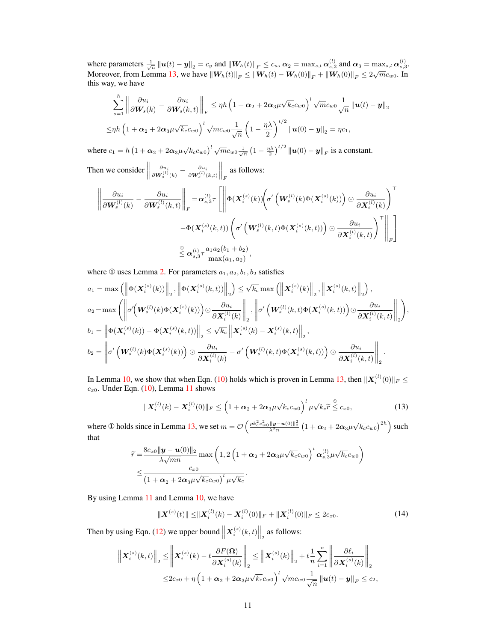where parameters  $\frac{1}{\sqrt{n}} ||u(t) - y||_2 = c_y$  and  $||W_h(t)||_F \le c_u$ ,  $\alpha_2 = \max_{s,l} \alpha_{s,2}^{(l)}$  and  $\alpha_3 = \max_{s,l} \alpha_{s,3}^{(l)}$ . Moreover, from Lemma [13,](#page-5-1) we have  $||W_h(t)||_F \le ||W_h(t) - W_h(0)||_F + ||W_h(0)||_F \le 2\sqrt{m}c_{w0}$ . In this way, we have

$$
\sum_{s=1}^{h} \left\| \frac{\partial u_i}{\partial \mathbf{W}_s(k)} - \frac{\partial u_i}{\partial \mathbf{W}_s(k,t)} \right\|_F \leq \eta h \left( 1 + \alpha_2 + 2\alpha_3 \mu \sqrt{k_c} c_{w0} \right)^l \sqrt{m} c_{w0} \frac{1}{\sqrt{n}} \left\| \mathbf{u}(t) - \mathbf{y} \right\|_2
$$
  

$$
\leq \eta h \left( 1 + \alpha_2 + 2\alpha_3 \mu \sqrt{k_c} c_{w0} \right)^l \sqrt{m} c_{w0} \frac{1}{\sqrt{n}} \left( 1 - \frac{\eta \lambda}{2} \right)^{t/2} \left\| \mathbf{u}(0) - \mathbf{y} \right\|_2 = \eta c_1,
$$

where  $c_1 = h \left( 1 + \alpha_2 + 2\alpha_3 \mu \sqrt{k_c} c_{w0} \right)^l \sqrt{m} c_{w0} \frac{1}{\sqrt{n}} \left( 1 - \frac{\eta \lambda}{2} \right)^{t/2} ||u(0) - y||_F$  is a constant.

Then we consider  $\parallel$  $\frac{\partial u_i}{\partial \bm{W}_s^{(l)}(k)} - \frac{\partial u_i}{\partial \bm{W}_s^{(l)}(k,t)}$  $\Big\|_F$  as follows:

$$
\left\|\frac{\partial u_i}{\partial \mathbf{W}_s^{(l)}(k)} - \frac{\partial u_i}{\partial \mathbf{W}_s^{(l)}(k,t)}\right\|_F = \alpha_{s,3}^{(l)} \tau \left[\left\|\Phi(\mathbf{X}_i^{(s)}(k))\left(\sigma'\left(\mathbf{W}_s^{(l)}(k)\Phi(\mathbf{X}_i^{(s)}(k))\right)\odot \frac{\partial u_i}{\partial \mathbf{X}_i^{(l)}(k)}\right)^\top \right.\left. - \Phi(\mathbf{X}_i^{(s)}(k,t))\left(\sigma'\left(\mathbf{W}_s^{(l)}(k,t)\Phi(\mathbf{X}_i^{(s)}(k,t))\right)\odot \frac{\partial u_i}{\partial \mathbf{X}_i^{(l)}(k,t)}\right)^\top\right\|_F\right]\n\n
$$
\leq \alpha_{s,3}^{(l)} \tau \frac{a_1 a_2(b_1 + b_2)}{\max(a_1, a_2)},
$$
$$

where  $\odot$  uses Lemma [2.](#page-3-1) For parameters  $a_1, a_2, b_1, b_2$  satisfies

$$
a_1 = \max \left( \left\| \Phi(\boldsymbol{X}_i^{(s)}(k)) \right\|_2, \left\| \Phi(\boldsymbol{X}_i^{(s)}(k,t)) \right\|_2 \right) \leq \sqrt{k_c} \max \left( \left\| \boldsymbol{X}_i^{(s)}(k) \right\|_2, \left\| \boldsymbol{X}_i^{(s)}(k,t) \right\|_2 \right),
$$
  
\n
$$
a_2 = \max \left( \left\| \sigma'(\boldsymbol{W}_s^{(l)}(k) \Phi(\boldsymbol{X}_i^{(s)}(k))) \right) \odot \frac{\partial u_i}{\partial \boldsymbol{X}_i^{(l)}(k)} \right\|_2, \left\| \sigma'(\boldsymbol{W}_s^{(l)}(k,t) \Phi(\boldsymbol{X}_i^{(s)}(k,t))) \right) \odot \frac{\partial u_i}{\partial \boldsymbol{X}_i^{(l)}(k,t)} \right\|_2,
$$
  
\n
$$
b_1 = \left\| \Phi(\boldsymbol{X}_i^{(s)}(k)) - \Phi(\boldsymbol{X}_i^{(s)}(k,t)) \right\|_2 \leq \sqrt{k_c} \left\| \boldsymbol{X}_i^{(s)}(k) - \boldsymbol{X}_i^{(s)}(k,t) \right\|_2,
$$
  
\n
$$
b_2 = \left\| \sigma'(\boldsymbol{W}_s^{(l)}(k) \Phi(\boldsymbol{X}_i^{(s)}(k))) \right) \odot \frac{\partial u_i}{\partial \boldsymbol{X}_i^{(l)}(k)} - \sigma'(\boldsymbol{W}_s^{(l)}(k,t) \Phi(\boldsymbol{X}_i^{(s)}(k,t))) \odot \frac{\partial u_i}{\partial \boldsymbol{X}_i^{(l)}(k,t)} \right\|_2.
$$

In Lemma [10,](#page-5-0) we show that when Eqn. [\(10\)](#page-5-0) holds which is proven in Lemma [13,](#page-5-1) then  $\|\mathbf{X}_{i}^{(l)}(0)\|_{F} \leq$  $c_{x0}$ . Under Eqn. [\(10\)](#page-5-0), Lemma [11](#page-5-3) shows

$$
\|\boldsymbol{X}_{i}^{(l)}(k)-\boldsymbol{X}_{i}^{(l)}(0)\|_{F}\leq\left(1+\alpha_{2}+2\alpha_{3}\mu\sqrt{k_{c}}c_{w0}\right)^{l}\mu\sqrt{k_{c}}\widetilde{r}\overset{\circ}{\leq}c_{x0},\tag{13}
$$

where ① holds since in Lemma [13,](#page-5-1) we set  $m = \mathcal{O}\left(\frac{\rho k_c^2 c_w^2 \sin \left|\mathbf{y}-\mathbf{u}(0)\right|\right|^2}{\lambda^2 n} \left(1+\alpha_2+2\alpha_3 \mu \sqrt{k_c} c_{w0}\right)^{2h}\right)$  such that

$$
\widetilde{r} = \frac{8c_{x0}||\mathbf{y} - \mathbf{u}(0)||_2}{\lambda\sqrt{mn}} \max\left(1, 2\left(1 + \alpha_2 + 2\alpha_3\mu\sqrt{k_c}c_{w0}\right)^l\alpha_{s,3}^{(l)}\mu\sqrt{k_c}c_{w0}\right) \newline \leq \frac{c_{x0}}{\left(1 + \alpha_2 + 2\alpha_3\mu\sqrt{k_c}c_{w0}\right)^l\mu\sqrt{k_c}}.
$$

By using Lemma [11](#page-5-3) and Lemma [10,](#page-5-0) we have

<span id="page-10-0"></span>
$$
\|\boldsymbol{X}^{(s)}(t)\| \leq \|\boldsymbol{X}_i^{(l)}(k) - \boldsymbol{X}_i^{(l)}(0)\|_F + \|\boldsymbol{X}_i^{(l)}(0)\|_F \leq 2c_{x0}.\tag{14}
$$

Then by using Eqn. [\(12\)](#page-9-0) we upper bound  $\left\| \mathbf{X}_{i}^{(s)}(k,t) \right\|_{2}$  as follows:

$$
\left\| \boldsymbol{X}_{i}^{(s)}(k,t) \right\|_{2} \leq \left\| \boldsymbol{X}_{i}^{(s)}(k) - t \frac{\partial F(\boldsymbol{\Omega})}{\partial \boldsymbol{X}_{i}^{(s)}(k)} \right\|_{2} \leq \left\| \boldsymbol{X}_{i}^{(s)}(k) \right\|_{2} + t \frac{1}{n} \sum_{i=1}^{n} \left\| \frac{\partial \ell_{i}}{\partial \boldsymbol{X}_{i}^{(s)}(k)} \right\|_{2}
$$
  

$$
\leq 2c_{x0} + \eta \left( 1 + \alpha_{2} + 2\alpha_{3}\mu\sqrt{k_{c}}c_{w0} \right)^{l} \sqrt{m}c_{w0} \frac{1}{\sqrt{n}} \left\| \boldsymbol{u}(t) - \boldsymbol{y} \right\|_{F} \leq c_{2},
$$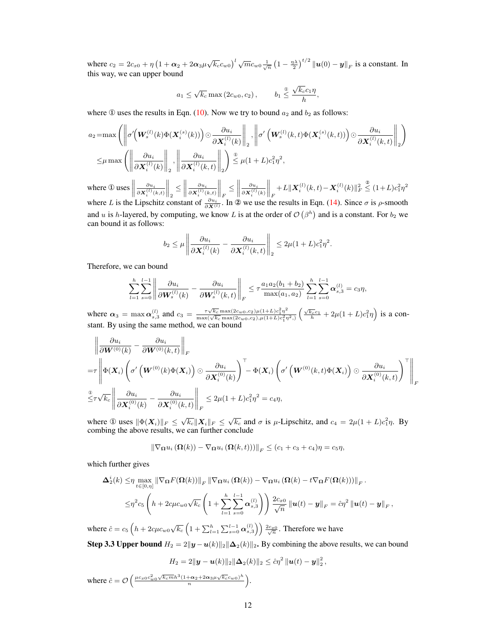where  $c_2 = 2c_{x0} + \eta \left(1 + \alpha_2 + 2\alpha_3 \mu \sqrt{k_c} c_{w0}\right)^l \sqrt{m} c_{w0} \frac{1}{\sqrt{n}} \left(1 - \frac{\eta \lambda}{2}\right)^{t/2} ||u(0) - y||_F$  is a constant. In this way, we can upper bound

$$
a_1 \le \sqrt{k_c} \max(2c_{w0}, c_2), \qquad b_1 \le \frac{\sqrt{k_c}c_1\eta}{h},
$$

where  $\Phi$  uses the results in Eqn. [\(10\)](#page-9-1). Now we try to bound  $a_2$  and  $b_2$  as follows:

$$
a_2 = \max \left( \left\| \sigma' \left( \mathbf{W}_s^{(l)}(k) \Phi(\mathbf{X}_i^{(s)}(k)) \right) \odot \frac{\partial u_i}{\partial \mathbf{X}_i^{(l)}(k)} \right\|_2, \left\| \sigma' \left( \mathbf{W}_s^{(l)}(k, t) \Phi(\mathbf{X}_i^{(s)}(k, t)) \right) \odot \frac{\partial u_i}{\partial \mathbf{X}_i^{(l)}(k, t)} \right\|_2 \right)
$$
  

$$
\leq \mu \max \left( \left\| \frac{\partial u_i}{\partial \mathbf{X}_i^{(l)}(k)} \right\|_2, \left\| \frac{\partial u_i}{\partial \mathbf{X}_i^{(l)}(k, t)} \right\|_2 \right) \stackrel{\circledcirc}{=} \mu (1 + L) c_1^2 \eta^2,
$$

where  $\mathbb{O}$  uses  $\parallel$  $\frac{\partial u_i}{\partial \bm{X}_i^{(l)}(k,t)}$  $\big\|_2$  $\leq$  $\frac{\partial u_i}{\partial \bm{X}_i^{(l)}(k,t)}$  $\bigg\|_F$  $\leq$  $\frac{\partial u_i}{\partial \bm{X}_i^{(l)}(k)}$  $\bigg\|_F$  $+L\|\bm{X}_i^{(l)}(k,t)\!-\!\bm{X}_i^{(l)}(k)\|_F^2$ <sup>2</sup>  $\leq (1+L)c_1^2\eta^2$ where L is the Lipschitz constant of  $\frac{\partial u_i}{\partial x^{(l)}}$ . In ② we use the results in Eqn. [\(14\)](#page-10-0). Since  $\sigma$  is  $\rho$ -smooth and u is h-layered, by computing, we know L is at the order of  $\mathcal{O}(\beta^h)$  and is a constant. For  $b_2$  we can bound it as follows:

$$
b_2 \leq \mu \left\| \frac{\partial u_i}{\partial \mathbf{X}_i^{(l)}(k)} - \frac{\partial u_i}{\partial \mathbf{X}_i^{(l)}(k,t)} \right\|_2 \leq 2\mu(1+L)c_1^2\eta^2.
$$

Therefore, we can bound

$$
\sum_{l=1}^h \sum_{s=0}^{l-1} \left\| \frac{\partial u_i}{\partial \mathbf{W}_s^{(l)}(k)} - \frac{\partial u_i}{\partial \mathbf{W}_s^{(l)}(k,t)} \right\|_F \leq \tau \frac{a_1 a_2 (b_1 + b_2)}{\max(a_1, a_2)} \sum_{l=1}^h \sum_{s=0}^{l-1} \alpha_{s,3}^{(l)} = c_3 \eta,
$$

where  $\alpha_3 = \max_{s,3} \alpha_{s,3}^{(l)}$  and  $c_3 = \frac{\tau \sqrt{k_c} \max(2c_{w0}, c_2) \mu(1+L)c_1^2 \eta^2}{\max(\sqrt{k_c} \max(2c_{w0}, c_2), \mu(1+L)c_1^2 \eta^2)} \left(\frac{\sqrt{k_c} c_1}{h} + 2\mu(1+L)c_1^2 \eta\right)$  is a constant. By using the same method, we can bound

$$
\left\|\frac{\partial u_i}{\partial \mathbf{W}^{(0)}(k)} - \frac{\partial u_i}{\partial \mathbf{W}^{(0)}(k,t)}\right\|_F
$$
\n
$$
= \tau \left\|\Phi(\mathbf{X}_i) \left(\sigma'\left(\mathbf{W}^{(0)}(k)\Phi(\mathbf{X}_i)\right) \odot \frac{\partial u_i}{\partial \mathbf{X}_i^{(0)}(k)}\right)^{\top} - \Phi(\mathbf{X}_i) \left(\sigma'\left(\mathbf{W}^{(0)}(k,t)\Phi(\mathbf{X}_i)\right) \odot \frac{\partial u_i}{\partial \mathbf{X}_i^{(0)}(k,t)}\right)^{\top}\right\|_F
$$
\n
$$
\overset{\circ}{\leq} \tau \sqrt{k_c} \left\|\frac{\partial u_i}{\partial \mathbf{X}_i^{(0)}(k)} - \frac{\partial u_i}{\partial \mathbf{X}_i^{(0)}(k,t)}\right\|_F \leq 2\mu(1+L)c_1^2 \eta^2 = c_4 \eta,
$$

where ① uses  $\|\Phi(\mathbf{X}_i)\|_F \leq \sqrt{k_c} \|\mathbf{X}_i\|_F \leq \sqrt{k_c}$  and  $\sigma$  is  $\mu$ -Lipschitz, and  $c_4 = 2\mu(1+L)c_1^2\eta$ . By combing the above results, we can further conclude

$$
\|\nabla_{\Omega} u_i\left(\Omega(k)\right)-\nabla_{\Omega} u_i\left(\Omega(k,t)\right))\|_F\leq (c_1+c_3+c_4)\eta=c_5\eta,
$$

which further gives

$$
\Delta_2^i(k) \leq \eta \max_{t \in [0,\eta]} \|\nabla_{\Omega} F(\Omega(k))\|_F \|\nabla_{\Omega} u_i(\Omega(k)) - \nabla_{\Omega} u_i(\Omega(k) - t \nabla_{\Omega} F(\Omega(k)))\|_F.
$$
  

$$
\leq \eta^2 c_5 \left( h + 2c\mu c_{w0} \sqrt{k_c} \left( 1 + \sum_{l=1}^h \sum_{s=0}^{l-1} \alpha_{s,3}^{(l)} \right) \right) \frac{2c_{x0}}{\sqrt{n}} \|u(t) - y\|_F = \hat{c}\eta^2 \|u(t) - y\|_F
$$

,

where  $\hat{c} = c_5 \left( h + 2c\mu c_{w0} \sqrt{k_c} \left( 1 + \sum_{l=1}^h \sum_{s=0}^{l-1} \alpha_{s,3}^{(l)} \right) \right) \frac{2c_{x0}}{\sqrt{n}}$ . Therefore we have

Step 3.3 Upper bound  $H_2 = 2||y - u(k)||_2||\Delta_2(k)||_2$ . By combining the above results, we can bound

$$
H_2 = 2\|\mathbf{y} - \mathbf{u}(k)\|_2 \|\mathbf{\Delta}_2(k)\|_2 \leq \hat{c}\eta^2 \|\mathbf{u}(t) - \mathbf{y}\|_2^2,
$$
  
where  $\hat{c} = \mathcal{O}\left(\frac{\mu c_{x0}c_{w0}^2 \sqrt{k_c m} h^3 (1 + \alpha_2 + 2\alpha_3 \mu \sqrt{k_c} c_{w0})^h}{n}\right).$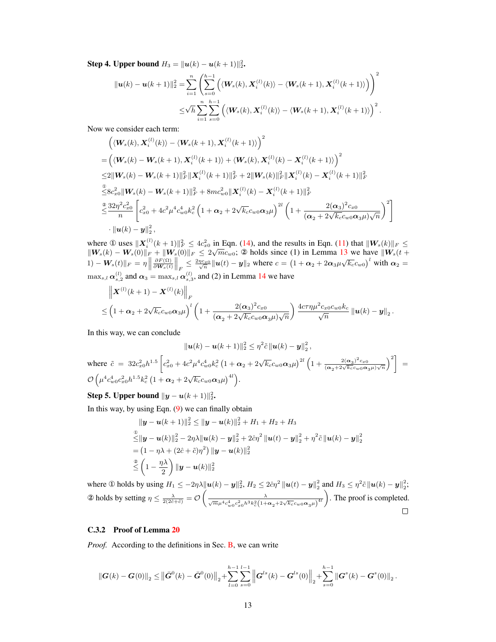**Step 4. Upper bound**  $H_3 = ||u(k) - u(k + 1)||_2^2$ .

$$
\|\boldsymbol{u}(k)-\boldsymbol{u}(k+1)\|_{2}^{2} = \sum_{i=1}^{n} \left( \sum_{s=0}^{h-1} \left( \langle \boldsymbol{W}_{s}(k), \boldsymbol{X}_{i}^{(l)}(k) \rangle - \langle \boldsymbol{W}_{s}(k+1), \boldsymbol{X}_{i}^{(l)}(k+1) \rangle \right) \right)^{2} \leq \sqrt{h} \sum_{i=1}^{n} \sum_{s=0}^{h-1} \left( \langle \boldsymbol{W}_{s}(k), \boldsymbol{X}_{i}^{(l)}(k) \rangle - \langle \boldsymbol{W}_{s}(k+1), \boldsymbol{X}_{i}^{(l)}(k+1) \rangle \right)^{2}.
$$

Now we consider each term:

$$
\left(\langle \mathbf{W}_s(k), \mathbf{X}_i^{(l)}(k)\rangle - \langle \mathbf{W}_s(k+1), \mathbf{X}_i^{(l)}(k+1)\rangle\right)^2
$$
\n
$$
= \left(\langle \mathbf{W}_s(k) - \mathbf{W}_s(k+1), \mathbf{X}_i^{(l)}(k+1)\rangle + \langle \mathbf{W}_s(k), \mathbf{X}_i^{(l)}(k) - \mathbf{X}_i^{(l)}(k+1)\rangle\right)^2
$$
\n
$$
\leq 2\|\mathbf{W}_s(k) - \mathbf{W}_s(k+1)\|_F^2 \|\mathbf{X}_i^{(l)}(k+1)\|_F^2 + 2\|\mathbf{W}_s(k)\|_F^2 \|\mathbf{X}_i^{(l)}(k) - \mathbf{X}_i^{(l)}(k+1)\|_F^2
$$
\n
$$
\overset{\circ}{\leq} 8c_{x0}^2 \|\mathbf{W}_s(k) - \mathbf{W}_s(k+1)\|_F^2 + 8mc_{w0}^2 \|\mathbf{X}_i^{(l)}(k) - \mathbf{X}_i^{(l)}(k+1)\|_F^2
$$
\n
$$
\overset{\circ}{\leq} \frac{32\eta^2 c_{x0}^2}{n} \left[c_{x0}^2 + 4c^2\mu^4 c_{w0}^4 k_c^2 \left(1 + \alpha_2 + 2\sqrt{k_c} c_{w0} \alpha_3 \mu\right)^{2l} \left(1 + \frac{2(\alpha_3)^2 c_{x0}}{(\alpha_2 + 2\sqrt{k_c} c_{w0} \alpha_3 \mu)\sqrt{n}}\right)^2\right]
$$
\n
$$
\cdot \|\mathbf{u}(k) - \mathbf{y}\|_2^2,
$$

where  $\mathbb{O}$  uses  $||\boldsymbol{X}_i^{(l)}(k+1)||_F^2 \leq 4c_{x0}^2$  in Eqn. [\(14\)](#page-10-0), and the results in Eqn. [\(11\)](#page-9-2) that  $||\boldsymbol{W}_s(k)||_F \leq$ where  $\mathcal{L}$  uses  $\|\mathbf{A}_i\|_F \leq 4c_{x0}$  in Eqn. (14), and the results in Eqn. (11) that  $\|\mathbf{W}_s(k)\|_F \leq$ <br> $\|\mathbf{W}_s(k) - \mathbf{W}_s(0)\|_F + \|\mathbf{W}_s(0)\|_F \leq 2\sqrt{mc_{w0}}$ ; 2 holds since (1) in Lemma [13](#page-5-1) we have  $\|\mathbf{W}_s(t +$  $(1) - \boldsymbol{W}_s(t) \|_F = \eta \Big\|$  $\frac{\partial F(\Omega)}{\partial W_s(t)}\Big\|_F \leq \frac{2\eta c_{x0}}{\sqrt{n}} \|u(t) - y\|_2$  where  $c = (1 + \alpha_2 + 2\alpha_3\mu\sqrt{k_c}c_{w0})^l$  with  $\alpha_2 =$  $\max_{s,l} \alpha_{s,2}^{(l)}$  and  $\alpha_3 = \max_{s,l} \alpha_{s,3}^{(l)}$ , and (2) in Lemma [14](#page-6-0) we have

$$
\left\| \boldsymbol{X}^{(l)}(k+1) - \boldsymbol{X}^{(l)}(k) \right\|_{F}
$$
  
 
$$
\leq \left( 1 + \alpha_2 + 2\sqrt{k_c} c_{w0} \alpha_3 \mu \right)^l \left( 1 + \frac{2(\alpha_3)^2 c_{x0}}{(\alpha_2 + 2\sqrt{k_c} c_{w0} \alpha_3 \mu) \sqrt{n}} \right) \frac{4c\tau \eta \mu^2 c_{x0} c_{w0} k_c}{\sqrt{n}} \left\| \boldsymbol{u}(k) - \boldsymbol{y} \right\|_2.
$$

In this way, we can conclude

$$
\|u(k) - u(k+1)\|_2^2 \le \eta^2 \tilde{c} \|u(k) - y\|_2^2,
$$
  
where  $\tilde{c} = 32c_{x0}^2 h^{1.5} \left[c_{x0}^2 + 4c^2 \mu^4 c_{w0}^4 k_c^2 \left(1 + \alpha_2 + 2\sqrt{k_c} c_{w0} \alpha_3 \mu\right)^{2l} \left(1 + \frac{2(\alpha_3)^2 c_{x0}}{(\alpha_2 + 2\sqrt{k_c} c_{w0} \alpha_3 \mu)\sqrt{n}}\right)^2\right] =$   
 $\mathcal{O}\left(\mu^4 c_{w0}^4 c_{x0}^2 h^{1.5} k_c^2 \left(1 + \alpha_2 + 2\sqrt{k_c} c_{w0} \alpha_3 \mu\right)^{4l}\right).$ 

Step 5. Upper bound  $\|{\boldsymbol{y}} - {\boldsymbol{u}}(k+1)\|_2^2$ .

In this way, by using Eqn.  $(9)$  we can finally obtain

$$
\|\mathbf{y} - \mathbf{u}(k+1)\|_{2}^{2} \leq \|\mathbf{y} - \mathbf{u}(k)\|_{2}^{2} + H_{1} + H_{2} + H_{3}
$$
  
\n
$$
\leq \|\mathbf{y} - \mathbf{u}(k)\|_{2}^{2} - 2\eta\lambda \|\mathbf{u}(k) - \mathbf{y}\|_{2}^{2} + 2\hat{c}\eta^{2} \|\mathbf{u}(t) - \mathbf{y}\|_{2}^{2} + \eta^{2}\tilde{c} \|\mathbf{u}(k) - \mathbf{y}\|_{2}^{2}
$$
  
\n
$$
= (1 - \eta\lambda + (2\hat{c} + \tilde{c})\eta^{2}) \|\mathbf{y} - \mathbf{u}(k)\|_{2}^{2}
$$
  
\n
$$
\leq \left(1 - \frac{\eta\lambda}{2}\right) \|\mathbf{y} - \mathbf{u}(k)\|_{2}^{2}
$$

where ① holds by using  $H_1 \le -2\eta\lambda \| \mathbf{u}(k) - \mathbf{y} \|_2^2$ ,  $H_2 \le 2\hat{c}\eta^2 \| \mathbf{u}(t) - \mathbf{y} \|_2^2$  and  $H_3 \le \eta^2 \tilde{c} \| \mathbf{u}(k) - \mathbf{y} \|_2^2$ ; 2 holds by setting  $\eta \le \frac{\lambda}{2(2\hat{c}+\tilde{c})} = \mathcal{O}\left(\frac{\lambda}{\sqrt{m}\mu^4 c_{w_0}^4 c_{x_0}^2 h^3 k_c^2 (1+\alpha_2+2\sqrt{k_c}c_{w_0}\alpha_3\mu)^{4l}}\right)$ . The proof is completed.  $\Box$ 

# <span id="page-12-0"></span>C.3.2 Proof of Lemma [20](#page-7-4)

*Proof.* According to the definitions in Sec. **B**, we can write

$$
\left\|\bm{G}(k)-\bm{G}(0)\right\|_2 \leq \left\|\bar{\bm{G}}^0(k)-\bar{\bm{G}}^0(0)\right\|_2 + \sum_{l=0}^{h-1}\sum_{s=0}^{l-1}\left\|\bm{G}^{ls}(k)-\bm{G}^{ls}(0)\right\|_2 + \sum_{s=0}^{h-1}\left\|\bm{G}^s(k)-\bm{G}^s(0)\right\|_2.
$$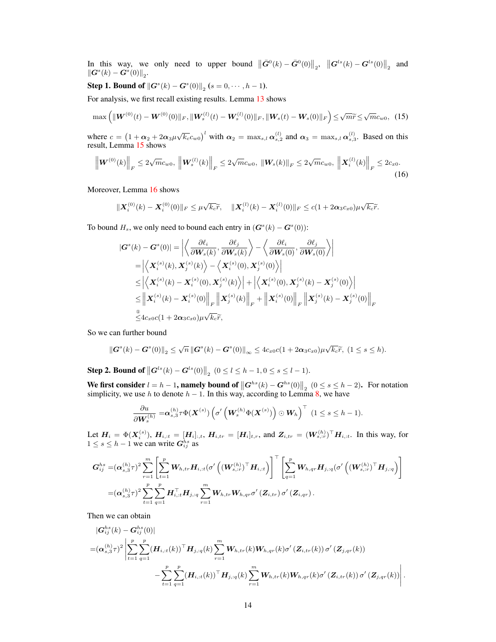In this way, we only need to upper bound  $\|\bar{G}^0(k) - \bar{G}^0(0)\|_2$ ,  $\|G^{ls}(k) - G^{ls}(0)\|_2$  and  $\|\boldsymbol{G}^s(k)-\boldsymbol{G}^s(0)\|_2.$ 

# **Step 1. Bound of**  $\|\bm{G}^s(k) - \bm{G}^s(0)\|_2$  ( $s = 0, \cdots, h-1$ ).

For analysis, we first recall existing results. Lemma [13](#page-5-1) shows

<span id="page-13-1"></span>
$$
\max\left(\|\boldsymbol{W}^{(0)}(t)-\boldsymbol{W}^{(0)}(0)\|_{F},\|\boldsymbol{W}_{s}^{(l)}(t)-\boldsymbol{W}_{s}^{(l)}(0)\|_{F},\|\boldsymbol{W}_{s}(t)-\boldsymbol{W}_{s}(0)\|_{F}\right)\leq\sqrt{m}\widetilde{r}\leq\sqrt{m}c_{w0},\tag{15}
$$

where  $c = (1 + \alpha_2 + 2\alpha_3\mu\sqrt{k_c}c_{w0})^l$  with  $\alpha_2 = \max_{s,l} \alpha_{s,2}^{(l)}$  and  $\alpha_3 = \max_{s,l} \alpha_{s,3}^{(l)}$ . Based on this result, Lemma [15](#page-6-1) shows

<span id="page-13-0"></span>
$$
\left\| \mathbf{W}^{(0)}(k) \right\|_{F} \leq 2\sqrt{m}c_{w0}, \, \left\| \mathbf{W}^{(l)}_{s}(k) \right\|_{F} \leq 2\sqrt{m}c_{w0}, \, \left\| \mathbf{W}_{s}(k) \right\|_{F} \leq 2\sqrt{m}c_{w0}, \, \left\| \mathbf{X}^{(l)}_{i}(k) \right\|_{F} \leq 2c_{x0}. \tag{16}
$$

Moreover, Lemma [16](#page-6-2) shows

$$
\|\boldsymbol{X}_{i}^{(0)}(k)-\boldsymbol{X}_{i}^{(0)}(0)\|_{F}\leq\mu\sqrt{k_{c}}\widetilde{r},\quad\|\boldsymbol{X}_{i}^{(l)}(k)-\boldsymbol{X}_{i}^{(l)}(0)\|_{F}\leq c(1+2\boldsymbol{\alpha}_{3}c_{x0})\mu\sqrt{k_{c}}\widetilde{r}.
$$

To bound  $H_s$ , we only need to bound each entry in  $(G<sup>s</sup>(k) - G<sup>s</sup>(0))$ :

$$
|\boldsymbol{G}^{s}(k) - \boldsymbol{G}^{s}(0)| = \left| \left\langle \frac{\partial \ell_{i}}{\partial \boldsymbol{W}_{s}(k)}, \frac{\partial \ell_{j}}{\partial \boldsymbol{W}_{s}(k)} \right\rangle - \left\langle \frac{\partial \ell_{i}}{\partial \boldsymbol{W}_{s}(0)}, \frac{\partial \ell_{j}}{\partial \boldsymbol{W}_{s}(0)} \right\rangle \right|
$$
  
\n
$$
= \left| \left\langle \boldsymbol{X}_{i}^{(s)}(k), \boldsymbol{X}_{j}^{(s)}(k) \right\rangle - \left\langle \boldsymbol{X}_{i}^{(s)}(0), \boldsymbol{X}_{j}^{(s)}(0) \right\rangle \right|
$$
  
\n
$$
\leq \left| \left\langle \boldsymbol{X}_{i}^{(s)}(k) - \boldsymbol{X}_{i}^{(s)}(0), \boldsymbol{X}_{j}^{(s)}(k) \right\rangle \right| + \left| \left\langle \boldsymbol{X}_{i}^{(s)}(0), \boldsymbol{X}_{j}^{(s)}(k) - \boldsymbol{X}_{j}^{(s)}(0) \right\rangle \right|
$$
  
\n
$$
\leq \left\| \boldsymbol{X}_{i}^{(s)}(k) - \boldsymbol{X}_{i}^{(s)}(0) \right\|_{F} \left\| \boldsymbol{X}_{j}^{(s)}(k) \right\|_{F} + \left\| \boldsymbol{X}_{i}^{(s)}(0) \right\|_{F} \left\| \boldsymbol{X}_{j}^{(s)}(k) - \boldsymbol{X}_{j}^{(s)}(0) \right\|_{F}
$$
  
\n
$$
\overset{\circ}{\leq} 4c_{x0}c(1 + 2\alpha_{3}c_{x0})\mu\sqrt{k_{c}}\widetilde{r},
$$

So we can further bound

$$
\left\|\boldsymbol{G}^{s}(k)-\boldsymbol{G}^{s}(0)\right\|_{2}\leq\sqrt{n}\left\|\boldsymbol{G}^{s}(k)-\boldsymbol{G}^{s}(0)\right\|_{\infty}\leq4c_{x0}c(1+2\boldsymbol{\alpha}_{3}c_{x0})\mu\sqrt{k_{c}}\widetilde{r},\ (1\leq s\leq h).
$$

**Step 2. Bound of**  $\left\|\mathbf{G}^{ls}(k) - \mathbf{G}^{ls}(0)\right\|_2$   $(0 \leq l \leq h-1, 0 \leq s \leq l-1)$ .

We first consider  $l = h - 1$ , namely bound of  $||G^{hs}(k) - G^{hs}(0)||_2$   $(0 \le s \le h - 2)$ . For notation simplicity, we use h to denote  $h - 1$ . In this way, according to Lemma [8,](#page-4-1) we have

$$
\frac{\partial u}{\partial \mathbf{W}_s^{(h)}} = \alpha_{s,3}^{(h)} \tau \Phi(\mathbf{X}^{(s)}) \left( \sigma' \left( \mathbf{W}_s^{(h)} \Phi(\mathbf{X}^{(s)}) \right) \odot \mathbf{W}_h \right)^{\top} \ (1 \leq s \leq h-1).
$$

Let  $H_i = \Phi(X_i^{(s)})$ ,  $H_{i,1} = [H_i]_{:,t}$ ,  $H_{i,tr} = [H_i]_{t,r}$ , and  $Z_{i,tr} = (W_{s,1}^{(h)})^{\top} H_{i,1}$ . In this way, for  $1 \leq s \leq h-1$  we can write  $G_{ij}^{hs}$  as

$$
G_{ij}^{hs} = = (\boldsymbol{\alpha}_{s,3}^{(h)} \tau)^2 \sum_{r=1}^m \left[ \sum_{t=1}^p \boldsymbol{W}_{h,tr} \boldsymbol{H}_{i,tt} (\sigma' \left( (\boldsymbol{W}_{s,:r}^{(h)})^\top \boldsymbol{H}_{i,tt} \right) \right]^\top \left[ \sum_{q=1}^p \boldsymbol{W}_{h,qr} \boldsymbol{H}_{j,;q} (\sigma' \left( (\boldsymbol{W}_{s,:r}^{(h)})^\top \boldsymbol{H}_{j,;q} \right) \right] \\ = (\boldsymbol{\alpha}_{s,3}^{(h)} \tau)^2 \sum_{t=1}^p \sum_{q=1}^p \boldsymbol{H}_{i,tt}^\top \boldsymbol{H}_{j,q} \sum_{r=1}^m \boldsymbol{W}_{h,tr} \boldsymbol{W}_{h,qr} \sigma' \left( \boldsymbol{Z}_{i,tr} \right) \sigma' \left( \boldsymbol{Z}_{i,qr} \right).
$$

Then we can obtain

 $\overline{h}$ 

 $\overline{h}$ 

$$
\begin{split}\n&|\mathbf{G}_{ij}^{hs}(k) - \mathbf{G}_{ij}^{ns}(0)| \\
&= (\mathbf{\alpha}_{s,3}^{(h)}\tau)^2 \left| \sum_{t=1}^p \sum_{q=1}^p (\mathbf{H}_{i,:t}(k))^{\top} \mathbf{H}_{j,:q}(k) \sum_{r=1}^m \mathbf{W}_{h,tr}(k) \mathbf{W}_{h,qr}(k) \sigma'(Z_{i,tr}(k)) \sigma'(Z_{j,qr}(k)) \right| \\
&- \sum_{t=1}^p \sum_{q=1}^p (\mathbf{H}_{i,:t}(k))^{\top} \mathbf{H}_{j,:q}(k) \sum_{r=1}^m \mathbf{W}_{h,tr}(k) \mathbf{W}_{h,qr}(k) \sigma'(Z_{i,tr}(k)) \sigma'(Z_{j,qr}(k)) \right|. \n\end{split}
$$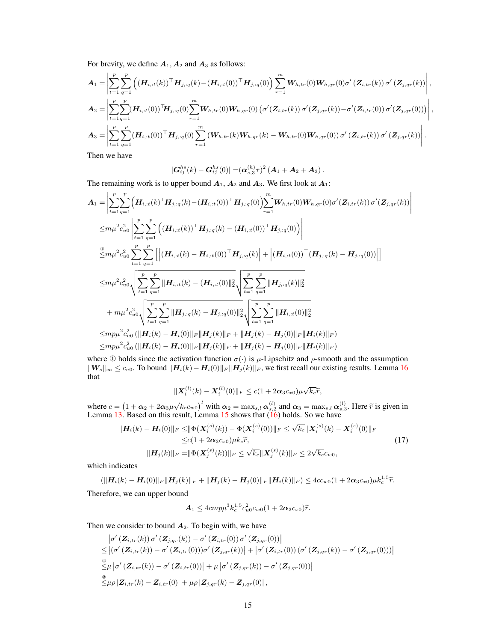For brevity, we define  $A_1$ ,  $A_2$  and  $A_3$  as follows:

$$
A_{1} = \left| \sum_{t=1}^{p} \sum_{q=1}^{p} \left( (\boldsymbol{H}_{i,:t}(k)) \top \boldsymbol{H}_{j,:q}(k) - (\boldsymbol{H}_{i,:t}(0)) \top \boldsymbol{H}_{j,:q}(0) \right) \sum_{r=1}^{m} \boldsymbol{W}_{h,tr}(0) \boldsymbol{W}_{h,qr}(0) \sigma' \left( \boldsymbol{Z}_{i,tr}(k) \right) \sigma' \left( \boldsymbol{Z}_{j,qr}(k) \right) \right|,
$$
  
\n
$$
A_{2} = \left| \sum_{t=1}^{p} \sum_{q=1}^{p} (\boldsymbol{H}_{i,:t}(0)) \top \boldsymbol{H}_{j,:q}(0) \sum_{r=1}^{m} \boldsymbol{W}_{h,tr}(0) \boldsymbol{W}_{h,qr}(0) \left( \sigma'(\boldsymbol{Z}_{i,tr}(k)) \sigma'(\boldsymbol{Z}_{j,qr}(k) - \sigma'(\boldsymbol{Z}_{i,tr}(0)) \sigma'(\boldsymbol{Z}_{j,qr}(0)) \right) \right|,
$$
  
\n
$$
A_{3} = \left| \sum_{t=1}^{p} \sum_{q=1}^{p} (\boldsymbol{H}_{i,:t}(0)) \top \boldsymbol{H}_{j,:q}(0) \sum_{r=1}^{m} (\boldsymbol{W}_{h,tr}(k) \boldsymbol{W}_{h,qr}(k) - \boldsymbol{W}_{h,tr}(0) \boldsymbol{W}_{h,qr}(0)) \sigma'(\boldsymbol{Z}_{i,tr}(k)) \sigma'(\boldsymbol{Z}_{j,qr}(k)) \right|.
$$

Then we have

$$
|\bm{G}_{ij}^{hs}(k)-\bm{G}_{ij}^{hs}(0)|=(\bm{\alpha}_{s,3}^{(h)}\tau)^2\left(\bm{A}_1+\bm{A}_2+\bm{A}_3\right).
$$

I  $\overline{\phantom{a}}$ I  $\mid$ 

The remaining work is to upper bound  $A_1$ ,  $A_2$  and  $A_3$ . We first look at  $A_1$ :

$$
A_{1} = \left| \sum_{t=1}^{p} \sum_{q=1}^{p} \left( \boldsymbol{H}_{i, :t}(k)^{\top} \boldsymbol{H}_{j, :q}(k) - (\boldsymbol{H}_{i, :t}(0))^{T} \boldsymbol{H}_{j, :q}(0) \right) \right|_{r=1}^{m} \boldsymbol{W}_{h, tr}(0) \boldsymbol{W}_{h, qr}(0) \sigma'(Z_{i, tr}(k)) \sigma'(Z_{j, qr}(k))
$$
  
\n
$$
\leq m \mu^{2} c_{u0}^{2} \left| \sum_{t=1}^{p} \sum_{q=1}^{p} \left( (\boldsymbol{H}_{i, :t}(k)^{\top} \boldsymbol{H}_{j, :q}(k) - (\boldsymbol{H}_{i, :t}(0))^{\top} \boldsymbol{H}_{j, :q}(0)) \right) \right|
$$
  
\n
$$
\frac{\mathbb{E}}{\leq} m \mu^{2} c_{u0}^{2} \sum_{t=1}^{p} \sum_{q=1}^{p} \left[ \left| (\boldsymbol{H}_{i, :t}(k) - \boldsymbol{H}_{i, :t}(0))^{\top} \boldsymbol{H}_{j, :q}(k) \right| + \left| (\boldsymbol{H}_{i, :t}(0))^{\top} (\boldsymbol{H}_{j, :q}(k) - \boldsymbol{H}_{j, :q}(0)) \right| \right]
$$
  
\n
$$
\leq m \mu^{2} c_{u0}^{2} \sqrt{\sum_{t=1}^{p} \sum_{q=1}^{p} \left\| \boldsymbol{H}_{i, :t}(k) - (\boldsymbol{H}_{i, :t}(0) \right\|_{2}^{2}} \sqrt{\sum_{t=1}^{p} \sum_{q=1}^{p} \left\| \boldsymbol{H}_{j, :q}(k) \right\|_{2}^{2}}
$$
  
\n
$$
+ m \mu^{2} c_{u0}^{2} \sqrt{\sum_{t=1}^{p} \sum_{q=1}^{p} \left\| \boldsymbol{H}_{j, :q}(k) - \boldsymbol{H}_{j, :q}(0) \right\|_{2}^{2}} \sqrt{\sum_{t=1}^{p} \sum_{q=1}^{p} \left\| \boldsymbol{H}_{i, :t}(0) \right\|_{2}^{2}}
$$
  
\n
$$
\leq m p \mu^{2} c_{u0}^{2} (\left\| \boldsymbol{H}_{i}(k) - \boldsymbol{H}_{i}(
$$

where ① holds since the activation function  $\sigma(\cdot)$  is  $\mu$ -Lipschitz and  $\rho$ -smooth and the assumption  $\|W_s\|_{\infty} \leq c_{u0}$ . To bound  $\|H_i(k) - H_i(0)\|_F \|H_j(k)\|_F$ , we first recall our existing results. Lemma [16](#page-6-2) that

<span id="page-14-0"></span>
$$
\|\boldsymbol{X}_{i}^{(l)}(k)-\boldsymbol{X}_{i}^{(l)}(0)\|_{F}\leq c(1+2\boldsymbol{\alpha}_3c_{x0})\mu\sqrt{k_c}\widetilde{r},
$$

where  $c = (1 + \alpha_2 + 2\alpha_3\mu\sqrt{k_c}c_{w0})^l$  with  $\alpha_2 = \max_{s,l} \alpha_{s,2}^{(l)}$  and  $\alpha_3 = \max_{s,l} \alpha_{s,3}^{(l)}$ . Here  $\tilde{r}$  is given in Lemma [13.](#page-5-1) Based on this result, Lemma [15](#page-6-1) shows that [\(16\)](#page-13-0) holds. So we have

$$
\|H_i(k) - H_i(0)\|_F \le \|\Phi(\mathbf{X}_i^{(s)}(k)) - \Phi(\mathbf{X}_i^{(s)}(0))\|_F \le \sqrt{k_c} \|\mathbf{X}_i^{(s)}(k) - \mathbf{X}_i^{(s)}(0)\|_F
$$
  
\n
$$
\le c(1 + 2\alpha_3 c_{x0})\mu k_c \tilde{r},
$$
  
\n
$$
\|\mathbf{H}_j(k)\|_F = \|\Phi(\mathbf{X}_j^{(s)}(k))\|_F \le \sqrt{k_c} \|\mathbf{X}_j^{(s)}(k)\|_F \le 2\sqrt{k_c} c_{w0},
$$
\n(17)

which indicates

$$
(\|\boldsymbol{H}_i(k)-\boldsymbol{H}_i(0)\|_F\|\boldsymbol{H}_j(k)\|_F+\|\boldsymbol{H}_j(k)-\boldsymbol{H}_j(0)\|_F\|\boldsymbol{H}_i(k)\|_F) \leq 4cc_{w0}(1+2\alpha_3c_{x0})\mu k_c^{1.5}\tilde{r}.
$$
  
Therefore, we can upper bound

$$
\mathbf{A}_1 \leq 4cmp\mu^3k_c^{1.5}c_{u0}^2c_{w0}(1+2\alpha_3c_{x0})\widetilde{r}.
$$

Then we consider to bound  $A_2$ . To begin with, we have

$$
\begin{split} &\left|\sigma'\left(\mathbf{Z}_{i,tr}(k)\right)\sigma'\left(\mathbf{Z}_{j,qr}(k)\right)-\sigma'\left(\mathbf{Z}_{i,tr}(0)\right)\sigma'\left(\mathbf{Z}_{j,qr}(0)\right)\right| \\ &\leq \left|\left(\sigma'\left(\mathbf{Z}_{i,tr}(k)\right)-\sigma'\left(\mathbf{Z}_{i,tr}(0)\right)\right)\sigma'\left(\mathbf{Z}_{j,qr}(k)\right)\right| + \left|\sigma'\left(\mathbf{Z}_{i,tr}(0)\right)\left(\sigma'\left(\mathbf{Z}_{j,qr}(k)\right)-\sigma'\left(\mathbf{Z}_{j,qr}(0)\right)\right)\right| \\ &\stackrel{\circ}{\leq} \mu\left|\sigma'\left(\mathbf{Z}_{i,tr}(k)\right)-\sigma'\left(\mathbf{Z}_{i,tr}(0)\right)\right| + \mu\left|\sigma'\left(\mathbf{Z}_{j,qr}(k)\right)-\sigma'\left(\mathbf{Z}_{j,qr}(0)\right)\right| \\ &\stackrel{\circ}{\leq} \mu\rho\left|\mathbf{Z}_{i,tr}(k)-\mathbf{Z}_{i,tr}(0)\right| + \mu\rho\left|\mathbf{Z}_{j,qr}(k)-\mathbf{Z}_{j,qr}(0)\right|, \end{split}
$$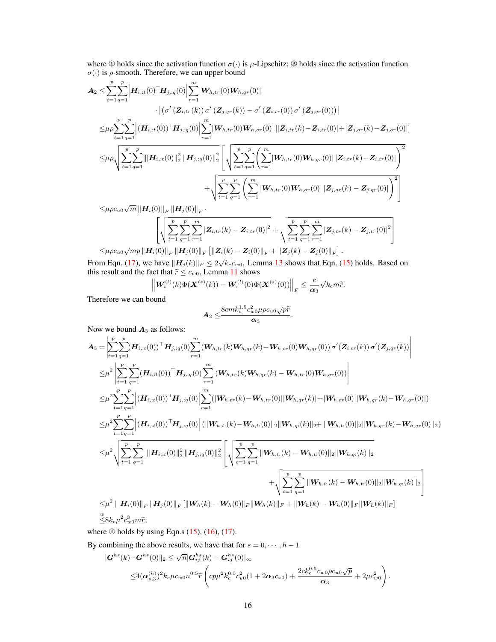where ① holds since the activation function  $\sigma(\cdot)$  is  $\mu$ -Lipschitz; ② holds since the activation function  $\sigma(\cdot)$  is  $\rho$ -smooth. Therefore, we can upper bound

$$
A_2 \leq \sum_{t=1}^p \sum_{q=1}^p \left| \boldsymbol{H}_{i, :t}(0)^\top \boldsymbol{H}_{j, :q}(0) \right| \sum_{r=1}^m \left| \boldsymbol{W}_{h,tr}(0) \boldsymbol{W}_{h,qr}(0) \right| \n\cdot \left| \left( \sigma'( \boldsymbol{Z}_{i,tr}(k)) \, \sigma'( \boldsymbol{Z}_{j,qr}(k)) - \sigma'( \boldsymbol{Z}_{i,tr}(0)) \, \sigma'( \boldsymbol{Z}_{j,qr}(0)) \right) \right| \n\leq \mu \rho \sum_{t=1}^p \sum_{q=1}^p \left| (\boldsymbol{H}_{i, :t}(0))^\top \boldsymbol{H}_{j, :q}(0) \right| \sum_{r=1}^m \left| \boldsymbol{W}_{h,tr}(0) \boldsymbol{W}_{h,qr}(0) \right| \left[ |\boldsymbol{Z}_{i,tr}(k) - \boldsymbol{Z}_{i,tr}(0)| + |\boldsymbol{Z}_{j,qr}(k) - \boldsymbol{Z}_{j,qr}(0)| \right] \n\leq \mu \rho \sqrt{\sum_{t=1}^p \sum_{q=1}^p \left| ||\boldsymbol{H}_{i, :t}(0)||_2^2 ||\boldsymbol{H}_{j, :q}(0)||_2^2 \left[ \sqrt{\sum_{t=1}^p \sum_{q=1}^p \left( \sum_{r=1}^m \left| \boldsymbol{W}_{h,tr}(0) \boldsymbol{W}_{h,qr}(0) \right| | \boldsymbol{Z}_{i,tr}(k) - \boldsymbol{Z}_{i,tr}(0)| \right)^2} + \sqrt{\sum_{t=1}^p \sum_{q=1}^p \sum_{q=1}^p \left( \sum_{r=1}^m \left| \boldsymbol{W}_{h,tr}(0) \boldsymbol{W}_{h,qr}(0) || \boldsymbol{Z}_{j,qr}(k) - \boldsymbol{Z}_{j,qr}(0) \right| \right)^2} \right] \n\leq \mu \rho c_{u0} \sqrt{m} \left\| \boldsymbol{H}_i(0) \right\|_F \left\| \boldsymbol{H}_i(0) \right\|_F.
$$

 $\leq$ μ $\rho c_{u0}\sqrt{m}\left\|\boldsymbol{H}_{i}(0)\right\|_{F}\left\|\boldsymbol{H}_{j}(0)\right\|_{F}$ 

$$
\leq\!\!\mu\rho c_{u0}\sqrt{mp}\left\|\left\{\sqrt{\sum_{t=1}^{p}\sum_{q=1}^{p}\sum_{r=1}^{m}|Z_{i,tr}(k)-Z_{i,tr}(0)|^{2}}+ \sqrt{\sum_{t=1}^{p}\sum_{q=1}^{p}\sum_{r=1}^{m}|Z_{j,tr}(k)-Z_{j,tr}(0)|^{2}}\right\}\right\|_{\mathcal{F}}\right\|\left\|\mathbf{H}_{i}(0)\right\|_{F}\left\|\mathbf{H}_{j}(0)\right\|_{F}\left\|\mathbf{Z}_{i}(k)-\mathbf{Z}_{i}(0)\right\|_{F}+\left\|\mathbf{Z}_{j}(k)-\mathbf{Z}_{j}(0)\right\|_{F}\right\|.
$$

From Eqn. [\(17\)](#page-14-0), we have  $||H_j(k)||_F \le 2\sqrt{k_c}c_{w0}$ . Lemma [13](#page-5-1) shows that Eqn. [\(15\)](#page-13-1) holds. Based on √ this result and the fact that  $\tilde{r} \leq c_{w0}$ , Lemma [11](#page-5-3) shows

$$
\left\| \boldsymbol{W}^{(l)}_{s}(k) \Phi(\boldsymbol{X}^{(s)}(k)) - \boldsymbol{W}^{(l)}_{s}(0) \Phi(\boldsymbol{X}^{(s)}(0)) \right\|_F \leq \frac{c}{\boldsymbol{\alpha}_3} \sqrt{k_c m} \widetilde{r}.
$$

Therefore we can bound

$$
\boldsymbol{A}_2 \leq \!\frac{8cm k_c^{1.5}c_{w0}^2\mu\rho c_{u0}\sqrt{p}\widetilde{r}}{\boldsymbol{\alpha}_3}.
$$

Now we bound  $A_3$  as follows:

$$
A_{3} = \left| \sum_{t=1}^{p} \sum_{q=1}^{p} (\boldsymbol{H}_{i,t}(0)) \boldsymbol{\bar{H}}_{j,i,q}(0) \sum_{r=1}^{m} (\boldsymbol{W}_{h,tr}(k) \boldsymbol{W}_{h,qr}(k) - \boldsymbol{W}_{h,tr}(0) \boldsymbol{W}_{h,qr}(0)) \sigma' (\boldsymbol{Z}_{i,tr}(k)) \sigma' (\boldsymbol{Z}_{j,qr}(k)) \right|
$$
  
\n
$$
\leq \mu^{2} \left| \sum_{t=1}^{p} \sum_{q=1}^{p} (\boldsymbol{H}_{i,t}(0)) \boldsymbol{\bar{H}}_{j,i,q}(0) \sum_{r=1}^{m} (\boldsymbol{W}_{h,tr}(k) \boldsymbol{W}_{h,qr}(k) - \boldsymbol{W}_{h,tr}(0) \boldsymbol{W}_{h,qr}(0)) \right|
$$
  
\n
$$
\leq \mu^{2} \sum_{t=1}^{p} \sum_{q=1}^{p} |(\boldsymbol{H}_{i,t}(0)) \boldsymbol{\bar{H}}_{j,i,q}(0) | \sum_{r=1}^{m} (\|\boldsymbol{W}_{h,tr}(k) - \boldsymbol{W}_{h,tr}(0)\| \|\boldsymbol{W}_{h,qr}(k) + \|\boldsymbol{W}_{h,tr}(0)\| \|\boldsymbol{W}_{h,qr}(k) - \boldsymbol{W}_{h,qr}(0)|)
$$
  
\n
$$
\leq \mu^{2} \sum_{t=1}^{p} \sum_{q=1}^{p} |(\boldsymbol{H}_{i,t}(0)) \boldsymbol{\bar{H}}_{j,i,q}(0) | (\|\boldsymbol{W}_{h,t,t}(k) - \boldsymbol{W}_{h,t,t}(0)\|_{2} \|\boldsymbol{W}_{h,q,t}(k) \|_{2} + \|\boldsymbol{W}_{h,t,t}(0) \|\boldsymbol{Z} \|\boldsymbol{W}_{h,r}(k) - \boldsymbol{W}_{h,qr}(0) \|_{2})
$$
  
\n
$$
\leq \mu^{2} \sqrt{\sum_{t=1}^{p} \sum_{q=1}^{p} ||(\boldsymbol{H}_{i,t,t}(0)||_{2}^{2} ||\boldsymbol{H}_{j,i,q}(0) ||_{2}^{2} ||\boldsymbol{H}_{j,i,q}(0) ||_{2}^{2} ||\boldsymbol{W}_{h,t}(k) - \boldsymbol{W}_{h,t,t}(0) ||_{2} ||\boldsymbol{W}_{h,q,t}(k) ||_{2})}
$$
  
\n
$$
\leq \mu^{2} ||(\boldsymbol
$$

where  $\Phi$  holds by using Eqn.s [\(15\)](#page-13-1), [\(16\)](#page-13-0), [\(17\)](#page-14-0).

By combining the above results, we have that for  $s = 0, \dots, h-1$ 

$$
|\mathbf{G}^{hs}(k) - \mathbf{G}^{hs}(0)|_{2} \leq \sqrt{n} |\mathbf{G}_{ij}^{hs}(k) - \mathbf{G}_{ij}^{hs}(0)|_{\infty}
$$
  
 
$$
\leq 4(\mathbf{\alpha}_{s,3}^{(h)})^{2} k_{c} \mu c_{w0} n^{0.5} \widetilde{r} \left( c p \mu^{2} k_{c}^{0.5} c_{u0}^{2}(1 + 2 \mathbf{\alpha}_{3} c_{x0}) + \frac{2 c k_{c}^{0.5} c_{w0} \rho c_{u0} \sqrt{p}}{\mathbf{\alpha}_{3}} + 2 \mu c_{w0}^{2} \right).
$$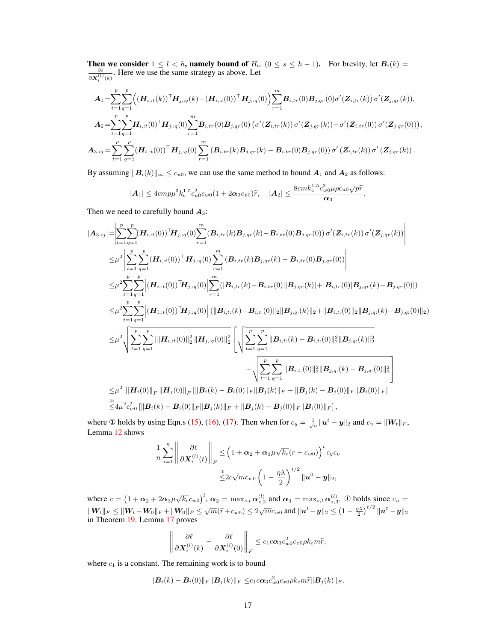Then we consider  $1 \leq l < h$ , namely bound of  $H_{ls}$   $(0 \leq s \leq h - 1)$ . For brevity, let  $B_i(k) = \frac{\partial \ell}{\partial X_i^{(l)}(k)}$ . Here we use the same strategy as above. Let

$$
A_{1} = \sum_{t=1}^{p} \sum_{q=1}^{p} \Big( (\boldsymbol{H}_{i,:t}(k))^\top \boldsymbol{H}_{j,:q}(k) - (\boldsymbol{H}_{i,:t}(0))^\top \boldsymbol{H}_{j,:q}(0) \Big) \sum_{r=1}^{m} \boldsymbol{B}_{i,tr}(0) \boldsymbol{B}_{j,qr}(0) \sigma'(Z_{i,tr}(k)) \sigma'(Z_{j,qr}(k)),
$$
  
\n
$$
A_{2} = \sum_{t=1}^{p} \sum_{q=1}^{p} \boldsymbol{H}_{i,:t}(0)^\top \boldsymbol{H}_{j,:q}(0) \sum_{r=1}^{m} \boldsymbol{B}_{i,tr}(0) \boldsymbol{B}_{j,qr}(0) (\sigma'(Z_{i,tr}(k)) \sigma'(Z_{j,qr}(k)) - \sigma'(Z_{i,tr}(0)) \sigma'(Z_{j,qr}(0))),
$$
  
\n
$$
A_{3,ij} = \sum_{t=1}^{p} \sum_{q=1}^{p} (\boldsymbol{H}_{i,:t}(0))^\top \boldsymbol{H}_{j,:q}(0) \sum_{r=1}^{m} (\boldsymbol{B}_{i,tr}(k) \boldsymbol{B}_{j,qr}(k) - \boldsymbol{B}_{i,tr}(0) \boldsymbol{B}_{j,qr}(0)) \sigma'(Z_{i,tr}(k)) \sigma'(Z_{j,qr}(k)).
$$

By assuming  $||B_i(k)||_{\infty} \le c_{u0}$ , we can use the same method to bound  $A_1$  and  $A_2$  as follows:

$$
|\mathbf{A}_1| \leq 4cmp\mu^3k_c^{1.5}c_{u0}^2c_{w0}(1+2\alpha_3c_{x0})\widetilde{r}, \quad |\mathbf{A}_2| \leq \frac{8cmk_c^{1.5}c_{w0}^2\mu\rho c_{u0}\sqrt{p}\widetilde{r}}{\alpha_3}.
$$

Then we need to carefully bound  $A_3$ :

$$
|\mathbf{A}_{3,ij}| = \left| \sum_{t=1}^{p} \sum_{q=1}^{p} (\mathbf{H}_{i,it}(0))^\top \mathbf{H}_{j,iq}(0) \sum_{r=1}^{m} (\mathbf{B}_{i,tr}(k) \mathbf{B}_{j,qr}(k) - \mathbf{B}_{i,tr}(0) \mathbf{B}_{j,qr}(0)) \sigma'(Z_{i,tr}(k)) \sigma'(Z_{j,qr}(k)) \right|
$$
  
\n
$$
\leq \mu^2 \left| \sum_{t=1}^{p} \sum_{q=1}^{p} (\mathbf{H}_{i,it}(0))^\top \mathbf{H}_{j,iq}(0) \sum_{r=1}^{m} (\mathbf{B}_{i,tr}(k) \mathbf{B}_{j,qr}(k) - \mathbf{B}_{i,tr}(0) \mathbf{B}_{j,qr}(0)) \right|
$$
  
\n
$$
\leq \mu^2 \sum_{t=1}^{p} \sum_{q=1}^{p} |(\mathbf{H}_{i,it}(0))^\top \mathbf{H}_{j,iq}(0) | \sum_{r=1}^{m} (|\mathbf{B}_{i,tr}(k) - \mathbf{B}_{i,tr}(0)||\mathbf{B}_{j,qr}(k)| + |\mathbf{B}_{i,tr}(0)||\mathbf{B}_{j,qr}(k) - \mathbf{B}_{j,qr}(0)|)
$$
  
\n
$$
\leq \mu^2 \sum_{t=1}^{p} \sum_{q=1}^{p} |(\mathbf{H}_{i,it}(0))^\top \mathbf{H}_{j,iq}(0) | (||\mathbf{B}_{i,t}(k) - \mathbf{B}_{i,t}(0)||_2 ||\mathbf{B}_{j,q}(k)||_2 + ||\mathbf{B}_{i,t}(0)||_2 ||\mathbf{B}_{j,q}(k) - \mathbf{B}_{j,q}(0)||_2)
$$
  
\n
$$
\leq \mu^2 \sqrt{\sum_{t=1}^{p} \sum_{q=1}^{p} |||\mathbf{H}_{i,it}(0)||_2^2 ||\mathbf{H}_{j,iq}(0)||_2^2} \left[ \sqrt{\sum_{t=1}^{p} \sum_{q=1}^{p} ||\mathbf{B}_{i,t}(k) - \mathbf{B}_{i,t}(0)||_2^2 ||\mathbf{B}_{j,q}(k)||_2^2} + \sqrt{\sum_{t=1}^{p} \sum_{q=1}^{p} ||\mathbf{B}_{i,t}(0)||_2^2 ||\mathbf{B}_{j,q}(
$$

where ① holds by using Eqn.s [\(15\)](#page-13-1), [\(16\)](#page-13-0), [\(17\)](#page-14-0). Then when for  $c_y = \frac{1}{\sqrt{n}} ||u^t - y||_2$  and  $c_u = ||W_t||_F$ , Lemma [12](#page-5-2) shows

$$
\frac{1}{n} \sum_{i=1}^{n} \left\| \frac{\partial \ell}{\partial \mathbf{X}_{i}^{(l)}(t)} \right\|_{F} \leq \left( 1 + \alpha_{2} + \alpha_{3} \mu \sqrt{k_{c}} (r + c_{w0}) \right)^{l} c_{y} c_{u}
$$

$$
\leq 2c \sqrt{m} c_{w0} \left( 1 - \frac{\eta \lambda}{2} \right)^{t/2} \| \mathbf{u}^{0} - \mathbf{y} \|_{2},
$$

where  $c = (1 + \alpha_2 + 2\alpha_3\mu\sqrt{k_c}c_{w0})^l$ ,  $\alpha_2 = \max_{s,l}\alpha_{s,2}^{(l)}$  and  $\alpha_3 = \max_{s,l}\alpha_{s,3}^{(l)}$ . ① holds since  $c_u =$  $||W_t||_F \le ||W_t - W_0||_F + ||W_0||_F \le \sqrt{m}(\tilde{r} + c_{w0}) \le 2\sqrt{m}c_{w0}$  and  $||u^t - y||_2 \le (1 - \frac{\eta \lambda}{2})^{t/2} ||u^0 - y||_2$ in Theorem [19.](#page-7-3) Lemma [17](#page-6-3) proves

$$
\left\|\frac{\partial \ell}{\partial \mathbf{X}_i^{(l)}(k)} - \frac{\partial \ell}{\partial \mathbf{X}_i^{(l)}(0)}\right\|_F \leq c_1 c \alpha_3 c_{w0}^2 c_{x0} \rho k_c m \widetilde{r},
$$

where  $c_1$  is a constant. The remaining work is to bound

$$
\|\boldsymbol{B}_i(k)-\boldsymbol{B}_i(0)\|_F\|\boldsymbol{B}_j(k)\|_F\leq c_1c\boldsymbol{\alpha}_3c_{w0}^2c_{x0}\rho k_cm\widetilde{r}\|\boldsymbol{B}_j(k)\|_F.
$$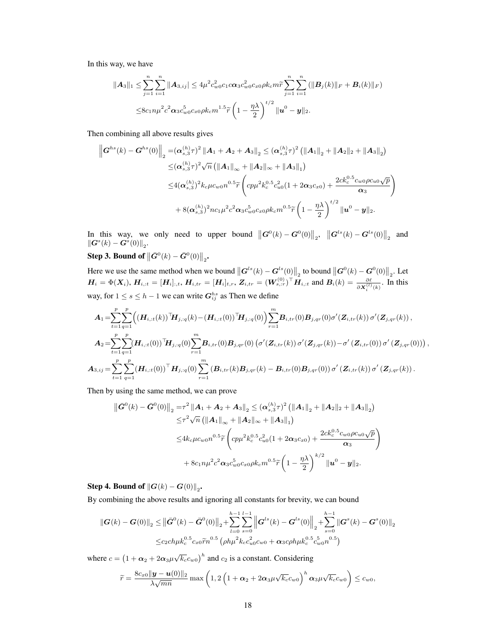In this way, we have

$$
\|A_3\|_1 \leq \sum_{j=1}^n \sum_{i=1}^n \|A_{3,ij}\| \leq 4\mu^2 c_{w0}^2 c_1 c \alpha_3 c_{w0}^2 c_{x0} \rho k_c m \widetilde{r} \sum_{j=1}^n \sum_{i=1}^n (\|B_j(k)\|_F + B_i(k)\|_F)
$$
  

$$
\leq 8c_1 n \mu^2 c^2 \alpha_3 c_{w0}^5 c_{x0} \rho k_c m^{1.5} \widetilde{r} \left(1 - \frac{\eta \lambda}{2}\right)^{t/2} \|u^0 - y\|_2.
$$

Then combining all above results gives

$$
\left\|G^{hs}(k) - G^{hs}(0)\right\|_2 = \left(\alpha_{s,3}^{(h)}\tau\right)^2 \left\|A_1 + A_2 + A_3\right\|_2 \leq \left(\alpha_{s,3}^{(h)}\tau\right)^2 \left(\|A_1\|_2 + \|A_2\|_2 + \|A_3\|_2\right)
$$
  
\n
$$
\leq \left(\alpha_{s,3}^{(h)}\tau\right)^2 \sqrt{n} \left(\|A_1\|_{\infty} + \|A_2\|_{\infty} + \|A_3\|_1\right)
$$
  
\n
$$
\leq 4\left(\alpha_{s,3}^{(h)}\right)^2 k_c \mu c_{w0} n^{0.5} \widetilde{\tau} \left(c p \mu^2 k_c^{0.5} c_{u0}^2 (1 + 2 \alpha_3 c_{x0}) + \frac{2 c k_c^{0.5} c_{w0} \rho c_{u0} \sqrt{p}}{\alpha_3}\right)
$$
  
\n
$$
+ 8\left(\alpha_{s,3}^{(h)}\right)^2 n c_1 \mu^2 c^2 \alpha_3 c_{w0}^5 c_{x0} \rho k_c m^{0.5} \widetilde{\tau} \left(1 - \frac{\eta \lambda}{2}\right)^{t/2} \|u^0 - y\|_2.
$$

In this way, we only need to upper bound  $\left\|\mathbf{G}^{0}(k) - \mathbf{G}^{0}(0)\right\|_{2}$ ,  $\left\|\mathbf{G}^{ls}(k) - \mathbf{G}^{ls}(0)\right\|_{2}$  and  $\|\boldsymbol{G}^s(k)-\boldsymbol{G}^s(0)\|_2.$ 

# Step 3. Bound of  $\left\|\bar{G}^0(k)-\bar{G}^0(0)\right\|_2$ .

Here we use the same method when we bound  $\|\boldsymbol{G}^{ls}(k) - \boldsymbol{G}^{ls}(0)\|_2$  to bound  $\|\boldsymbol{G}^{0}(k) - \boldsymbol{G}^{0}(0)\|_2$ . Let  $H_i = \Phi(X_i)$ ,  $H_{i, :t} = [H_i]_{:,t}$ ,  $H_{i, tr} = [H_i]_{t, r}$ ,  $Z_{i, tr} = (W_{s, :r}^{(0)})^{\top} H_{i, :t}$  and  $B_i(k) = \frac{\partial \ell}{\partial X_i^{(l)}(k)}$ . In this way, for  $1 \le s \le h - 1$  we can write  $G_{ij}^{hs}$  as Then we define

$$
A_{1} = \sum_{t=1}^{p} \sum_{q=1}^{p} \Big( (\boldsymbol{H}_{i,t}(k))^\top \boldsymbol{H}_{j,q}(k) - (\boldsymbol{H}_{i,t}(0))^\top \boldsymbol{H}_{j,q}(0) \Big) \sum_{r=1}^{m} \boldsymbol{B}_{i,tr}(0) \boldsymbol{B}_{j,qr}(0) \sigma'(Z_{i,tr}(k)) \sigma'(Z_{j,qr}(k)),
$$
  
\n
$$
A_{2} = \sum_{t=1}^{p} \sum_{q=1}^{p} (\boldsymbol{H}_{i,t}(0))^\top \boldsymbol{H}_{j,q}(0) \sum_{r=1}^{m} \boldsymbol{B}_{i,tr}(0) \boldsymbol{B}_{j,qr}(0) (\sigma'(Z_{i,tr}(k)) \sigma'(Z_{j,qr}(k)) - \sigma'(Z_{i,tr}(0)) \sigma'(Z_{j,qr}(0)) )
$$
  
\n
$$
A_{3,ij} = \sum_{t=1}^{p} \sum_{q=1}^{p} (\boldsymbol{H}_{i,tt}(0))^\top \boldsymbol{H}_{j,q}(0) \sum_{r=1}^{m} (\boldsymbol{B}_{i,tr}(k) \boldsymbol{B}_{j,qr}(k) - \boldsymbol{B}_{i,tr}(0) \boldsymbol{B}_{j,qr}(0)) \sigma'(Z_{i,tr}(k)) \sigma'(Z_{j,qr}(k)).
$$

,

Then by using the same method, we can prove

$$
\begin{split} \left\| \bar{G}^{0}(k) - \bar{G}^{0}(0) \right\|_{2} &= \tau^{2} \left\| A_{1} + A_{2} + A_{3} \right\|_{2} \leq (\alpha_{s,3}^{(h)} \tau)^{2} \left( \left\| A_{1} \right\|_{2} + \left\| A_{2} \right\|_{2} + \left\| A_{3} \right\|_{2} \right) \\ &\leq \tau^{2} \sqrt{n} \left( \left\| A_{1} \right\|_{\infty} + \left\| A_{2} \right\|_{\infty} + \left\| A_{3} \right\|_{1} \right) \\ &\leq 4k_{c} \mu c_{w0} n^{0.5} \widetilde{r} \left( c p \mu^{2} k_{c}^{0.5} c_{u0}^{2} (1 + 2 \alpha_{3} c_{x0}) + \frac{2 c k_{c}^{0.5} c_{w0} \rho c_{u0} \sqrt{p}}{\alpha_{3}} \right) \\ &\quad + 8c_{1} n \mu^{2} c^{2} \alpha_{3} c_{w0}^{5} c_{x0} \rho k_{c} m^{0.5} \widetilde{r} \left( 1 - \frac{\eta \lambda}{2} \right)^{k/2} \left\| \mathbf{u}^{0} - \mathbf{y} \right\|_{2} . \end{split}
$$

Step 4. Bound of  $\left\| \bm{G}(k)-\bm{G}(0)\right\|_2$ .

By combining the above results and ignoring all constants for brevity, we can bound

$$
\|G(k) - G(0)\|_{2} \leq \|\bar{G}^{0}(k) - \bar{G}^{0}(0)\|_{2} + \sum_{l=0}^{h-1} \sum_{s=0}^{l-1} \left\|G^{ls}(k) - G^{ls}(0)\right\|_{2} + \sum_{s=0}^{h-1} \left\|G^{s}(k) - G^{s}(0)\right\|_{2}
$$
  

$$
\leq c_{2}ch\mu k_{c}^{0.5} c_{x0} \widetilde{r}n^{0.5} \left(\rho h\mu^{2}k_{c}c_{u0}^{2}c_{w0} + \alpha_{3}c\rho h\mu k_{c}^{0.5}c_{w0}^{5}n^{0.5}\right)
$$

where  $c = (1 + \alpha_2 + 2\alpha_3\mu\sqrt{k_c}c_{w0})^h$  and  $c_2$  is a constant. Considering

$$
\widetilde{r} = \frac{8c_{x0}||\mathbf{y} - \mathbf{u}(0)||_2}{\lambda\sqrt{mn}} \max\left(1, 2\left(1 + \alpha_2 + 2\alpha_3\mu\sqrt{k_c}c_{w0}\right)^h\alpha_3\mu\sqrt{k_c}c_{w0}\right) \leq c_{w0},
$$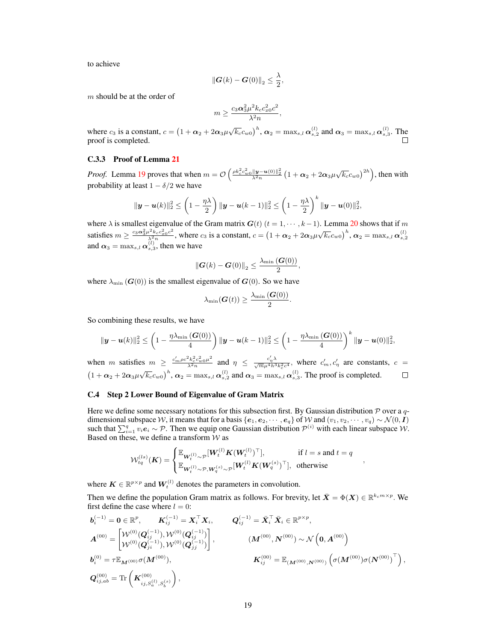to achieve

$$
\|\boldsymbol{G}(k)-\boldsymbol{G}(0)\|_2\leq \frac{\lambda}{2},
$$

m should be at the order of

$$
m \geq \frac{c_3 \alpha_3^2 \mu^2 k_c c_{x0}^2 c^2}{\lambda^2 n},
$$

where  $c_3$  is a constant,  $c = (1 + \alpha_2 + 2\alpha_3\mu\sqrt{k_c}c_{w0})^h$ ,  $\alpha_2 = \max_{s,l} \alpha_{s,2}^{(l)}$  and  $\alpha_3 = \max_{s,l} \alpha_{s,3}^{(l)}$ . The proof is completed. П

#### <span id="page-18-1"></span>C.3.3 Proof of Lemma [21](#page-7-0)

*Proof.* Lemma [19](#page-7-3) proves that when  $m = \mathcal{O}\left(\frac{\rho k_c^2 c_w^2 \omega_0 ||\mathbf{y}-\mathbf{u}(0)||_2^2}{\lambda^2 n} \left(1+\alpha_2+2\alpha_3\mu\sqrt{k_c}c_{w0}\right)^{2h}\right)$ , then with probability at least  $1 - \delta/2$  we have

$$
\|\mathbf{y}-\mathbf{u}(k)\|_2^2 \leq \left(1-\frac{\eta\lambda}{2}\right) \|\mathbf{y}-\mathbf{u}(k-1)\|_2^2 \leq \left(1-\frac{\eta\lambda}{2}\right)^k \|\mathbf{y}-\mathbf{u}(0)\|_2^2,
$$

where  $\lambda$  is smallest eigenvalue of the Gram matrix  $G(t)$  ( $t = 1, \dots, k-1$ ). Lemma [20](#page-7-4) shows that if m satisfies  $m \geq \frac{c_3 \alpha_3^2 \mu^2 k_c c_{x0}^2 c^2}{\lambda^2 n}$  $\frac{d^2 k_c c_{20}^2 c^2}{\lambda^2 n}$ , where  $c_3$  is a constant,  $c = (1 + \alpha_2 + 2\alpha_3 \mu \sqrt{k_c} c_{w0})^h$ ,  $\alpha_2 = \max_{s,l} \alpha_{s,2}^{(l)}$ and  $\alpha_3 = \max_{s,l} \alpha_{s,3}^{(l)}$ , then we have

$$
\|\boldsymbol{G}(k)-\boldsymbol{G}(0)\|_2 \leq \frac{\lambda_{\min}\left(\boldsymbol{G}(0)\right)}{2},
$$

where  $\lambda_{\min}$  ( $G(0)$ ) is the smallest eigenvalue of  $G(0)$ . So we have

$$
\lambda_{\min}(\boldsymbol{G}(t)) \geq \frac{\lambda_{\min}(\boldsymbol{G}(0))}{2}.
$$

So combining these results, we have

$$
\|\bm{y}-\bm{u}(k)\|_2^2 \leq \left(1 - \frac{\eta\lambda_{\min}\left(\bm{G}(0)\right)}{4}\right) \|\bm{y}-\bm{u}(k-1)\|_2^2 \leq \left(1 - \frac{\eta\lambda_{\min}\left(\bm{G}(0)\right)}{4}\right)^k \|\bm{y}-\bm{u}(0)\|_2^2,
$$

 $\frac{c_2^2 k_c^2 c_{w0}^2 \mu^2}{\lambda^2 n}$  and  $\eta \leq \frac{c'_\eta \lambda}{\sqrt{m} \mu^4 h^3 k_c^2 c^4}$ , where  $c'_m, c'_\eta$  are constants,  $c =$ when m satisfies  $m \geq \frac{c'_m \rho c^2 k_c^2 c_{w0}^2 \mu^2}{\lambda^2 m}$  $(1 + \alpha_2 + 2\alpha_3\mu\sqrt{k_c}c_{w0})^h$ ,  $\alpha_2 = \max_{s,l}\alpha_{s,2}^{(l)}$  and  $\alpha_3 = \max_{s,l}\alpha_{s,3}^{(l)}$ . The proof is completed.  $\Box$ 

# <span id="page-18-0"></span>C.4 Step 2 Lower Bound of Eigenvalue of Gram Matrix

Here we define some necessary notations for this subsection first. By Gaussian distribution  $P$  over a qdimensional subspace W, it means that for a basis { $e_1, e_2, \dots, e_q$ } of W and  $(v_1, v_2, \dots, v_q) \sim \mathcal{N}(0, I)$ such that  $\sum_{i=1}^{q} v_i e_i \sim \mathcal{P}$ . Then we equip one Gaussian distribution  $\mathcal{P}^{(i)}$  with each linear subspace W. Based on these, we define a transform  $W$  as

$$
\mathcal{W}_{tq}^{(ls)}(\mathbf{K}) = \begin{cases} \mathbb{E}_{\mathbf{W}_{t}^{(l)} \sim \mathcal{P}}[\mathbf{W}_{t}^{(l)} \mathbf{K}(\mathbf{W}_{t}^{(l)})^{\top}], & \text{if } l = s \text{ and } t = q \\ \mathbb{E}_{\mathbf{W}_{t}^{(l)} \sim \mathcal{P}, \mathbf{W}_{q}^{(s)} \sim \mathcal{P}}[\mathbf{W}_{t}^{(l)} \mathbf{K}(\mathbf{W}_{q}^{(s)})^{\top}], & \text{otherwise} \end{cases}
$$

,

where  $K \in \mathbb{R}^{p \times p}$  and  $W_t^{(l)}$  denotes the parameters in convolution.

Then we define the population Gram matrix as follows. For brevity, let  $\bar{X} = \Phi(X) \in \mathbb{R}^{k_c m \times p}$ . We first define the case where  $l = 0$ :

$$
b_i^{(-1)} = 0 \in \mathbb{R}^p, \qquad K_{ij}^{(-1)} = X_i^{\top} X_i, \qquad Q_{ij}^{(-1)} = \bar{X}_i^{\top} \bar{X}_i \in \mathbb{R}^{p \times p},
$$
  
\n
$$
A^{(00)} = \begin{bmatrix} \mathcal{W}^{(0)}(\mathbf{Q}_{ij}^{(-1)}), \mathcal{W}^{(0)}(\mathbf{Q}_{ij}^{(-1)}) \\ \mathcal{W}^{(0)}(\mathbf{Q}_{ji}^{(-1)}), \mathcal{W}^{(0)}(\mathbf{Q}_{ij}^{(-1)}) \end{bmatrix}, \qquad (M^{(00)}, N^{(00)}) \sim \mathcal{N}\left(0, A^{(00)}\right)
$$
  
\n
$$
b_i^{(0)} = \tau \mathbb{E}_{\mathbf{M}^{(00)}} \sigma(\mathbf{M}^{(00)}), \qquad \qquad \mathbf{K}_{ij}^{(00)} = \mathbb{E}_{\left(\mathbf{M}^{(00)}, \mathbf{N}^{(00)}\right)} \left(\sigma(\mathbf{M}^{(00)})\sigma(\mathbf{N}^{(00)})^{\top}\right),
$$
  
\n
$$
\mathbf{Q}_{ij,ab}^{(00)} = \text{Tr}\left(\mathbf{K}_{ij, S_a^{(1)}, S_b^{(s)}}^{(0)}\right),
$$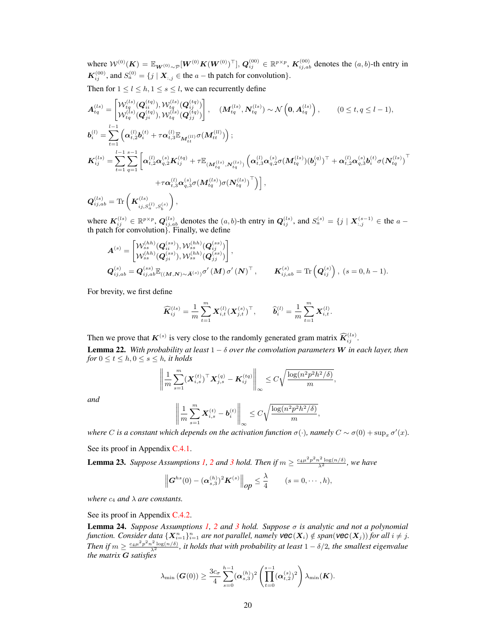where  $\mathcal{W}^{(0)}(K) = \mathbb{E}_{\boldsymbol{W}^{(0)}\sim\mathcal{P}}[\boldsymbol{W}^{(0)}K(\boldsymbol{W}^{(0)})^\top],$   $\boldsymbol{Q}_{ij}^{(00)}\in\mathbb{R}^{p\times p}$ ,  $\boldsymbol{K}_{ij,ab}^{(00)}$  denotes the  $(a,b)$ -th entry in  $K_{ij}^{(00)}$ , and  $S_a^{(0)} = \{j \mid \mathbf{X}_{:,j} \in \text{the } a - \text{th patch for convolution}\}.$ 

Then for  $1 \leq l \leq h, 1 \leq s \leq l$ , we can recurrently define

$$
A_{tq}^{(ls)} = \begin{bmatrix} \mathcal{W}_{tq}^{(ls)}(\mathbf{Q}_{ii}^{(tq)}), \mathcal{W}_{tq}^{(ls)}(\mathbf{Q}_{ij}^{(tq)}) \\ \mathcal{W}_{tq}^{(ls)}(\mathbf{Q}_{ji}^{(tq)}), \mathcal{W}_{tq}^{(ls)}(\mathbf{Q}_{jj}^{(tq)}) \end{bmatrix}, \quad (M_{tq}^{(ls)}, \mathbf{N}_{tq}^{(ls)}) \sim \mathcal{N}\left(\mathbf{0}, \mathbf{A}_{tq}^{(ls)}\right), \qquad (0 \leq t, q \leq l-1),
$$
  
\n
$$
\mathbf{b}_{i}^{(l)} = \sum_{t=1}^{l-1} \left( \alpha_{t,2}^{(l)} \mathbf{b}_{i}^{(t)} + \tau \alpha_{t,3}^{(l)} \mathbb{E}_{\mathbf{M}_{tt}^{(ll)}} \sigma(\mathbf{M}_{tt}^{(ll)}) \right);
$$
  
\n
$$
\mathbf{K}_{ij}^{(ls)} = \sum_{t=1}^{l-1} \sum_{q=1}^{s-1} \left[ \alpha_{t,2}^{(l)} \alpha_{q,2}^{(s)} \mathbf{K}_{ij}^{(tq)} + \tau \mathbb{E}_{(\mathbf{M}_{tq}^{(ls)}, \mathbf{N}_{tq}^{(ls)})} \left( \alpha_{t,3}^{(l)} \alpha_{q,2}^{(s)} \sigma(\mathbf{M}_{tq}^{(ls)}) (\mathbf{b}_{j}^{(q)})^\top + \alpha_{t,2}^{(l)} \alpha_{q,3}^{(s)} \mathbf{b}_{i}^{(t)} \sigma(\mathbf{N}_{tq}^{(ls)})^\top \right) + \tau \alpha_{t,3}^{(l)} \alpha_{q,3}^{(s)} \sigma(\mathbf{M}_{tq}^{(ls)}) \sigma(\mathbf{N}_{tq}^{(ls)})^\top \right],
$$

 $\boldsymbol{Q}^{\left(ls\right)}_{ij,ab}=\text{Tr}\left(\boldsymbol{K}_{ij,S_{a}^{\left(l\right)},S_{b}^{\left(s\right)}}^{\left(ls\right)}$  $\bigg),$ 

where  $K_{ij}^{(ls)} \in \mathbb{R}^{p \times p}$ ,  $Q_{ij,ab}^{(ls)}$  denotes the  $(a, b)$ -th entry in  $Q_{ij}^{(ls)}$ , and  $S_a^{(s)} = \{j \mid X_{:,j}^{(s-1)} \in$  the  $a$ th patch for convolution}. Finally, we define

$$
A^{(s)} = \begin{bmatrix} \mathcal{W}_{ss}^{(hh)}(\mathbf{Q}_{is}^{(ss)}), \mathcal{W}_{ss}^{(hh)}(\mathbf{Q}_{is}^{(ss)}) \\ \mathcal{W}_{ss}^{(hh)}(\mathbf{Q}_{js}^{(ss)}), \mathcal{W}_{ss}^{(hh)}(\mathbf{Q}_{js}^{(ss)}) \end{bmatrix},
$$
  
\n
$$
\mathbf{Q}_{ij,ab}^{(s)} = \mathbf{Q}_{ij,ab}^{(ss)} \mathbb{E}_{((M,N) \sim \bar{A}^{(s)})} \sigma'(M) \sigma'(N)^{\top}, \qquad \mathbf{K}_{ij,ab}^{(s)} = \text{Tr}(\mathbf{Q}_{ij}^{(s)}) , (s = 0, h - 1).
$$

For brevity, we first define

$$
\widehat{\bm{K}}_{i j}^{(ls)} = \frac{1}{m} \sum_{t=1}^{m} \bm{X}_{i,t}^{(l)} (\bm{X}_{j,t}^{(s)})^\top, \qquad \widehat{\bm{b}}_i^{(l)} = \frac{1}{m} \sum_{t=1}^{m} \bm{X}_{i,t}^{(l)}.
$$

Then we prove that  $K^{(s)}$  is very close to the randomly generated gram matrix  $\widehat{K}_{ij}^{(ls)}$ .

<span id="page-19-1"></span>**Lemma 22.** With probability at least  $1 - \delta$  over the convolution parameters W in each layer, then *for*  $0 \le t \le h, 0 \le s \le h$ *, it holds* 

$$
\left\| \frac{1}{m} \sum_{s=1}^{m} (\boldsymbol{X}_{i,s}^{(t)})^{\top} \boldsymbol{X}_{j,s}^{(q)} - \boldsymbol{K}_{ij}^{(tq)} \right\|_{\infty} \leq C \sqrt{\frac{\log(n^2 p^2 h^2 / \delta)}{m}},
$$

*and*

$$
\left\| \frac{1}{m} \sum_{s=1}^m \boldsymbol{X}_{i,s}^{(t)} - \boldsymbol{b}_i^{(t)} \right\|_{\infty} \le C \sqrt{\frac{\log(n^2 p^2 h^2/\delta)}{m}},
$$

*where C* is a constant which depends on the activation function  $\sigma(\cdot)$ , namely  $C \sim \sigma(0) + \sup_x \sigma'(x)$ .

See its proof in Appendix [C.4.1.](#page-20-0)

<span id="page-19-2"></span>**Lemma [2](#page-0-2)[3](#page-0-2).** Suppose Assumptions [1,](#page-0-2) 2 and 3 hold. Then if  $m \ge \frac{c_4\mu^2p^2n^2\log(n/\delta)}{\lambda^2}$ , we have

$$
\left\| \mathbf{G}^{hs}(0) - (\boldsymbol{\alpha}_{s,3}^{(h)})^2 \mathbf{K}^{(s)} \right\|_{op} \leq \frac{\lambda}{4} \qquad (s = 0, \cdots, h),
$$

*where*  $c_4$  *and*  $\lambda$  *are constants.* 

See its proof in Appendix [C.4.2.](#page-23-0)

<span id="page-19-0"></span>Lemma 24. *Suppose Assumptions [1,](#page-0-2) [2](#page-0-2) and [3](#page-0-2) hold. Suppose* σ *is analytic and not a polynomial*  $f$ unction. Consider data  $\{X_{i=1}^n\}_{i=1}^n$  are not parallel, namely  $\text{vec}(X_i) \notin span(\text{vec}(X_j))$  for all  $i \neq j$ . Then if  $m \geq \frac{c_4\mu^2p^2n^2\log(n/\delta)}{\lambda^2}$ , it holds that with probability at least  $1-\delta/2$ , the smallest eigenvalue *the matrix* G *satisfies*

$$
\lambda_{\min}(\boldsymbol{G}(0)) \geq \frac{3c_{\sigma}}{4} \sum_{s=0}^{h-1} (\boldsymbol{\alpha}_{s,3}^{(h)})^2 \left( \prod_{t=0}^{s-1} (\boldsymbol{\alpha}_{t,2}^{(s)})^2 \right) \lambda_{\min}(\boldsymbol{K}).
$$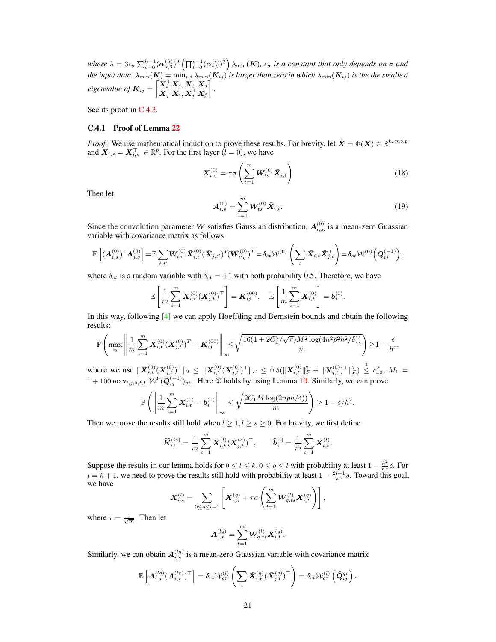where  $\lambda = 3c_\sigma \sum_{s=0}^{h-1} (\alpha_{s,3}^{(h)})^2 \left( \prod_{t=0}^{s-1} (\alpha_{t,2}^{(s)})^2 \right) \lambda_{\min}(\mathbf{K})$ ,  $c_\sigma$  is a constant that only depends on  $\sigma$  and *the input data,*  $\lambda_{\min}(\mathbf{K}) = \min_{i,j} \lambda_{\min}(\mathbf{K}_{ij})$  *is larger than zero in which*  $\lambda_{\min}(\mathbf{K}_{ij})$  *is the the smallest*  $eigenvalue of$   $K_{ij} = \begin{bmatrix} X_i^{\top} X_j, X_i^{\top} X_j, \\ \mathbf{v}^{\top} \mathbf{v} & \mathbf{v}^{\top} \mathbf{v} \end{bmatrix}$  $\boldsymbol{X}_j^\top\boldsymbol{X}_i, \boldsymbol{X}_j^\top\boldsymbol{X}_j$ *.*

See its proof in [C.4.3.](#page-25-0)

#### <span id="page-20-0"></span>C.4.1 Proof of Lemma [22](#page-19-1)

*Proof.* We use mathematical induction to prove these results. For brevity, let  $\bar{X} = \Phi(X) \in \mathbb{R}^{k_c m \times p}$ and  $\mathbf{X}_{i,s} = \mathbf{X}_{i,s:}^{\top} \in \mathbb{R}^{p}$ . For the first layer  $(l = 0)$ , we have

$$
\mathbf{X}_{i,s}^{(0)} = \tau \sigma \left( \sum_{t=1}^{m} \mathbf{W}_{ts}^{(0)} \bar{\mathbf{X}}_{i,t} \right)
$$
 (18)

Then let

$$
A_{i,s}^{(0)} = \sum_{t=1}^{m} W_{ts}^{(0)} \bar{X}_{i,t}.
$$
 (19)

Since the convolution parameter W satisfies Gaussian distribution,  $A_{i,s}^{(0)}$  is a mean-zero Guassian variable with covariance matrix as follows

$$
\mathbb{E}\left[({\boldsymbol{A}}_{i,s}^{(0)})^\top{\boldsymbol{A}}_{j,q}^{(0)}\right] = \mathbb{E}\sum_{t,t'} {\boldsymbol{W}}_{ts}^{(0)} \bar{{\boldsymbol{X}}}_{i,t}^{(0)} (\bar{{\boldsymbol{X}}}_{j,t'})^T({\boldsymbol{W}}_{t'q}^{(0)})^T = \delta_{st}{\mathcal{W}}^{(0)}\left(\sum_{t} \bar{{\boldsymbol{X}}}_{i,t} \bar{{\boldsymbol{X}}}_{j,t}^\top\right) = \delta_{st}{\mathcal{W}}^{(0)}\left({\boldsymbol{Q}}_{ij}^{(-1)}\right),
$$

where  $\delta_{st}$  is a random variable with  $\delta_{st} = \pm 1$  with both probability 0.5. Therefore, we have

$$
\mathbb{E}\left[\frac{1}{m}\sum_{i=1}^{m} \boldsymbol{X}_{i,t}^{(0)}(\boldsymbol{X}_{j,t}^{(0)})^{\top}\right] = \boldsymbol{K}_{ij}^{(00)}, \quad \mathbb{E}\left[\frac{1}{m}\sum_{i=1}^{m} \boldsymbol{X}_{i,t}^{(0)}\right] = \boldsymbol{b}_{i}^{(0)}.
$$

In this way, following [\[4\]](#page-41-3) we can apply Hoeffding and Bernstein bounds and obtain the following results:

$$
\mathbb{P}\left(\max_{ij}\left\|\frac{1}{m}\sum_{t=1}^{m}\boldsymbol{X}^{(0)}_{i,t}(\boldsymbol{X}^{(0)}_{j,t})^T - \boldsymbol{K}^{(00)}_{ij}\right\|_{\infty} \leq \sqrt{\frac{16(1+2C_1^2/\sqrt{\pi})M^2\log(4n^2p^2h^2/\delta))}{m}}\right) \geq 1-\frac{\delta}{h^2},
$$

where we use  $\|\mathbf{X}_{i,t}^{(0)}(\mathbf{X}_{j,t}^{(0)})^\top\|_2 \leq \|\mathbf{X}_{i,t}^{(0)}(\mathbf{X}_{j,t}^{(0)})^\top\|_F \leq 0.5(\|\mathbf{X}_{i,t}^{(0)}\|_F^2 + \|\mathbf{X}_{j,t}^{(0)})^\top\|_F^2) \stackrel{\circ}{\leq} c_{x0}^2$ ,  $M_1 =$  $1 + 100 \max_{i,j,s,t,l} |\mathcal{W}^0(\mathbf{Q}_{ij}^{(-1)})_{st}|$ . Here ① holds by using Lemma [10.](#page-5-0) Similarly, we can prove

$$
\mathbb{P}\left(\left\|\frac{1}{m}\sum_{t=1}^m \boldsymbol{X}_{i,t}^{(1)} - \boldsymbol{b}_i^{(1)}\right\|_{\infty} \leq \sqrt{\frac{2C_1M\log(2nph/\delta))}{m}}\right) \geq 1 - \delta/h^2.
$$

Then we prove the results still hold when  $l \geq 1, l \geq s \geq 0$ . For brevity, we first define

$$
\widehat{\bm{K}}_{i j}^{(ls)} = \frac{1}{m} \sum_{t=1}^{m} \bm{X}_{i,t}^{(l)} (\bm{X}_{j,t}^{(s)})^\top, \qquad \widehat{\bm{b}}_i^{(l)} = \frac{1}{m} \sum_{t=1}^{m} \bm{X}_{i,t}^{(l)}.
$$

Suppose the results in our lemma holds for  $0 \le l \le k, 0 \le q \le l$  with probability at least  $1 - \frac{k^2}{h^2} \delta$ . For  $l = k + 1$ , we need to prove the results still hold with probability at least  $1 - \frac{2l-1}{h^2} \delta$ . Toward this goal, we have

$$
\mathbf{X}_{i,s}^{(l)} = \sum_{0 \le q \le l-1} \left[ \mathbf{X}_{i,s}^{(q)} + \tau \sigma \left( \sum_{t=1}^{m} \mathbf{W}_{q,ts}^{(l)} \bar{\mathbf{X}}_{i,t}^{(q)} \right) \right],
$$

where  $\tau = \frac{1}{\sqrt{m}}$ . Then let

$$
\boldsymbol{A}^{(lq)}_{i,s} = \sum_{t=1}^m \boldsymbol{W}^{(l)}_{q,ts} \bar{\boldsymbol{X}}^{(q)}_{i,t}.
$$

Similarly, we can obtain  $A_{i,s}^{(lq)}$  is a mean-zero Guassian variable with covariance matrix

$$
\mathbb{E}\left[\bm{A}_{i,s}^{(lq)}(\bm{A}_{i,s}^{(lr)})^\top\right] = \delta_{st}\mathcal{W}_{qr}^{(l)}\left(\sum_t\bar{\bm{X}}_{i,t}^{(q)}(\bar{\bm{X}}_{j,t}^{(q)})^\top\right) = \delta_{st}\mathcal{W}_{qr}^{(l)}\left(\widehat{\bm{Q}}_{ij}^{qr}\right).
$$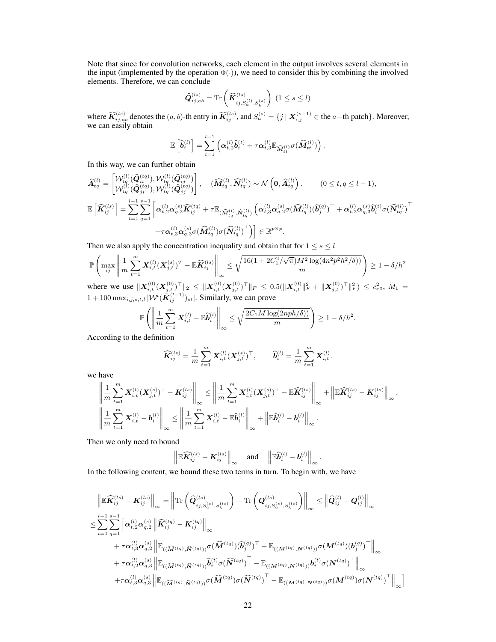Note that since for convolution networks, each element in the output involves several elements in the input (implemented by the operation  $\Phi(\cdot)$ ), we need to consider this by combining the involved elements. Therefore, we can conclude

$$
\widehat{\mathbf{Q}}_{ij,ab}^{(ls)} = \text{Tr}\left(\widehat{\mathbf{K}}_{ij,S_a^{(l)},S_b^{(s)}}^{(ls)}\right) (1 \leq s \leq l)
$$

where  $\widehat{K}_{ij,ab}^{(ls)}$  denotes the  $(a, b)$ -th entry in  $\widehat{K}_{ij}^{(ls)}$ , and  $S_a^{(s)} = \{j \mid \mathbf{X}_{:,j}^{(s-1)} \in \text{the } a-\text{th patch}\}.$  Moreover, we can easily obtain

$$
\mathbb{E}\left[\widehat{\boldsymbol{b}}_i^{(l)}\right] = \sum_{t=1}^{l-1} \left( \boldsymbol{\alpha}_{t,2}^{(l)} \widehat{\boldsymbol{b}}_i^{(t)} + \tau \boldsymbol{\alpha}_{t,3}^{(l)} \mathbb{E}_{\widehat{\mathbf{M}}_{tt}^{(l)}} \sigma(\widehat{\mathbf{M}}_{tt}^{(l)}) \right).
$$

In this way, we can further obtain

$$
\widehat{A}_{tq}^{(l)} = \begin{bmatrix} \mathcal{W}_{tq}^{(l)}(\widehat{Q}_{it}^{(tq)}), \mathcal{W}_{tq}^{(l)}(\widehat{Q}_{ij}^{(tq)}) \\ \mathcal{W}_{tq}^{(l)}(\widehat{Q}_{jt}^{(tq)}), \mathcal{W}_{tq}^{(l)}(\widehat{Q}_{jj}^{(tq)}) \end{bmatrix}, \quad (\widehat{M}_{tq}^{(l)}, \widehat{N}_{tq}^{(l)}) \sim \mathcal{N}\left(0, \widehat{A}_{tq}^{(l)}\right), \qquad (0 \leq t, q \leq l-1),
$$
\n
$$
\mathbb{E}\left[\widehat{K}_{ij}^{(ls)}\right] = \sum_{t=1}^{l-1} \sum_{q=1}^{s-1} \left[ \alpha_{t,2}^{(l)} \alpha_{q,2}^{(s)} \widehat{K}_{ij}^{(tq)} + \tau \mathbb{E}_{(\widehat{M}_{tq}^{(l)}, \widehat{N}_{tq}^{(l)})} \left( \alpha_{t,3}^{(l)} \alpha_{q,2}^{(s)} \sigma(\widehat{M}_{tq}^{(l)})(\widehat{b}_{j}^{(q)})^\top + \alpha_{t,2}^{(l)} \alpha_{q,3}^{(s)} \widehat{b}_{i}^{(t)} \sigma(\widehat{N}_{tq}^{(l)})^\top \right. \\
\left. + \tau \alpha_{t,3}^{(l)} \alpha_{q,3}^{(s)} \sigma(\widehat{M}_{tq}^{(l)}) \sigma(\widehat{N}_{tq}^{(l)})^\top \right) \right] \in \mathbb{R}^{p \times p}.
$$

Then we also apply the concentration inequality and obtain that for  $1 \le s \le l$ 

$$
\mathbb{P}\left(\max_{ij} \left\| \frac{1}{m} \sum_{t=1}^{m} \mathbf{X}_{i,t}^{(l)} (\mathbf{X}_{j,t}^{(s)})^T - \mathbb{E}\widehat{\mathbf{K}}_{ij}^{(ls)} \right\|_{\infty} \le \sqrt{\frac{16(1+2C_1^2/\sqrt{\pi})M^2\log(4n^2p^2h^2/\delta))}{m}} \right) \ge 1 - \delta/h^2
$$
  
where we use  $\|\mathbf{Y}^{(0)}(\mathbf{Y}^{(0)})^T\|_{\infty} < \|\mathbf{Y}^{(0)}(\mathbf{Y}^{(0)})^T\|_{\infty} < 0.5(\|\mathbf{Y}^{(0)}\|_{\infty}^2 + \|\mathbf{Y}^{(0)})^T\|_{\infty} < \epsilon^2$ .

where we use  $\|\mathbf{X}_{i,t}^{(0)}(\mathbf{X}_{j,t}^{(0)})^\top\|_2 \leq \|\mathbf{X}_{i,t}^{(0)}(\mathbf{X}_{j,t}^{(0)})^\top\|_F \leq 0.5(\|\mathbf{X}_{i,t}^{(0)}\|_F^2 + \|\mathbf{X}_{j,t}^{(0)})^\top\|_F^2) \leq c_{x0}^2$ ,  $M_1 =$  $1 + 100 \max_{i,j,s,t,l} |\mathcal{W}^l(\bar{\bm{K}}_{ij}^{(l-1)})_{st}|$ . Similarly, we can prove

$$
\mathbb{P}\left(\left\|\frac{1}{m}\sum_{t=1}^m \mathbf{X}_{i,t}^{(l)} - \mathbb{E}\widehat{\boldsymbol{b}}_i^{(l)}\right\|_{\infty} \le \sqrt{\frac{2C_1M\log(2nph/\delta)}{m}}\right) \ge 1 - \delta/h^2.
$$

According to the definition

$$
\widehat{\boldsymbol{K}}_{ij}^{(ls)} = \frac{1}{m}\sum_{t=1}^m \boldsymbol{X}_{i,t}^{(l)} (\boldsymbol{X}_{j,t}^{(s)})^\top, \qquad \widehat{\boldsymbol{b}}_i^{(l)} = \frac{1}{m}\sum_{t=1}^m \boldsymbol{X}_{i,t}^{(l)}.
$$

we have

$$
\left\| \frac{1}{m} \sum_{t=1}^{m} \mathbf{X}_{i,t}^{(l)} (\mathbf{X}_{j,t}^{(s)})^\top - \mathbf{K}_{ij}^{(ls)} \right\|_{\infty} \le \left\| \frac{1}{m} \sum_{t=1}^{m} \mathbf{X}_{i,t}^{(l)} (\mathbf{X}_{j,t}^{(s)})^\top - \mathbb{E} \widehat{\mathbf{K}}_{ij}^{(ls)} \right\|_{\infty} + \left\| \mathbb{E} \widehat{\mathbf{K}}_{ij}^{(ls)} - \mathbf{K}_{ij}^{(ls)} \right\|_{\infty},
$$

$$
\left\| \frac{1}{m} \sum_{t=1}^{m} \mathbf{X}_{i,t}^{(l)} - \mathbf{b}_{i}^{(l)} \right\|_{\infty} \le \left\| \frac{1}{m} \sum_{t=1}^{m} \mathbf{X}_{i,t}^{(l)} - \mathbb{E} \widehat{\mathbf{b}}_{i}^{(l)} \right\|_{\infty} + \left\| \mathbb{E} \widehat{\mathbf{b}}_{i}^{(l)} - \mathbf{b}_{i}^{(l)} \right\|_{\infty}.
$$

Then we only need to bound

$$
\left\|\mathbb{E}\widehat{\pmb{K}}_{ij}^{(ls)}-\pmb{K}_{ij}^{(ls)}\right\|_{\infty}\quad\text{and}\quad\left\|\mathbb{E}\widehat{\pmb{b}}_{i}^{(l)}-\pmb{b}_{i}^{(l)}\right\|_{\infty}.
$$

In the following content, we bound these two terms in turn. To begin with, we have

$$
\mathbb{E}\left\|\mathbb{E}\widehat{\mathbf{K}}_{ij}^{(ls)} - \mathbf{K}_{ij}^{(ls)}\right\|_{\infty} = \left\|\text{Tr}\left(\widehat{\mathbf{Q}}_{ij,S_{a}^{(s)},S_{b}^{(ls)}}^{(ls)}\right) - \text{Tr}\left(\mathbf{Q}_{ij,S_{a}^{(s)},S_{b}^{(ls)}}^{(ls)}\right)\right\|_{\infty} \le \left\|\widehat{\mathbf{Q}}_{ij}^{(l)} - \mathbf{Q}_{ij}^{(l)}\right\|_{\infty} \n\le \sum_{t=1}^{l-1} \sum_{q=1}^{s-1} \left[\alpha_{t,2}^{(l)} \alpha_{q,2}^{(s)} \left\|\widehat{\mathbf{K}}_{ij}^{(tq)} - \mathbf{K}_{ij}^{(tq)}\right\|_{\infty} \n+ \tau \alpha_{t,3}^{(l)} \alpha_{q,2}^{(s)} \left\|\mathbb{E}_{((\widehat{M}^{(tq)},\widehat{N}^{(tq)}))} \sigma(\widehat{M}^{(tq)})(\widehat{b}_{j}^{(q)})^\top - \mathbb{E}_{((M^{(tq)},N^{(tq)}))} \sigma(M^{(tq)})(b_{j}^{(q)})^\top\right\|_{\infty} \n+ \tau \alpha_{t,2}^{(l)} \alpha_{q,3}^{(s)} \left\|\mathbb{E}_{((\widehat{M}^{(tq)},\widehat{N}^{(tq)}))} \widehat{b}_{i}^{(t)} \sigma(\widehat{N}^{(tq)})^\top - \mathbb{E}_{((M^{(tq)},N^{(tq)}))} b_{i}^{(t)} \sigma(N^{(tq)})^\top\right\|_{\infty} \n+ \tau \alpha_{t,3}^{(l)} \alpha_{q,3}^{(s)} \left\|\mathbb{E}_{((\widehat{M}^{(tq)},\widehat{N}^{(tq)}))} \sigma(\widehat{M}^{(tq)}) \sigma(\widehat{N}^{(tq)})^\top - \mathbb{E}_{((M^{(tq)},N^{(tq)}))} \sigma(M^{(tq)}) \sigma(N^{(tq)})^\top\right\|_{\infty}\right)
$$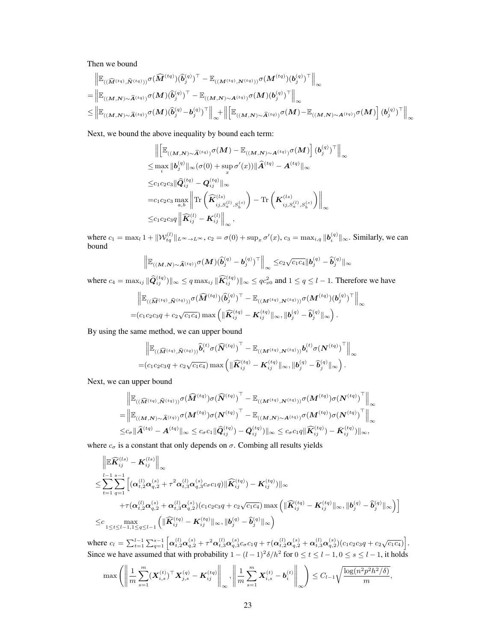Then we bound

$$
\begin{aligned}&\left\|\mathbb{E}_{((\widehat{M}^{(tq)},\widehat{N}^{(tq)}))}\sigma(\widehat{M}^{(tq)})(\widehat{b}_{j}^{(q)})^{\top}-\mathbb{E}_{((M^{(tq)},N^{(tq)}))}\sigma(M^{(tq)})(b_{j}^{(q)})^{\top}\right\|_{\infty}\\ &=\left\|\mathbb{E}_{((M,N)\sim\widehat{A}^{(tq)})}\sigma(M)(\widehat{b}_{j}^{(q)})^{\top}-\mathbb{E}_{((M,N)\sim A^{(tq)})}\sigma(M)(b_{j}^{(q)})^{\top}\right\|_{\infty}\\ &\leq\left\|\mathbb{E}_{((M,N)\sim\widehat{A}^{(tq)})}\sigma(M)(\widehat{b}_{j}^{(q)}-b_{j}^{(q)})^{\top}\right\|_{\infty}+\left\|\left[\mathbb{E}_{((M,N)\sim\widehat{A}^{(tq)})}\sigma(M)-\mathbb{E}_{((M,N)\sim A^{(tq)})}\sigma(M)\right](b_{j}^{(q)})^{\top}\right\|_{\infty}\end{aligned}
$$

Next, we bound the above inequality by bound each term:

$$
\begin{split}\n&\left\|\left[\mathbb{E}_{((\mathbf{M},\mathbf{N})\sim\widehat{\mathbf{A}}^{(tq)})}\sigma(\mathbf{M})-\mathbb{E}_{((\mathbf{M},\mathbf{N})\sim\mathbf{A}^{(tq)})}\sigma(\mathbf{M})\right](\boldsymbol{b}_{j}^{(q)})^{\top}\right\|_{\infty} \\
&\leq \max_{i} \|\boldsymbol{b}_{j}^{(q)}\|_{\infty} (\sigma(0) + \sup_{x}\sigma'(x)) \|\widehat{\mathbf{A}}^{(tq)} - \mathbf{A}^{(tq)}\|_{\infty} \\
&\leq c_{1}c_{2}c_{3}\|\widehat{\mathbf{Q}}_{ij}^{(tq)} - \mathbf{Q}_{ij}^{(tq)}\|_{\infty} \\
&= c_{1}c_{2}c_{3} \max_{a,b} \left\|\text{Tr}\left(\widehat{\boldsymbol{K}}_{ij,S_{a}^{(1)},S_{b}^{(s)}}^{(s)}\right) - \text{Tr}\left(\boldsymbol{K}_{ij,S_{a}^{(1)},S_{b}^{(s)}}^{(s)}\right)\right\|_{\infty} \\
&\leq c_{1}c_{2}c_{3}q \left\|\widehat{\boldsymbol{K}}_{ij}^{(l)} - \boldsymbol{K}_{ij}^{(l)}\right\|_{\infty},\n\end{split}
$$

where  $c_1 = \max_l 1 + ||\mathcal{W}_{tq}^{(l)}||_{L^{\infty} \to L^{\infty}}$ ,  $c_2 = \sigma(0) + \sup_x \sigma'(x)$ ,  $c_3 = \max_{i,q} ||\boldsymbol{b}_i^{(q)}||_{\infty}$ . Similarly, we can bound

$$
\Big\| {\mathbb E}_{((M,N) \sim \widehat{A}^{(tq)})} \sigma(M) (\widehat{b}_j^{(q)} - b_j^{(q)})^\top \Big\|_{\infty} \leq c_2 \sqrt{c_1 c_4} \|b_j^{(q)} - \widehat{b}_j^{(q)}\|_{\infty}
$$

where  $c_4 = \max_{ij} \|\widehat{Q}_{ij}^{(tq)})\|_{\infty} \leq q \max_{ij} \|\widehat{K}_{ij}^{(tq)})\|_{\infty} \leq qc_{x0}^2$  and  $1 \leq q \leq l-1$ . Therefore we have

$$
\begin{aligned}\n&\left\|\mathbb{E}_{((\widehat{\boldsymbol{M}}^{(tq)},\widehat{\boldsymbol{N}}^{(tq)}))}\sigma(\widehat{\boldsymbol{M}}^{(tq)})(\widehat{\boldsymbol{b}}_j^{(q)})^\top - \mathbb{E}_{((\boldsymbol{M}^{(tq)},\boldsymbol{N}^{(tq)}))}\sigma(\boldsymbol{M}^{(tq)})(\boldsymbol{b}_j^{(q)})^\top\right\|_{\infty} \\
&= & (c_1c_2c_3q + c_2\sqrt{c_1c_4})\max\left(\|\widehat{\boldsymbol{K}}_{ij}^{(tq)} - \boldsymbol{K}_{ij}^{(tq)}\|_{\infty},\|\boldsymbol{b}_j^{(q)} - \widehat{\boldsymbol{b}}_j^{(q)}\|_{\infty}\right).\n\end{aligned}
$$

By using the same method, we can upper bound

$$
\begin{aligned}\n&\left\|\mathbb{E}_{\left((\widehat{\mathbf{M}}^{(tq)},\widehat{\mathbf{N}}^{(tq)})\right)}\widehat{\bm{b}}_i^{(t)}\sigma(\widehat{\bm{N}}^{(tq)})^\top - \mathbb{E}_{\left((\mathbf{M}^{(tq)},\mathbf{N}^{(tq)})\right)}\bm{b}_i^{(t)}\sigma(\bm{N}^{(tq)})^\top\right\|_{\infty} \\
&= & (c_1c_2c_3q + c_2\sqrt{c_1c_4})\max\left(\|\widehat{\bm{K}}_{ij}^{(tq)} - \bm{K}_{ij}^{(tq)}\|_{\infty},\|\bm{b}_j^{(q)} - \widehat{\bm{b}}_j^{(q)}\|_{\infty}\right).\n\end{aligned}
$$

Next, we can upper bound

$$
\begin{aligned}\n&\left\|\mathbb{E}_{((\widehat{M}^{(tq)},\widehat{N}^{(tq)}))}\sigma(\widehat{M}^{(tq)})\sigma(\widehat{N}^{(tq)})^\top - \mathbb{E}_{((M^{(tq)},N^{(tq)}))}\sigma(M^{(tq)})\sigma(N^{(tq)})^\top\right\|_{\infty} \\
&=\left\|\mathbb{E}_{((M,N)\sim \widehat{A}^{(tq)})}\sigma(M^{(tq)})\sigma(N^{(tq)})^\top - \mathbb{E}_{((M,N)\sim A^{(tq)})}\sigma(M^{(tq)})\sigma(N^{(tq)})^\top\right\|_{\infty} \\
&\leq & c_{\sigma}\|\widehat{A}^{(tq)}-A^{(tq)}\|_{\infty} \leq c_{\sigma}c_{1}\|\widehat{Q}_{ij}^{(tq)})-\bar{Q}_{ij}^{(tq)})\|_{\infty} \leq c_{\sigma}c_{1}q\|\widehat{K}_{ij}^{(tq)})-\bar{K}_{ij}^{(tq)})\|_{\infty},\n\end{aligned}
$$

where  $c_{\sigma}$  is a constant that only depends on  $\sigma$ . Combing all results yields

$$
\begin{aligned}&\left\|\mathbb{E}\widehat{\pmb{K}}_{ij}^{(ls)}-\pmb{K}_{ij}^{(ls)}\right\|_{\infty}\\ &\leq \sum_{t=1}^{l-1}\sum_{q=1}^{s-1}\left[(\pmb{\alpha}_{t,2}^{(l)}\pmb{\alpha}_{q,2}^{(s)}+\tau^2\pmb{\alpha}_{t,3}^{(l)}\pmb{\alpha}_{q,3}^{(s)}c_{\sigma}c_{1}q)\|\widehat{\pmb{K}}_{ij}^{(tq)})-\pmb{K}_{ij}^{(tq)})\|_{\infty}\right.\\ &\left.+\tau(\pmb{\alpha}_{t,2}^{(l)}\pmb{\alpha}_{q,2}^{(s)}+\pmb{\alpha}_{t,3}^{(l)}\pmb{\alpha}_{q,2}^{(s)})(c_{1}c_{2}c_{3}q+c_{2}\sqrt{c_{1}c_{4}})\max\left(\|\widehat{\pmb{K}}_{ij}^{(tq)}-\pmb{K}_{ij}^{(tq)}\|_{\infty},\|\pmb{b}_{j}^{(q)}-\widehat{\pmb{b}}_{j}^{(q)}\|_{\infty}\right)\right] \\ &\leq &c\max_{1\leq t\leq l-1,1\leq q\leq l-1}\left(\|\widehat{\pmb{K}}_{ij}^{(tq)}-\pmb{K}_{ij}^{(tq)}\|_{\infty},\|\pmb{b}_{j}^{(q)}-\widehat{\pmb{b}}_{j}^{(q)}\|_{\infty}\right)\end{aligned}
$$

where  $c_l = \sum_{t=1}^{l-1} \sum_{q=1}^{s-1} \left[ \alpha_{t,2}^{(l)} \alpha_{q,2}^{(s)} + \tau^2 \alpha_{t,3}^{(l)} \alpha_{q,3}^{(s)} c_{\sigma} c_1 q + \tau (\alpha_{t,2}^{(l)} \alpha_{q,2}^{(s)} + \alpha_{t,3}^{(l)} \alpha_{q,2}^{(s)}) (c_1 c_2 c_3 q + c_2 \sqrt{c_1 c_4}) \right].$ Since we have assumed that with probability  $1 - (l-1)^2 \delta / h^2$  for  $0 \le t \le l-1, 0 \le s \le l-1$ , it holds

$$
\max \left( \left\| \frac{1}{m} \sum_{s=1}^{m} (\boldsymbol{X}_{i,s}^{(t)})^{\top} \boldsymbol{X}_{j,s}^{(q)} - \boldsymbol{K}_{ij}^{(tq)} \right\|_{\infty}, \left\| \frac{1}{m} \sum_{s=1}^{m} \boldsymbol{X}_{i,s}^{(t)} - \boldsymbol{b}_{i}^{(t)} \right\|_{\infty} \right) \leq C_{l-1} \sqrt{\frac{\log(n^2 p^2 h^2 / \delta)}{m}},
$$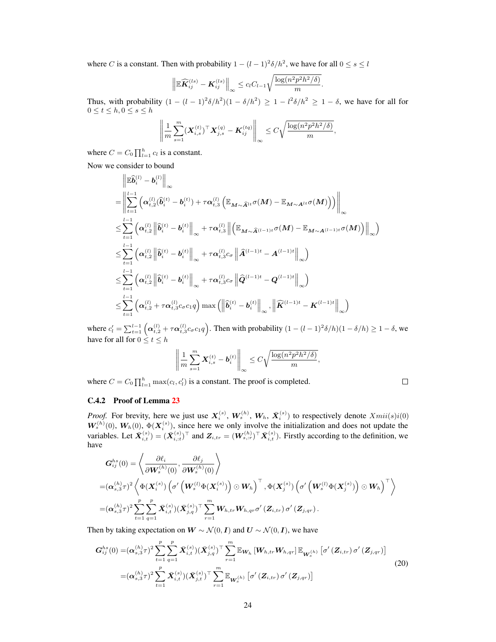where C is a constant. Then with probability  $1 - (l - 1)^2 \delta / h^2$ , we have for all  $0 \le s \le l$ 

$$
\left\|\mathbb{E}\widehat{\mathbf{K}}_{ij}^{(ls)}-\mathbf{K}_{ij}^{(ls)}\right\|_{\infty}\leq c_lC_{l-1}\sqrt{\frac{\log(n^2p^2h^2/\delta)}{m}}.
$$

Thus, with probability  $(1 - (l - 1)^2 \delta/h^2)(1 - \delta/h^2) \ge 1 - l^2 \delta/h^2 \ge 1 - \delta$ , we have for all for  $0 \leq t \leq h, 0 \leq s \leq h$ 

$$
\left\| \frac{1}{m} \sum_{s=1}^m (\boldsymbol{X}_{i,s}^{(t)})^\top \boldsymbol{X}_{j,s}^{(q)} - \boldsymbol{K}_{ij}^{(tq)} \right\|_{\infty} \leq C \sqrt{\frac{\log(n^2 p^2 h^2/\delta)}{m}},
$$

where  $C = C_0 \prod_{l=1}^{h} c_l$  is a constant.

Now we consider to bound

$$
\begin{aligned} &\left\|\mathbb{E}\widehat{\bm{b}}_{i}^{(l)}-b_{i}^{(l)}\right\|_{\infty} \\ &=\left\|\sum_{t=1}^{l-1}\left(\bm{\alpha}_{t,2}^{(l)}(\widehat{\bm{b}}_{i}^{(t)}-\bm{b}_{i}^{(t)})+\tau\bm{\alpha}_{t,3}^{(l)}\left(\mathbb{E}_{\bm{M}\sim\widehat{\bm{A}}^{lt}}\sigma(\bm{M})-\mathbb{E}_{\bm{M}\sim\bm{A}^{lt}}\sigma(\bm{M})\right)\right)\right\|_{\infty} \\ &\leq \sum_{t=1}^{l-1}\left(\bm{\alpha}_{t,2}^{(l)}\left\|\widehat{\bm{b}}_{i}^{(t)}-\bm{b}_{i}^{(t)}\right\|_{\infty}+\tau\bm{\alpha}_{t,3}^{(l)}\left\|\left(\mathbb{E}_{\bm{M}\sim\widehat{\bm{A}}^{(l-1)t}}\sigma(\bm{M})-\mathbb{E}_{\bm{M}\sim\bm{A}^{(l-1)t}}\sigma(\bm{M})\right)\right\|_{\infty}\right) \\ &\leq \sum_{t=1}^{l-1}\left(\bm{\alpha}_{t,2}^{(l)}\left\|\widehat{\bm{b}}_{i}^{(t)}-\bm{b}_{i}^{(t)}\right\|_{\infty}+\tau\bm{\alpha}_{t,3}^{(l)}c_{\sigma}\left\|\widehat{\bm{A}}^{(l-1)t}-\bm{A}^{(l-1)t}\right\|_{\infty}\right) \\ &\leq \sum_{t=1}^{l-1}\left(\bm{\alpha}_{t,2}^{(l)}\left\|\widehat{\bm{b}}_{i}^{(t)}-\bm{b}_{i}^{(t)}\right\|_{\infty}+\tau\bm{\alpha}_{t,3}^{(l)}c_{\sigma}\left\|\widehat{\bm{Q}}^{(l-1)t}-\bm{Q}^{(l-1)t}\right\|_{\infty}\right) \\ &\leq \sum_{t=1}^{l-1}\left(\bm{\alpha}_{t,2}^{(l)}\left\|\widehat{\bm{b}}_{i}^{(t)}-\bm{b}_{i}^{(t)}\right\|_{\infty}+\tau\bm{\alpha}_{t,3}^{(l)}c_{\sigma}\left\|\widehat{\bm{Q}}^{(l-1)t}-\bm{Q}^{(l-1)t}\right\|_{\infty}\right) \\ &\leq \sum_{t=1}^{l-1}\left
$$

where  $c'_l = \sum_{t=1}^{l-1} \left( \alpha_{t,2}^{(l)} + \tau \alpha_{t,3}^{(l)} c_\sigma c_1 q \right)$ . Then with probability  $(1 - (l-1)^2 \delta/h)(1 - \delta/h) \ge 1 - \delta$ , we have for all for  $0 \le t \le h$ 

$$
\left\|\frac{1}{m}\sum_{s=1}^m \boldsymbol{X}^{(t)}_{i,s}-\boldsymbol{b}^{(t)}_i\right\|_{\infty}\leq C\sqrt{\frac{\log(n^2p^2h^2/\delta)}{m}},
$$

where  $C = C_0 \prod_{l=1}^{h} \max(c_l, c'_l)$  is a constant. The proof is completed.

<span id="page-23-1"></span>
$$
\Box
$$

#### <span id="page-23-0"></span>C.4.2 Proof of Lemma [23](#page-19-2)

*Proof.* For brevity, here we just use  $X_i^{(s)}$ ,  $W_k^{(h)}$ ,  $W_h$ ,  $\bar{X}_i^{(s)}$ ) to respectively denote  $Xmi(s)i(0)$  $W_s^{(h)}(0)$ ,  $W_h(0)$ ,  $\Phi(\textbf{X}_i^{(s)})$ , since here we only involve the initialization and does not update the variables. Let  $\bar{X}_{i,t}^{(s)} = (\bar{X}_{i,t}^{(s)})^\top$  and  $Z_{i,tr} = (W_{s, :r}^{(h)})^\top \bar{X}_{i,t}^{(s)}$ . Firstly according to the definition, we have

$$
G_{ij}^{hs}(0)=\left\langle \frac{\partial \ell_i}{\partial \boldsymbol{W}_s^{(h)}(0)}, \frac{\partial \ell_j}{\partial \boldsymbol{W}_s^{(h)}(0)} \right\rangle \\ =(\boldsymbol{\alpha}_{s,3}^{(h)}\tau)^2\left\langle \Phi(\boldsymbol{X}_i^{(s)})\left(\sigma'\left(\boldsymbol{W}_s^{(l)}\Phi(\boldsymbol{X}_i^{(s)})\right)\odot \boldsymbol{W}_h\right)^{\top}, \Phi(\boldsymbol{X}_j^{(s)})\left(\sigma'\left(\boldsymbol{W}_s^{(l)}\Phi(\boldsymbol{X}_j^{(s)})\right)\odot \boldsymbol{W}_h\right)^{\top}\right\rangle \\ =(\boldsymbol{\alpha}_{s,3}^{(h)}\tau)^2\sum_{t=1}^p\sum_{q=1}^p\bar{\boldsymbol{X}}_{i,t}^{(s)})(\bar{\boldsymbol{X}}_{j,q}^{(s)})^{\top}\sum_{r=1}^m \boldsymbol{W}_{h,tr}\boldsymbol{W}_{h,qr}\sigma'\left(\boldsymbol{Z}_{i,tr}\right)\sigma'\left(\boldsymbol{Z}_{j,qr}\right).
$$

Then by taking expectation on  $W \sim \mathcal{N}(0, I)$  and  $U \sim \mathcal{N}(0, I)$ , we have

$$
G_{ij}^{hs}(0) = (\alpha_{s,3}^{(h)}\tau)^2 \sum_{t=1}^p \sum_{q=1}^p \bar{X}_{i,t}^{(s)}(\bar{X}_{j,q}^{(s)})^\top \sum_{r=1}^m \mathbb{E}_{W_h} \left[ W_{h,tr} W_{h,qr} \right] \mathbb{E}_{W_s^{(h)}} \left[ \sigma'(Z_{i,tr}) \sigma'(Z_{j,qr}) \right]
$$
  

$$
= (\alpha_{s,3}^{(h)}\tau)^2 \sum_{t=1}^p \bar{X}_{i,t}^{(s)}(\bar{X}_{j,t}^{(s)})^\top \sum_{r=1}^m \mathbb{E}_{W_s^{(h)}} \left[ \sigma'(Z_{i,tr}) \sigma'(Z_{j,qr}) \right]
$$
(20)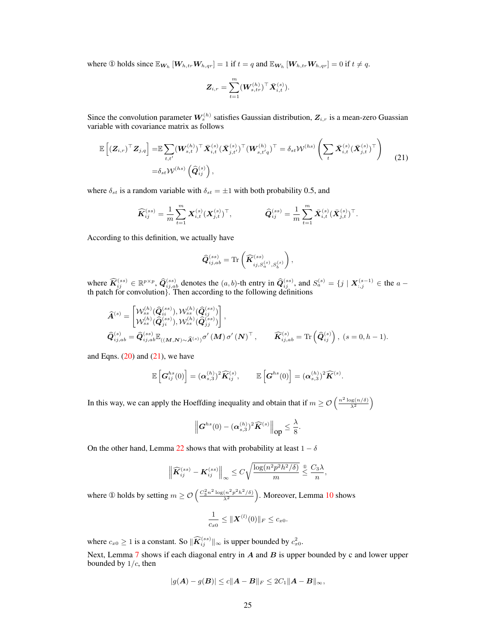where ① holds since  $\mathbb{E}_{\mathbf{W}_h}[W_{h,tr}W_{h,qr}] = 1$  if  $t = q$  and  $\mathbb{E}_{\mathbf{W}_h}[W_{h,tr}W_{h,qr}] = 0$  if  $t \neq q$ .

<span id="page-24-0"></span>
$$
\bm{Z}_{i,r} = \sum_{t=1}^m (\bm{W}^{(h)}_{s,tr})^\top \bar{\bm{X}}^{(s)}_{i,t}).
$$

Since the convolution parameter  $W_s^{(h)}$  satisfies Gaussian distribution,  $Z_{i,r}$  is a mean-zero Guassian variable with covariance matrix as follows

$$
\mathbb{E}\left[\left(\mathbf{Z}_{i,r}\right)^{\top}\mathbf{Z}_{j,q}\right] = \mathbb{E}\sum_{t,t'} (\mathbf{W}_{s,t}^{(h)})^{\top}\bar{\mathbf{X}}_{i,t}^{(s)} (\bar{\mathbf{X}}_{j,t'}^{(s)})^{\top} (\mathbf{W}_{s,t'q}^{(h)})^{\top} = \delta_{st} \mathcal{W}^{(hs)} \left(\sum_{t} \bar{\mathbf{X}}_{i,t}^{(s)} (\bar{\mathbf{X}}_{j,t}^{(s)})^{\top}\right) \tag{21}
$$
\n
$$
= \delta_{st} \mathcal{W}^{(hs)} \left(\widehat{\mathbf{Q}}_{ij}^{(s)}\right),
$$

where  $\delta_{st}$  is a random variable with  $\delta_{st} = \pm 1$  with both probability 0.5, and

$$
\widehat{\pmb{K}}_{ij}^{(ss)} = \frac{1}{m}\sum_{t=1}^m {\pmb{X}}_{i,t}^{(s)}({\pmb{X}}_{j,t}^{(s)})^\top, \qquad \qquad \widehat{\pmb{Q}}_{ij}^{(ss)} = \frac{1}{m}\sum_{t=1}^m \bar{\pmb{X}}_{i,t}^{(s)}(\bar{\pmb{X}}_{j,t}^{(s)})^\top.
$$

According to this definition, we actually have

$$
\widehat{\pmb{Q}}_{ij,ab}^{(ss)} = \text{Tr} \left( \widehat{\pmb{K}}_{ij,S_a^{(s)},S_b^{(s)}}^{(ss)} \right),
$$

where  $\widehat{K}_{ij}^{(ss)} \in \mathbb{R}^{p \times p}$ ,  $\widehat{Q}_{ij,ab}^{(ss)}$  denotes the  $(a, b)$ -th entry in  $\widehat{Q}_{ij}^{(ss)}$ , and  $S_a^{(s)} = \{j \mid \mathbf{X}_{:,j}^{(s-1)} \in$  the  $a$ th patch for convolution}. Then according to the following definitions

$$
\begin{split} &\widehat{\bm{A}}^{(s)} = \begin{bmatrix} \mathcal{W}_{ss}^{(h)}(\widehat{\bm{Q}}_{is}^{(ss)}), \mathcal{W}_{ss}^{(h)}(\widehat{\bm{Q}}_{ij}^{(ss)}) \\ \mathcal{W}_{ss}^{(h)}(\widehat{\bm{Q}}_{ji}^{(ss)}), \mathcal{W}_{ss}^{(h)}(\widehat{\bm{Q}}_{jj}^{(ss)}) \end{bmatrix}, \\ &\widehat{\bm{Q}}_{ij,ab}^{(s)} = \widehat{\bm{Q}}_{ij,ab}^{(ss)} \mathbb{E}_{((M,N)\sim \widehat{\bm{A}}^{(s)})} \sigma'(M) \sigma'(N)^{\top}, \qquad \widehat{\bm{K}}_{ij,ab}^{(s)} = \text{Tr}\left(\widehat{\bm{Q}}_{ij}^{(s)}\right), (s = 0, h - 1). \end{split}
$$

and Eqns.  $(20)$  and  $(21)$ , we have

$$
\mathbb{E}\left[\boldsymbol{G}_{ij}^{hs}(0)\right] = (\boldsymbol{\alpha}_{s,3}^{(h)})^2 \widehat{\boldsymbol{K}}_{ij}^{(s)}, \qquad \mathbb{E}\left[\boldsymbol{G}^{hs}(0)\right] = (\boldsymbol{\alpha}_{s,3}^{(h)})^2 \widehat{\boldsymbol{K}}^{(s)}.
$$

In this way, we can apply the Hoeffding inequality and obtain that if  $m \geq \mathcal{O}\left(\frac{n^2 \log(n/\delta)}{\lambda^2}\right)$ 

$$
\left\|G^{hs}(0)-(\boldsymbol{\alpha}_{s,3}^{(h)})^2\widehat{\boldsymbol{K}}^{(s)}\right\|_{op}\leq\frac{\lambda}{8}.
$$

On the other hand, Lemma [22](#page-19-1) shows that with probability at least  $1 - \delta$ 

$$
\left\| \widehat{\mathbf{K}}_{ij}^{(ss)} - \mathbf{K}_{ij}^{(ss)} \right\|_{\infty} \leq C \sqrt{\frac{\log(n^2 p^2 h^2 / \delta)}{m}} \overset{\circ}{\leq} \frac{C_3 \lambda}{n},
$$

where ① holds by setting  $m \geq \mathcal{O}\left(\frac{C_3^2 n^2 \log(n^2 p^2 h^2/\delta)}{ \lambda^2} \right)$  $\sqrt{\frac{(n^2p^2h^2/\delta)}{\lambda^2}}$ ). Moreover, Lemma [10](#page-5-0) shows

$$
\frac{1}{c_{x0}} \leq ||\boldsymbol{X}^{(l)}(0)||_F \leq c_{x0}.
$$

where  $c_{x0} \ge 1$  is a constant. So  $\|\widehat{\mathbf{K}}_{ij}^{(ss)}\|_{\infty}$  is upper bounded by  $c_{x0}^2$ .

Next, Lemma  $7$  shows if each diagonal entry in  $A$  and  $B$  is upper bounded by c and lower upper bounded by  $1/c$ , then

$$
|g(A) - g(B)| \le c \|A - B\|_F \le 2C_1 \|A - B\|_{\infty},
$$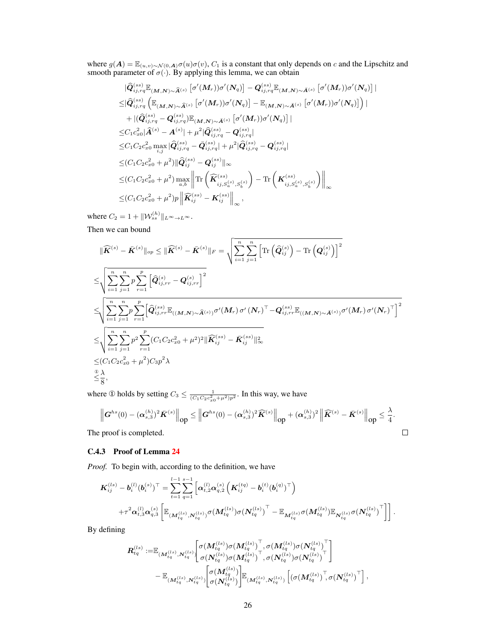where  $g(A) = \mathbb{E}_{(u,v)\sim\mathcal{N}(0,A)}\sigma(u)\sigma(v)$ ,  $C_1$  is a constant that only depends on c and the Lipschitz and smooth parameter of  $\sigma(\cdot)$ . By applying this lemma, we can obtain

$$
\begin{split}\n&\|\widehat{Q}_{ij,rq}^{(ss)}\mathbb{E}_{(M,N)\sim\widehat{A}^{(s)}}\left[\sigma'(M_r))\sigma'(N_q)\right]-Q_{ij,rq}^{(ss)}\mathbb{E}_{(M,N)\sim\bar{A}^{(s)}}\left[\sigma'(M_r))\sigma'(N_q)\right]| \\
&\leq& |\widehat{Q}_{ij,rq}^{(ss)}\left(\mathbb{E}_{(M,N)\sim\widehat{A}^{(s)}}\left[\sigma'(M_r))\sigma'(N_q)\right]-\mathbb{E}_{(M,N)\sim\bar{A}^{(s)}}\left[\sigma'(M_r))\sigma'(N_q)\right]\right)| \\
&+|(\widehat{Q}_{ij,rq}^{(ss)}-Q_{ij,rq}^{(ss)})\mathbb{E}_{(M,N)\sim\bar{A}^{(s)}}\left[\sigma'(M_r))\sigma'(N_q)\right]| \\
&\leq C_1c_{x0}^2|\widehat{A}^{(s)}-A^{(s)}|+\mu^2|\widehat{Q}_{ij,rq}^{(ss)}-Q_{ij,rq}^{(ss)}| \\
&\leq C_1C_2c_{x0}^2\max_{i,j}\hat{Q}_{ij,rq}^{(ss)}-\bar{Q}_{ij,rq}^{(ss)}|+\mu^2|\widehat{Q}_{ij,rq}^{(ss)}-Q_{ij,rq}^{(ss)}| \\
&\leq & (C_1C_2c_{x0}^2+\mu^2)\|\widehat{Q}_{ij}^{(ss)}-Q_{ij}^{(ss)}\|_{\infty} \\
&\leq & (C_1C_2c_{x0}^2+\mu^2)\max_{a,b}\left\|\text{Tr}\left(\widehat{K}_{ij,S_a^{(s)},S_b^{(s)}}^{(ss)}\right)-\text{Tr}\left(K_{ij,S_a^{(s)},S_b^{(s)}}^{(ss)}\right)\right\|_{\infty} \\
&\leq & (C_1C_2c_{x0}^2+\mu^2)p\left\|\widehat{K}_{ij}^{(ss)}-K_{ij}^{(ss)}\right\|_{\infty},\n\end{split}
$$

where  $C_2 = 1 + ||\mathcal{W}_{ss}^{(h)}||_{L^{\infty} \to L^{\infty}}$ .

Then we can bound

$$
\|\widehat{\mathbf{K}}^{(s)} - \bar{\mathbf{K}}^{(s)}\|_{op} \leq \|\widehat{\mathbf{K}}^{(s)} - \bar{\mathbf{K}}^{(s)}\|_{F} = \sqrt{\sum_{i=1}^{n} \sum_{j=1}^{n} \left[\text{Tr}\left(\widehat{Q}_{ij}^{(s)}\right) - \text{Tr}\left(Q_{ij}^{(s)}\right)\right]^{2}}
$$
\n
$$
\leq \sqrt{\sum_{i=1}^{n} \sum_{j=1}^{n} p \sum_{r=1}^{p} \left[\widehat{Q}_{ij,rr}^{(s)} - Q_{ij,rr}^{(s)}\right]^{2}}
$$
\n
$$
\leq \sqrt{\sum_{i=1}^{n} \sum_{j=1}^{n} p \sum_{r=1}^{p} \left[\widehat{Q}_{ij,rr}^{(ss)} \mathbb{E}_{((M,N) \sim \widehat{A}^{(s)})} \sigma'(M_{r}) \sigma'(N_{r})^{\top} - Q_{ij,rr}^{(ss)} \mathbb{E}_{((M,N) \sim \bar{A}^{(s)})} \sigma'(M_{r}) \sigma'(N_{r})^{\top}\right]^{2}}
$$
\n
$$
\leq \sqrt{\sum_{i=1}^{n} \sum_{j=1}^{n} p^{2} \sum_{r=1}^{p} (C_{1}C_{2}c_{x0}^{2} + \mu^{2})^{2} \|\widehat{\mathbf{K}}_{ij}^{(ss)} - \bar{\mathbf{K}}_{ij}^{(ss)}\|_{\infty}^{2}}
$$
\n
$$
\leq (C_{1}C_{2}c_{x0}^{2} + \mu^{2})C_{3}p^{2} \lambda
$$
\n
$$
\leq \frac{\lambda}{8},
$$

where ① holds by setting  $C_3 \leq \frac{1}{(C_1 C_2 c_{x0}^2 + \mu^2)p^2}$ . In this way, we have

$$
\left\|G^{hs}(0)-(\alpha_{s,3}^{(h)})^2\bar{K}^{(s)}\right\|_{\text{op}} \leq \left\|G^{hs}(0)-(\alpha_{s,3}^{(h)})^2\widehat{K}^{(s)}\right\|_{\text{op}}+(\alpha_{s,3}^{(h)})^2\left\|\widehat{K}^{(s)}-\bar{K}^{(s)}\right\|_{\text{op}} \leq \frac{\lambda}{4}.
$$
  
Proof is completed.

The proof is completed.

# <span id="page-25-0"></span>C.4.3 Proof of Lemma [24](#page-19-0)

*Proof.* To begin with, according to the definition, we have

$$
\hspace{-2cm}\begin{array}{ll} \displaystyle {\bm{K}}_{ij}^{(ls)}-{\bm{b}}_i^{(l)}({\bm{b}}_i^{(s)})^\top = \sum_{t=1}^{l-1}\sum_{q=1}^{s-1}\left[{\bm{\alpha}}_{t,2}^{(l)}{\bm{\alpha}}_{q,2}^{(s)}\left({\bm{K}}_{ij}^{(tq)}-{\bm{b}}_i^{(t)}({\bm{b}}_i^{(q)})^\top\right)\right. \\ \hspace{3cm} \displaystyle \left. + \tau^2{\bm{\alpha}}_{t,3}^{(l)}{\bm{\alpha}}_{q,3}^{(s)}\left[ \mathbb{E}_{({\bm{M}}_{tq}^{(ls)}, {\bm{N}}_{tq}^{(ls)})} \sigma({\bm{M}}_{tq}^{(ls)})\sigma({\bm{N}}_{tq}^{(ls)})^\top - \mathbb{E}_{{\bm{M}}_{tq}^{(ls)}} \sigma({\bm{M}}_{tq}^{(ls)})\mathbb{E}_{{\bm{N}}_{tq}^{(ls)}} \sigma({\bm{N}}_{tq}^{(ls)})^\top \right] \right]. \end{array}
$$

By defining

R (ls) tq :=E(M(ls) tq ,N(ls) tq ) " σ(M(ls) tq )σ(M(ls) tq ) > , σ(M(ls) tq )σ(N (ls) tq ) > σ(N (ls) tq )σ(M(ls) tq ) > , σ(N (ls) tq )σ(N (ls) tq ) > # <sup>−</sup> <sup>E</sup>(M(ls) tq ,N(ls) tq ) " σ(M(ls) tq ) σ(N (ls) tq ) # <sup>E</sup>(M(ls) tq ,N(ls) tq ) h (σ(M(ls) tq ) > , σ(N (ls) tq ) > i ,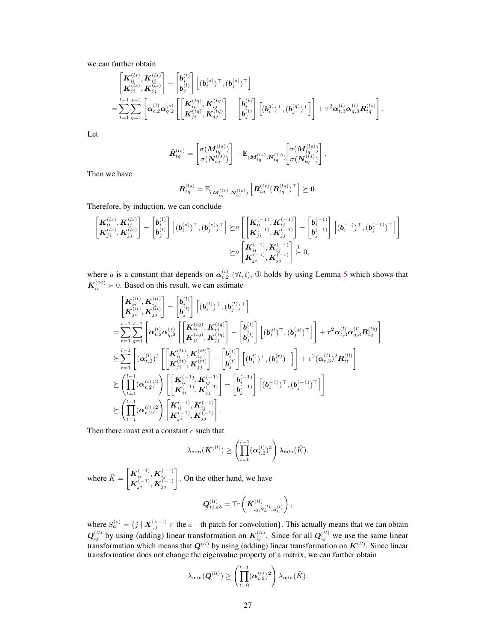we can further obtain

$$
\begin{split} &\begin{bmatrix} {\bm{K}}_{ii}^{(ls)}, {\bm{K}}_{ij}^{(ls)} \cr {\bm{K}}_{ji}^{(ls)}, {\bm{K}}_{jj}^{(ls)} \end{bmatrix} - \begin{bmatrix} {\bm{b}}_i^{(l)} \cr {\bm{b}}_j^{(l)} \end{bmatrix} \begin{bmatrix} ({\bm{b}}_i^{(s)})^\top, ({\bm{b}}_j^{(s)})^\top \end{bmatrix}\\ =& \sum_{t=1}^{l-1} \sum_{q=1}^{s-1} \begin{bmatrix} {\bm{\alpha}}_{i,2}^{(l)} {\bm{\alpha}}_{q,2}^{(s)} \cr {\bm{K}}_{ji}^{(tq)}, {\bm{K}}_{jj}^{(tq)} \end{bmatrix} - \begin{bmatrix} {\bm{b}}_i^{(t)} \cr {\bm{b}}_j^{(t)} \end{bmatrix} \begin{bmatrix} ({\bm{b}}_i^{q})^\top, ({\bm{b}}_j^{(q)})^\top \end{bmatrix} + \tau^2 {\bm{\alpha}}_{t,3}^{(l)} {\bm{\alpha}}_{q,3}^{(l)} {\bm{R}}_{tq}^{(ls)} \end{bmatrix}. \end{split}
$$

Let

$$
\bar{\bm{R}}_{tq}^{(ls)} = \begin{bmatrix} \sigma(\bm{M}_{tq}^{(ls)}) \\ \sigma(\bm{N}_{tq}^{(ls)}) \end{bmatrix} - \mathbb{E}_{(\bm{M}_{tq}^{(ls)},\bm{N}_{tq}^{(ls)})}\begin{bmatrix} \sigma(\bm{M}_{tq}^{(ls)}) \\ \sigma(\bm{N}_{tq}^{(ls)}) \end{bmatrix}.
$$

Then we have

$$
\bm{R}^{(ls)}_{tq} = \mathbb{E}_{(\bm{M}^{(ls)}_{tq},\bm{N}^{(ls)}_{tq})}\left[\bar{\bm{R}}^{(ls)}_{tq}(\bar{\bm{R}}^{(ls)}_{tq})^\top\right] \succeq \bm{0}.
$$

Therefore, by induction, we can conclude

$$
\begin{bmatrix} {\boldsymbol{K}}_{i}^{(ls)}, {\boldsymbol{K}}_{ij}^{(ls)} \\ {\boldsymbol{K}}_{ji}^{(ls)}, {\boldsymbol{K}}_{jj}^{(ls)} \end{bmatrix} - \begin{bmatrix} {\boldsymbol{b}}_i^{(l)} \\ {\boldsymbol{b}}_j^{(l)} \end{bmatrix} \begin{bmatrix} ({\boldsymbol{b}}_i^{(s)})^\top, ({\boldsymbol{b}}_j^{(s)})^\top \end{bmatrix} \succeq \! a\left[\begin{bmatrix} {\boldsymbol{K}}_{i}^{(-1)}, {\boldsymbol{K}}_{ij}^{(-1)} \\ {\boldsymbol{K}}_{ji}^{(-1)}, {\boldsymbol{K}}_{jj}^{(-1)} \end{bmatrix} - \begin{bmatrix} {\boldsymbol{b}}_i^{(-1)} \\ {\boldsymbol{b}}_j^{(-1)} \end{bmatrix} \begin{bmatrix} ({\boldsymbol{b}}_i^{-1})^\top, ({\boldsymbol{b}}_j^{(-1)})^\top \end{bmatrix} \right] \succeq \! a\left[\begin{bmatrix} {\boldsymbol{K}}_{i}^{(-1)}, {\boldsymbol{K}}_{ij}^{(-1)} \\ {\boldsymbol{K}}_{ji}^{(-1)}, {\boldsymbol{K}}_{ij}^{(-1)} \end{bmatrix} \underset{\smile}{\overset{\triangleright}{\triangleright}} \; 0, \right.
$$

where a is a constant that depends on  $\alpha_{t,2}^{(l)}(\forall l,t)$ , ① holds by using Lemma [5](#page-3-3) which shows that  $K_{ii}^{(00)}$  > 0. Based on this result, we can estimate

$$
\begin{split} &\begin{bmatrix} {\boldsymbol{K}}_{ii}^{(ll)}, {\boldsymbol{K}}_{ij}^{(ll)} \end{bmatrix} - \begin{bmatrix} {\boldsymbol{b}}_i^{(l)} \end{bmatrix} \begin{bmatrix} ({\boldsymbol{b}}_i^{(l)})^\top, ({\boldsymbol{b}}_j^{(l)})^\top \end{bmatrix} \\ =& \sum_{t=1}^{l-1} \sum_{q=1}^{l-1} \begin{bmatrix} {\boldsymbol{\alpha}}_{i,2}^{(l)} {\boldsymbol{\alpha}}_{q,2}^{(s)} \end{bmatrix} \begin{bmatrix} {\boldsymbol{K}}_{ii}^{(tq)}, {\boldsymbol{K}}_{ij}^{(tq)} \end{bmatrix} - \begin{bmatrix} {\boldsymbol{b}}_i^{(t)} \end{bmatrix} \begin{bmatrix} ({\boldsymbol{b}}_i^{(l)})^\top, ({\boldsymbol{b}}_j^{(q)})^\top \end{bmatrix} + \tau^2 {\boldsymbol{\alpha}}_{t,3}^{(l)} {\boldsymbol{\alpha}}_{q,3}^{(l)} {\boldsymbol{R}}_{iq}^{(ls)} \end{bmatrix} \\ \succeq \sum_{t=1}^{l-1} \begin{bmatrix} {\boldsymbol{\alpha}}_{t,2}^{(l)} {\boldsymbol{\alpha}}_{q,2}^{(l)} \end{bmatrix} \begin{bmatrix} {\boldsymbol{K}}_{ii}^{(tq)}, {\boldsymbol{K}}_{ij}^{(tq)} \end{bmatrix} - \begin{bmatrix} {\boldsymbol{b}}_i^{(t)} \end{bmatrix} \begin{bmatrix} ({\boldsymbol{b}}_i^{(l)})^\top, ({\boldsymbol{b}}_j^{(q)})^\top \end{bmatrix} + \tau^2 {\boldsymbol{\alpha}}_{t,3}^{(l)} {\boldsymbol{\alpha}}_{q,3}^{(l)} {\boldsymbol{R}}_{iq}^{(ls)} \end{bmatrix} \\ \succeq \sum_{t=1}^{l-1} \begin{bmatrix} {\boldsymbol{\alpha}}_{t,2}^{(l)} {\boldsymbol{2}} \end{bmatrix} \begin{bmatrix} {\boldsymbol{K}}_{ii}^{(t)}, {\boldsymbol{K}}_{ij}^{(tq)} \end{bmatrix} - \begin{bmatrix} {\boldsymbol{b}}_i^{(t)} \end{bmatrix} \begin{bmatrix} ({\boldsymbol{b}}_i^{(t)})^\top, ({\boldsymbol{b}}_j^{(t)})^\top \end{bmatrix} + \tau^2 ({\boldsymbol{\alpha}}_{t,3}^{(l)})^2 {\boldsymbol{R}}_{it}^{(ll)} \end
$$

Then there must exit a constant  $c$  such that

$$
\lambda_{\min}(\boldsymbol{K}^{(ll)}) \geq \left(\prod_{t=0}^{l-1} (\boldsymbol{\alpha}_{t,2}^{(l)})^2\right) \lambda_{\min}(\widehat{K}).
$$

where  $\hat{K} =$  $\begin{bmatrix} \bm{K}_{ii}^{(-1)}, \bm{K}_{ij}^{(-1)} \ \bm{K}_{ji}^{(-1)}, \bm{K}_{jj}^{(-1)} \end{bmatrix}$ . On the other hand, we have

$$
\bm{Q}^{(ll)}_{ij,ab} = \text{Tr}\left(\bm{K}^{(ll)}_{ij,S_a^{(l)},S_b^{(l)}}\right),
$$

where  $S_a^{(s)} = \{j \mid \mathbf{X}_{:,j}^{(s-1)} \in \text{the } a - \text{th patch for convolution}\}.$  This actually means that we can obtain  $Q_{ij}^{(ll)}$  by using (adding) linear transformation on  $K_{ij}^{(ll)}$ . Since for all  $Q_{ij}^{(ll)}$  we use the same linear transformation which means that  $Q^{(ll)}$  by using (adding) linear transformation on  $K^{(ll)}$ . Since linear transformation does not change the eigenvalue property of a matrix, we can further obtain

$$
\lambda_{\min}(\boldsymbol{Q}^{(ll)}) \ge \left(\prod_{t=0}^{l-1} (\boldsymbol{\alpha}_{t,2}^{(l)})^2\right) \lambda_{\min}(\widehat{K}).
$$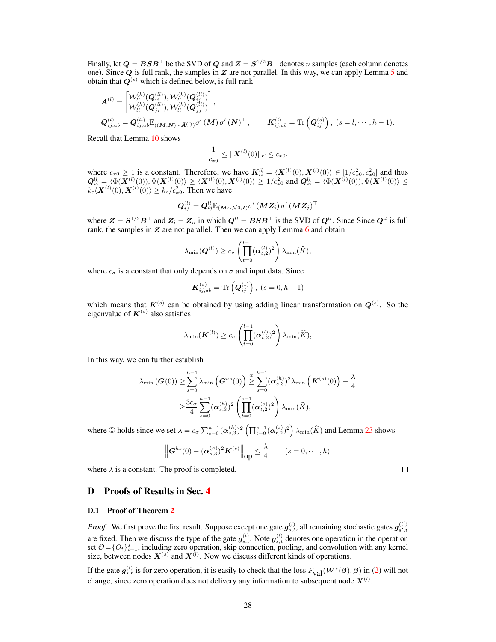Finally, let  $\bm{Q} = \bm{BSB}^\top$  be the SVD of  $\bm{Q}$  and  $\bm{Z} = \bm{S}^{1/2}\bm{B}^\top$  denotes n samples (each column denotes one). Since  $Q$  is full rank, the samples in  $Z$  are not parallel. In this way, we can apply Lemma [5](#page-3-3) and obtain that  $Q^{(s)}$  which is defined below, is full rank

$$
\begin{aligned}\n\mathbf{A}^{(l)} &= \begin{bmatrix} \mathcal{W}_{ll}^{(h)}(\mathbf{Q}_{ii}^{(ll)}), \mathcal{W}_{ll}^{(h)}(\mathbf{Q}_{ij}^{(ll)}) \\ \mathcal{W}_{ll}^{(h)}(\mathbf{Q}_{ji}^{(ll)}), \mathcal{W}_{ll}^{(h)}(\mathbf{Q}_{jj}^{(ll)}) \end{bmatrix}, \\
\mathbf{Q}_{ij,ab}^{(l)} &= \mathbf{Q}_{ij,ab}^{(ll)} \mathbb{E}_{((\mathbf{M},\mathbf{N}) \sim \bar{\mathbf{A}}^{(l)})} \sigma'(\mathbf{M}) \sigma'(\mathbf{N})^{\top}, \qquad \mathbf{K}_{ij,ab}^{(l)} = \text{Tr}\left(\mathbf{Q}_{ij}^{(s)}\right), (s = l, \cdots, h-1).\n\end{aligned}
$$

Recall that Lemma [10](#page-5-0) shows

$$
\frac{1}{c_{x0}} \leq \|\boldsymbol{X}^{(l)}(0)\|_F \leq c_{x0}.
$$

where  $c_{x0} \ge 1$  is a constant. Therefore, we have  $K_{ii}^{ll} = \langle \boldsymbol{X}^{(l)}(0), \boldsymbol{X}^{(l)}(0) \rangle \in [1/c_{x0}^2, c_{x0}^2]$  and thus  $\mathbf{Q}_{ii}^{ll} = \langle \Phi(\boldsymbol{X}^{(l)}(0)), \Phi(\boldsymbol{X}^{(l)}(0)) \rangle \geq \langle \boldsymbol{X}^{(l)}(0), \boldsymbol{X}^{(l)}(0) \rangle \geq 1/c_{x0}^2 \text{ and } \mathbf{Q}_{ii}^{ll} = \langle \Phi(\boldsymbol{X}^{(l)}(0)), \Phi(\boldsymbol{X}^{(l)}(0) \rangle \leq$  $k_c\langle \boldsymbol{X}^{(l)}(0), \boldsymbol{X}^{(l)}(0)\rangle \geq k_c/c_{x0}^2$ . Then we have

$$
\boldsymbol{Q}_{ij}^{\left(l\right)}=\boldsymbol{Q}_{ij}^{ll}\mathbb{E}_{\left(\boldsymbol{M}\sim\mathcal{N}0,\boldsymbol{I}\right)}\sigma'\left(\boldsymbol{M}\boldsymbol{Z}_{i}\right)\sigma'\left(\boldsymbol{M}\boldsymbol{Z}_{j}\right)^{\boldsymbol{\top}}
$$

where  $Z = S^{1/2}B^{\top}$  and  $Z_i = Z_{i,i}$  in which  $Q^{ll} = BSB^{\top}$  is the SVD of  $Q^{ll}$ . Since Since  $Q^{ll}$  is full rank, the samples in  $Z$  are not parallel. Then we can apply Lemma  $6$  and obtain

$$
\lambda_{\min}(\boldsymbol{Q}^{(l)}) \geq c_{\sigma} \left(\prod_{t=0}^{l-1} (\boldsymbol{\alpha}_{t,2}^{(l)})^2\right) \lambda_{\min}(\widehat{K}),
$$

where  $c_{\sigma}$  is a constant that only depends on  $\sigma$  and input data. Since

$$
\mathbf{K}_{ij,ab}^{(s)} = \text{Tr} \left( \mathbf{Q}_{ij}^{(s)} \right), \ (s = 0, h - 1)
$$

which means that  $K^{(s)}$  can be obtained by using adding linear transformation on  $Q^{(s)}$ . So the eigenvalue of  $K^{(s)}$  also satisfies

$$
\lambda_{\min}(\boldsymbol{K}^{(l)}) \ge c_{\sigma} \left( \prod_{t=0}^{l-1} (\boldsymbol{\alpha}_{t,2}^{(l)})^2 \right) \lambda_{\min}(\widehat{K}),
$$

In this way, we can further establish

$$
\lambda_{\min} (\boldsymbol{G}(0)) \geq \sum_{s=0}^{h-1} \lambda_{\min} \left( \boldsymbol{G}^{hs}(0) \right) \geq \sum_{s=0}^{h-1} (\boldsymbol{\alpha}_{s,3}^{(h)})^2 \lambda_{\min} \left( \boldsymbol{K}^{(s)}(0) \right) - \frac{\lambda}{4} \\ \geq \frac{3c_{\sigma}}{4} \sum_{s=0}^{h-1} (\boldsymbol{\alpha}_{s,3}^{(h)})^2 \left( \prod_{t=0}^{s-1} (\boldsymbol{\alpha}_{t,2}^{(s)})^2 \right) \lambda_{\min}(\widehat{K}),
$$

where ① holds since we set  $\lambda = c_{\sigma} \sum_{s=0}^{h-1} (\alpha_{s,3}^{(h)})^2 \left( \prod_{t=0}^{s-1} (\alpha_{t,2}^{(s)})^2 \right) \lambda_{\min}(\widehat{K})$  and Lemma [23](#page-19-2) shows

$$
\left\| \mathbf{G}^{hs}(0) - (\boldsymbol{\alpha}_{s,3}^{(h)})^2 \mathbf{K}^{(s)} \right\|_{\text{op}} \leq \frac{\lambda}{4} \qquad (s = 0, \cdots, h).
$$

where  $\lambda$  is a constant. The proof is completed.

## <span id="page-27-0"></span>D Proofs of Results in Sec. [4](#page-0-2)

#### D.1 Proof of Theorem [2](#page-0-2)

*Proof.* We first prove the first result. Suppose except one gate  $g_{s,t}^{(l)}$ , all remaining stochastic gates  $g_{s',t}^{(l')}$ are fixed. Then we discuss the type of the gate  $g_{s,t}^{(l)}$ . Note  $g_{s,t}^{(l)}$  denotes one operation in the operation set  $\mathcal{O} = \{O_t\}_{t=1}^s$ , including zero operation, skip connection, pooling, and convolution with any kernel size, between nodes  $X^{(s)}$  and  $X^{(l)}$ . Now we discuss different kinds of operations.

If the gate  $g_{s,t}^{(l)}$  is for zero operation, it is easily to check that the loss  $F_{val}(W^*(\beta), \beta)$  in [\(2\)](#page-0-2) will not change, since zero operation does not delivery any information to subsequent node  $X^{(l)}$ .

 $\Box$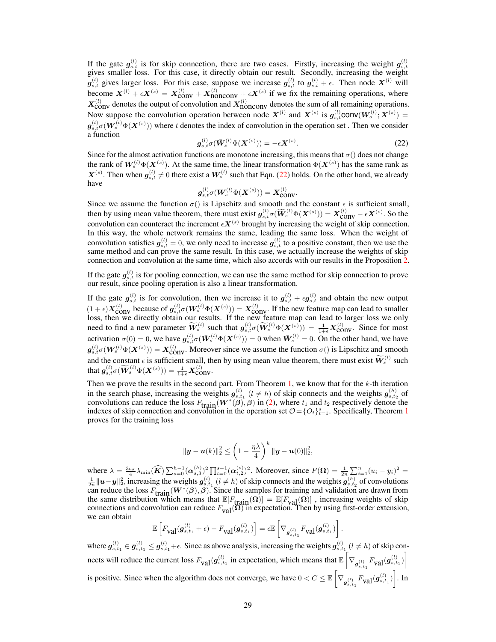If the gate  $g_{s,t}^{(l)}$  is for skip connection, there are two cases. Firstly, increasing the weight  $g_{s,t}^{(l)}$  gives smaller loss. For this case, it directly obtain our result. Secondly, increasing the weight  $g_{s,t}^{(l)}$  gives larger loss. For this case, suppose we increase  $g_{s,t}^{(l)}$  to  $g_{s,t}^{(l)} + \epsilon$ . Then node  $X^{(l)}$  will become  $X^{(l)} + \epsilon X^{(s)} = X_{\text{conv}}^{(l)} + X_{\text{nonconv}}^{(l)} + \epsilon X^{(s)}$  if we fix the remaining operations, where  $X_{\text{conv}}^{(l)}$  denotes the output of convolution and  $X_{\text{nonconv}}^{(l)}$  denotes the sum of all remaining operations. Now suppose the convolution operation between node  $X^{(l)}$  and  $X^{(s)}$  is  $g_{s,t}^{(l)}$ conv $(W_s^{(l)}; X^{(s)})$  =  $g_{s,t}^{(l)}\sigma(W_s^{(l)}\Phi(X^{(s)}))$  where t denotes the index of convolution in the operation set. Then we consider a function

$$
g_{s,t}^{(l)}\sigma(\bar{W}_s^{(l)}\Phi(\bm{X}^{(s)})) = -\epsilon \bm{X}^{(s)}.
$$
 (22)

<span id="page-28-0"></span>Since for the almost activation functions are monotone increasing, this means that  $\sigma()$  does not change the rank of  $\bar{W}^{(l)}_s \Phi(X^{(s)})$ . At the same time, the linear transformation  $\Phi(X^{(s)})$  has the same rank as  $X^{(s)}$ . Then when  $g_{s,t}^{(l)} \neq 0$  there exist a  $\bar{W}_s^{(l)}$  such that Eqn. [\(22\)](#page-28-0) holds. On the other hand, we already have

$$
\boldsymbol{g}_{s,t}^{(l)}\sigma(\boldsymbol{W}_s^{(l)}\Phi(\boldsymbol{X}^{(s)}))=\boldsymbol{X}_{\text{conv}}^{(l)}.
$$

Since we assume the function  $\sigma()$  is Lipschitz and smooth and the constant  $\epsilon$  is sufficient small, then by using mean value theorem, there must exist  $g_{s,t}^{(l)}\sigma(\widetilde{W}_s^{(l)}\Phi(X^{(s)})) = X_{\text{conv}}^{(l)} - \epsilon X^{(s)}$ . So the convolution can counteract the increment  $\epsilon X^{(s)}$  brought by increasing the weight of skip connection. In this way, the whole network remains the same, leading the same loss. When the weight of convolution satisfies  $g_{s,t}^{(l)} = 0$ , we only need to increase  $g_{s,t}^{(l)}$  to a positive constant, then we use the same method and can prove the same result. In this case, we actually increase the weights of skip connection and convolution at the same time, which also accords with our results in the Proposition [2.](#page-0-2)

If the gate  $g_{s,t}^{(l)}$  is for pooling connection, we can use the same method for skip connection to prove our result, since pooling operation is also a linear transformation.

If the gate  $g_{s,t}^{(l)}$  is for convolution, then we increase it to  $g_{s,t}^{(l)} + \epsilon g_{s,t}^{(l)}$  and obtain the new output  $(1 + \epsilon)X_{\text{conv}}^{(l)}$  because of  $g_{s,t}^{(l)}\sigma(W_s^{(l)}\Phi(X^{(s)})) = X_{\text{conv}}^{(l)}$ . If the new feature map can lead to smaller loss, then we directly obtain our results. If the new feature map can lead to larger loss we only need to find a new parameter  $\widetilde{W}_s^{(l)}$  such that  $g_{s,t}^{(l)}\sigma(\widetilde{W}_s^{(l)}\Phi(X_s^{(s)})) = \frac{1}{1+\epsilon}X_{\text{conv}}^{(l)}$ . Since for most activation  $\sigma(0) = 0$ , we have  $g_{s,t}^{(l)}\sigma(\bar{W}_s^{(l)}\Phi(\bm{X}^{(s)})) = 0$  when  $\bar{W}_s^{(l)} = 0$ . On the other hand, we have  $g_{s,t}^{(l)}\sigma(W_s^{(l)}\Phi(\bm{X}^{(s)})) = \bm{X}_{\text{conv}}^{(l)}$ . Moreover since we assume the function  $\sigma()$  is Lipschitz and smooth and the constant  $\epsilon$  is sufficient small, then by using mean value theorem, there must exist  $\widetilde{W}_s^{(l)}$  such that  $g_{s,t}^{(l)}\sigma(\widetilde{\boldsymbol{W}}_{s}^{(l)}\Phi(\boldsymbol{X}^{(s)}))=\frac{1}{1+\epsilon}\boldsymbol{X}_{\text{CONV}}^{(l)}$ .

Then we prove the results in the second part. From Theorem [1,](#page-0-2) we know that for the  $k$ -th iteration in the search phase, increasing the weights  $g_{s,t_1}^{(l)}$  ( $l \neq h$ ) of skip connects and the weights  $g_{s,t_2}^{(h)}$  of convolutions can reduce the loss  $F_{\text{train}}(W^*(\beta), \beta)$  in [\(2\)](#page-0-2), where  $t_1$  and  $t_2$  respectively denote the indexes of skip connection and convolution in the operation set  $\mathcal{O} = \{O_t\}_{t=1}^s$  $\mathcal{O} = \{O_t\}_{t=1}^s$  $\mathcal{O} = \{O_t\}_{t=1}^s$ . Specifically, Theorem 1 proves for the training loss

$$
\|\mathbf{y}-\mathbf{u}(k)\|_2^2 \leq \left(1-\frac{\eta\lambda}{4}\right)^k \|\mathbf{y}-\mathbf{u}(0)\|_2^2,
$$

where  $\lambda = \frac{3c_{\sigma}}{4} \lambda_{\min}(\widehat{K}) \sum_{s=0}^{h-1} (\alpha_{s,3}^{(h)})^2 \prod_{t=0}^{s-1} (\alpha_{t,2}^{(s)})^2$ . Moreover, since  $F(\Omega) = \frac{1}{2n} \sum_{t=1}^{n} (u_i - y_i)^2 =$  $\frac{1}{2n}$  || $u$  −  $y$ || $\frac{2}{2}$ , increasing the weights  $g_{s,t_1}^{(l)}$  ( $l \neq h$ ) of skip connects and the weights  $g_{s,t_2}^{(h)}$  of convolutions can reduce the loss  $F_{\text{train}}(W^*(\beta), \beta)$ . Since the samples for training and validation are drawn from the same distribution which means that  $\mathbb{E}[F_{\text{train}}(\Omega)] = \mathbb{E}[F_{\text{val}}(\Omega)]$ , increasing weights of skip connections and convolution can reduce  $F_{val}(\Omega)$  in expectation. Then by using first-order extension, we can obtain

$$
\mathbb{E}\left[F_{\text{val}}(\boldsymbol{g}^{(l)}_{s,t_1}+\epsilon)-F_{\text{val}}(\boldsymbol{g}^{(l)}_{s,t_1})\right]=\epsilon\mathbb{E}\left[\nabla_{\bar{\boldsymbol{g}}^{(l)}_{s,t_1}}F_{\text{val}}(\boldsymbol{g}^{(l)}_{s,t_1})\right].
$$

where  $g_{s,t_1}^{(l)} \in \bar{g}_{s,t_1}^{(l)} \leq g_{s,t_1}^{(l)} + \epsilon$ . Since as above analysis, increasing the weights  $g_{s,t_1}^{(l)}$  ( $l \neq h$ ) of skip connects will reduce the current loss  $F_{\text{val}}(g_{s,t_1}^{(l)}$  in expectation, which means that  $\mathbb{E}\left[\nabla_{g_{s,t_1}^{(l)}} F_{\text{val}}(g_{s,t_1}^{(l)})\right]$ is positive. Since when the algorithm does not converge, we have  $0 < C \leq \mathbb{E}\left[\nabla_{\mathbf{g}_{s,t_1}^{(l)}} F_{\text{val}}(\mathbf{g}_{s,t_1}^{(l)})\right]$ . In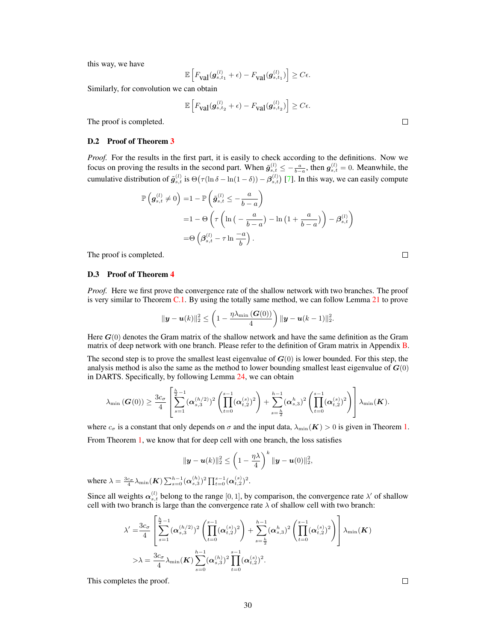this way, we have

$$
\mathbb{E}\left[F_{\text{Val}}(\boldsymbol{g}_{s,t_1}^{(l)}+\epsilon)-F_{\text{Val}}(\boldsymbol{g}_{s,t_1}^{(l)})\right] \geq C\epsilon.
$$

Similarly, for convolution we can obtain

$$
\mathbb{E}\left[F_{\text{Val}}(\boldsymbol{g}^{(l)}_{s,t_2}+\epsilon)-F_{\text{Val}}(\boldsymbol{g}^{(l)}_{s,t_2})\right]\geq C\epsilon.
$$

The proof is completed.

#### D.2 Proof of Theorem [3](#page-0-2)

*Proof.* For the results in the first part, it is easily to check according to the definitions. Now we focus on proving the results in the second part. When  $\tilde{g}_{s,t}^{(l)} \le -\frac{a}{b-a}$ , then  $g_{s,t}^{(l)} = 0$ . Meanwhile, the cumulative distribution of  $\tilde{g}_{s,t}^{(l)}$  is  $\Theta(\tau(\ln\delta - \ln(1-\delta)) - \beta_{s,t}^{(l)})$  [\[7\]](#page-41-6). In this way, we can easily compute

$$
\mathbb{P}\left(g_{s,t}^{(l)} \neq 0\right) = 1 - \mathbb{P}\left(\tilde{g}_{s,t}^{(l)} \leq -\frac{a}{b-a}\right)
$$
  
= 1 - \Theta\left(\tau\left(\ln\left(-\frac{a}{b-a}\right) - \ln\left(1 + \frac{a}{b-a}\right)\right) - \beta\_{s,t}^{(l)}\right)  
= \Theta\left(\beta\_{s,t}^{(l)} - \tau \ln \frac{-a}{b}\right).

The proof is completed.

#### D.3 Proof of Theorem [4](#page-0-2)

*Proof.* Here we first prove the convergence rate of the shallow network with two branches. The proof is very similar to Theorem  $C.1$ . By using the totally same method, we can follow Lemma  $21$  to prove

$$
\|\bm{y}-\bm{u}(k)\|_2^2 \leq \left(1-\frac{\eta\lambda_{\min}\left(\bm{G}(0)\right)}{4}\right) \|\bm{y}-\bm{u}(k-1)\|_2^2.
$$

Here  $G(0)$  denotes the Gram matrix of the shallow network and have the same definition as the Gram matrix of deep network with one branch. Please refer to the definition of Gram matrix in Appendix [B.](#page-2-0)

The second step is to prove the smallest least eigenvalue of  $G(0)$  is lower bounded. For this step, the analysis method is also the same as the method to lower bounding smallest least eigenvalue of  $G(0)$ in DARTS. Specifically, by following Lemma [24,](#page-19-0) we can obtain

$$
\lambda_{\min}\left(\boldsymbol{G}(0)\right) \geq \frac{3c_{\sigma}}{4} \left[ \sum_{s=1}^{\frac{h}{2}-1} (\boldsymbol{\alpha}_{s,3}^{(h/2)})^2 \left(\prod_{t=0}^{s-1} (\boldsymbol{\alpha}_{t,2}^{(s)})^2\right) + \sum_{s=\frac{h}{2}}^{h-1} (\boldsymbol{\alpha}_{s,3}^{h})^2 \left(\prod_{t=0}^{s-1} (\boldsymbol{\alpha}_{t,2}^{(s)})^2\right) \right] \lambda_{\min}(\boldsymbol{K}).
$$

where  $c_{\sigma}$  is a constant that only depends on  $\sigma$  and the input data,  $\lambda_{\min}(\mathbf{K}) > 0$  is given in Theorem [1.](#page-0-2) From Theorem [1,](#page-0-2) we know that for deep cell with one branch, the loss satisfies

$$
\|\bm{y}-\bm{u}(k)\|_2^2 \leq \left(1-\frac{\eta\lambda}{4}\right)^k \|\bm{y}-\bm{u}(0)\|_2^2,
$$

where  $\lambda = \frac{3c_{\sigma}}{4} \lambda_{\min}(\bm{K}) \sum_{s=0}^{h-1} (\bm{\alpha}_{s,3}^{(h)})^2 \prod_{t=0}^{s-1} (\bm{\alpha}_{t,2}^{(s)})^2$ .

Since all weights  $\alpha_{s,t}^{(l)}$  belong to the range [0, 1], by comparison, the convergence rate  $\lambda'$  of shallow cell with two branch is large than the convergence rate  $\lambda$  of shallow cell with two branch:

$$
\lambda' = \frac{3c_{\sigma}}{4} \left[ \sum_{s=1}^{\frac{h}{2}-1} (\boldsymbol{\alpha}_{s,3}^{(h/2)})^2 \left( \prod_{t=0}^{s-1} (\boldsymbol{\alpha}_{t,2}^{(s)})^2 \right) + \sum_{s=\frac{h}{2}}^{h-1} (\boldsymbol{\alpha}_{s,3}^{h})^2 \left( \prod_{t=0}^{s-1} (\boldsymbol{\alpha}_{t,2}^{(s)})^2 \right) \right] \lambda_{\min}(\boldsymbol{K})
$$
  
\n
$$
> \lambda = \frac{3c_{\sigma}}{4} \lambda_{\min}(\boldsymbol{K}) \sum_{s=0}^{h-1} (\boldsymbol{\alpha}_{s,3}^{(h)})^2 \prod_{t=0}^{s-1} (\boldsymbol{\alpha}_{t,2}^{(s)})^2.
$$

This completes the proof.

 $\Box$ 

 $\Box$ 

 $\Box$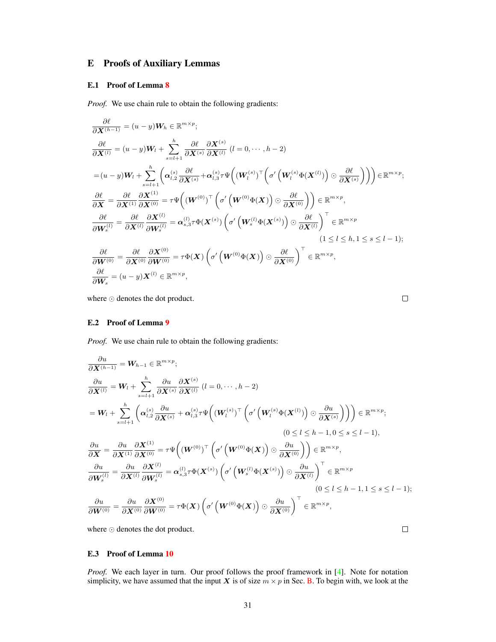# <span id="page-30-0"></span>E Proofs of Auxiliary Lemmas

# <span id="page-30-1"></span>E.1 Proof of Lemma [8](#page-4-1)

*Proof.* We use chain rule to obtain the following gradients:

$$
\frac{\partial \ell}{\partial \mathbf{X}^{(h-1)}} = (u - y)\mathbf{W}_h \in \mathbb{R}^{m \times p};
$$
\n
$$
\frac{\partial \ell}{\partial \mathbf{X}^{(l)}} = (u - y)\mathbf{W}_l + \sum_{s=l+1}^h \frac{\partial \ell}{\partial \mathbf{X}^{(s)}} \frac{\partial \mathbf{X}^{(s)}}{\partial \mathbf{X}^{(l)}} (l = 0, \dots, h - 2)
$$
\n
$$
= (u - y)\mathbf{W}_l + \sum_{s=l+1}^h \left( \alpha_{l,2}^{(s)} \frac{\partial \ell}{\partial \mathbf{X}^{(s)}} + \alpha_{l,3}^{(s)} \tau \Psi \left( (\mathbf{W}_l^{(s)})^\top \left( \sigma' \left( \mathbf{W}_l^{(s)} \Phi(\mathbf{X}^{(l)}) \right) \odot \frac{\partial \ell}{\partial \mathbf{X}^{(s)}} \right) \right) \right) \in \mathbb{R}^{m \times p};
$$
\n
$$
\frac{\partial \ell}{\partial \mathbf{X}} = \frac{\partial \ell}{\partial \mathbf{X}^{(1)}} \frac{\partial \mathbf{X}^{(1)}}{\partial \mathbf{X}^{(0)}} = \tau \Psi \left( (\mathbf{W}^{(0)})^\top \left( \sigma' \left( \mathbf{W}^{(0)} \Phi(\mathbf{X}) \right) \odot \frac{\partial \ell}{\partial \mathbf{X}^{(0)}} \right) \right) \in \mathbb{R}^{m \times p},
$$
\n
$$
\frac{\partial \ell}{\partial \mathbf{W}_s^{(l)}} = \frac{\partial \ell}{\partial \mathbf{X}^{(l)}} \frac{\partial \mathbf{X}^{(l)}}{\partial \mathbf{W}_s^{(l)}} = \alpha_{s,3}^{(l)} \tau \Phi(\mathbf{X}^{(s)}) \left( \sigma' \left( \mathbf{W}_s^{(l)} \Phi(\mathbf{X}^{(s)}) \right) \odot \frac{\partial \ell}{\partial \mathbf{X}^{(l)}} \right)^\top \in \mathbb{R}^{m \times p},
$$
\n
$$
(1 \le l \le h, 1 \le s \le l - 1);
$$
\n
$$
\frac{\partial \ell}{\partial \mathbf{W}^{(0)}} = \frac{\partial \ell}{\partial \mathbf{X}^{(0)}} \frac{\partial \mathbf{
$$

where  $\odot$  denotes the dot product.

 $\Box$ 

## <span id="page-30-2"></span>E.2 Proof of Lemma [9](#page-5-4)

*Proof.* We use chain rule to obtain the following gradients:

$$
\frac{\partial u}{\partial \mathbf{X}^{(h-1)}} = \mathbf{W}_{h-1} \in \mathbb{R}^{m \times p};
$$
\n
$$
\frac{\partial u}{\partial \mathbf{X}^{(l)}} = \mathbf{W}_{l} + \sum_{s=l+1}^{h} \frac{\partial u}{\partial \mathbf{X}^{(s)}} \frac{\partial \mathbf{X}^{(s)}}{\partial \mathbf{X}^{(l)}} (l = 0, \dots, h-2)
$$
\n
$$
= \mathbf{W}_{l} + \sum_{s=l+1}^{h} \left( \alpha_{l,2}^{(s)} \frac{\partial u}{\partial \mathbf{X}^{(s)}} + \alpha_{l,3}^{(s)} \tau \Psi \left( (\mathbf{W}_{l}^{(s)})^{\top} \left( \sigma' \left( \mathbf{W}_{l}^{(s)} \Phi (\mathbf{X}^{(l)}) \right) \odot \frac{\partial u}{\partial \mathbf{X}^{(s)}} \right) \right) \right) \in \mathbb{R}^{m \times p};
$$
\n
$$
(0 \le l \le h-1, 0 \le s \le l-1),
$$
\n
$$
\frac{\partial u}{\partial \mathbf{X}} = \frac{\partial u}{\partial \mathbf{X}^{(1)}} \frac{\partial \mathbf{X}^{(1)}}{\partial \mathbf{X}^{(0)}} = \tau \Psi \left( (\mathbf{W}^{(0)})^{\top} \left( \sigma' \left( \mathbf{W}^{(0)} \Phi (\mathbf{X}) \right) \odot \frac{\partial u}{\partial \mathbf{X}^{(0)}} \right) \right) \in \mathbb{R}^{m \times p},
$$
\n
$$
\frac{\partial u}{\partial \mathbf{W}_{s}^{(l)}} = \frac{\partial u}{\partial \mathbf{X}^{(l)}} \frac{\partial \mathbf{X}^{(l)}}{\partial \mathbf{W}_{s}^{(l)}} = \alpha_{s,3}^{(l)} \tau \Phi (\mathbf{X}^{(s)}) \left( \sigma' \left( \mathbf{W}_{s}^{(l)} \Phi (\mathbf{X}^{(s)}) \right) \odot \frac{\partial u}{\partial \mathbf{X}^{(l)}} \right)^{\top} \in \mathbb{R}^{m \times p},
$$
\n
$$
(0 \le l \le h-1, 1 \le s \le l-1);
$$
\n
$$
\frac{\partial u}{\partial \mathbf{W}^{(0)}} = \frac{\
$$

where  $\odot$  denotes the dot product.

## <span id="page-30-3"></span>E.3 Proof of Lemma [10](#page-5-0)

*Proof.* We each layer in turn. Our proof follows the proof framework in [\[4\]](#page-41-3). Note for notation simplicity, we have assumed that the input X is of size  $m \times p$  in Sec. [B.](#page-2-0) To begin with, we look at the

 $\Box$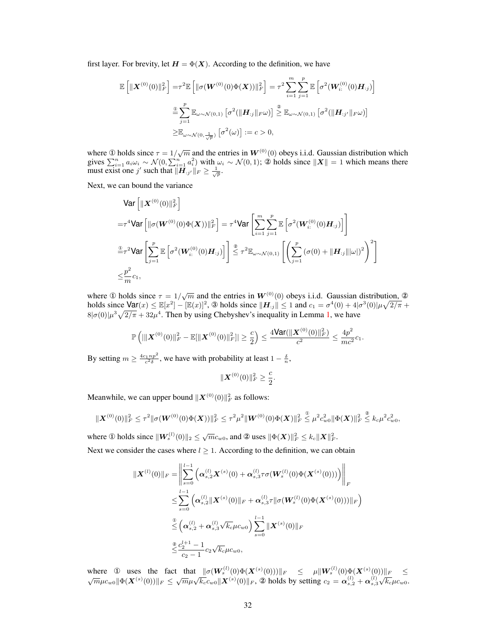first layer. For brevity, let  $H = \Phi(X)$ . According to the definition, we have

$$
\mathbb{E}\left[\|\boldsymbol{X}^{(0)}(0)\|_{F}^{2}\right] = \tau^{2} \mathbb{E}\left[\|\sigma(\boldsymbol{W}^{(0)}(0)\Phi(\boldsymbol{X}))\|_{F}^{2}\right] = \tau^{2} \sum_{i=1}^{m} \sum_{j=1}^{p} \mathbb{E}\left[\sigma^{2}(\boldsymbol{W}_{i:}^{(0)}(0)\boldsymbol{H}_{:j})\right]
$$

$$
\stackrel{\circ}{=}\sum_{j=1}^{p} \mathbb{E}_{\omega \sim \mathcal{N}(0,1)}\left[\sigma^{2}(\|\boldsymbol{H}_{:j}\|_{F}\omega)\right] \stackrel{\circ}{\geq} \mathbb{E}_{\omega \sim \mathcal{N}(0,1)}\left[\sigma^{2}(\|\boldsymbol{H}_{:j'}\|_{F}\omega)\right]
$$

$$
\geq \mathbb{E}_{\omega \sim \mathcal{N}(0,\frac{1}{\sqrt{p}})}\left[\sigma^{2}(\omega)\right] := c > 0,
$$

where ① holds since  $\tau = 1/\sqrt{m}$  and the entries in  $W^{(0)}(0)$  obeys i.i.d. Gaussian distribution which gives  $\sum_{i=1}^n a_i \omega_i \sim \mathcal{N}(0, \sum_{i=1}^n a_i^2)$  with  $\omega_i \sim \mathcal{N}(0, 1)$ ; ② holds since  $||\mathbf{X}|| = 1$  which means there must exist one j' such that  $\|\mathbf{H}_{:j'}\|_F \geq \frac{1}{\sqrt{p}}$ .

Next, we can bound the variance

$$
\begin{split}\n&\text{Var}\left[\|\boldsymbol{X}^{(0)}(0)\|_{F}^{2}\right] \\
&= \tau^{4}\text{Var}\left[\|\sigma(\boldsymbol{W}^{(0)}(0)\Phi(\boldsymbol{X}))\|_{F}^{2}\right] = \tau^{4}\text{Var}\left[\sum_{i=1}^{m}\sum_{j=1}^{p}\mathbb{E}\left[\sigma^{2}(\boldsymbol{W}_{i:}^{(0)}(0)\boldsymbol{H}_{:j})\right]\right] \\
&\stackrel{\circ}{=}\tau^{2}\text{Var}\left[\sum_{j=1}^{p}\mathbb{E}\left[\sigma^{2}(\boldsymbol{W}_{i:}^{(0)}(0)\boldsymbol{H}_{:j})\right]\right] \stackrel{\circ}{\leq}\tau^{2}\mathbb{E}_{\omega\sim\mathcal{N}(0,1)}\left[\left(\sum_{j=1}^{p}(\sigma(0)+\|\boldsymbol{H}_{:j}\|\|\omega\|)^{2}\right)^{2}\right] \\
&\leq \frac{p^{2}}{m}c_{1},\n\end{split}
$$

where ① holds since  $\tau = 1/\sqrt{m}$  and the entries in  $W^{(0)}(0)$  obeys i.i.d. Gaussian distribution, ② holds since  $\text{Var}(x) \leq \mathbb{E}[x^2] - [\mathbb{E}(x)]^2$ , 3 holds since  $\|\mathbf{H}_{:j}\| \leq 1$  and  $c_1 = \sigma^4(0) + 4|\sigma^3(0)|\mu\sqrt{2/\pi}$  +  $8|\sigma(0)|\mu^3\sqrt{2/\pi}+32\mu^4$ . Then by using Chebyshev's inequality in Lemma [1,](#page-3-6) we have

$$
\mathbb{P}\left(||\boldsymbol{X}^{(0)}(0)||_F^2 - \mathbb{E}[\|\boldsymbol{X}^{(0)}(0)||_F^2] \right| \geq \frac{c}{2}\right) \leq \frac{4\text{Var}(\|\boldsymbol{X}^{(0)}(0)||_F^2)}{c^2} \leq \frac{4p^2}{mc^2}c_1.
$$

By setting  $m \ge \frac{4c_1np^2}{c^2\delta}$ , we have with probability at least  $1 - \frac{\delta}{n}$ ,

$$
\|\boldsymbol{X}^{(0)}(0)\|_F^2 \geq \frac{c}{2}.
$$

Meanwhile, we can upper bound  $\|\boldsymbol{X}^{(0)}(0)\|_F^2$  as follows:

$$
\|\boldsymbol{X}^{(0)}(0)\|_F^2 \leq \tau^2 \|\sigma(\boldsymbol{W}^{(0)}(0)\Phi(\boldsymbol{X}))\|_F^2 \leq \tau^2 \mu^2 \|\boldsymbol{W}^{(0)}(0)\Phi(\boldsymbol{X})\|_F^2 \overset{\circ}{\leq} \mu^2 c_{w0}^2 \|\Phi(\boldsymbol{X})\|_F^2 \overset{\circ}{\leq} k_c \mu^2 c_{w0}^2,
$$

where ① holds since  $||\boldsymbol{W}_s^{(l)}(0)||_2 \le \sqrt{m}c_{w0}$ , and ② uses  $||\Phi(\boldsymbol{X})||_F^2 \le k_c||\boldsymbol{X}||_F^2$ .

Next we consider the cases where  $l \geq 1$ . According to the definition, we can obtain

$$
\begin{split} \|\boldsymbol{X}^{(l)}(0)\|_{F} &= \left\| \sum_{s=0}^{l-1} \left( \boldsymbol{\alpha}_{s,2}^{(l)} \boldsymbol{X}^{(s)}(0) + \boldsymbol{\alpha}_{s,3}^{(l)} \tau \sigma(\boldsymbol{W}_{s}^{(l)}(0) \Phi(\boldsymbol{X}^{(s)}(0))) \right) \right\|_{F} \\ &\leq \sum_{s=0}^{l-1} \left( \boldsymbol{\alpha}_{s,2}^{(l)} \|\boldsymbol{X}^{(s)}(0)\|_{F} + \boldsymbol{\alpha}_{s,3}^{(l)} \tau \|\sigma(\boldsymbol{W}_{s}^{(l)}(0) \Phi(\boldsymbol{X}^{(s)}(0)))\|_{F} \right) \\ &\stackrel{\text{0}}{\leq} \left( \boldsymbol{\alpha}_{s,2}^{(l)} + \boldsymbol{\alpha}_{s,3}^{(l)} \sqrt{k_{c}} \mu c_{w0} \right) \sum_{s=0}^{l-1} \|\boldsymbol{X}^{(s)}(0)\|_{F} \\ &\stackrel{\text{0}}{\leq} \frac{c_{2}^{l+1}-1}{c_{2}-1} c_{2} \sqrt{k_{c}} \mu c_{w0}, \end{split}
$$

where ① uses the fact that  $\|\sigma(W_s^{(l)}(0)\Phi(X^{(s)}(0)))\|_F \le \mu \|W_s^{(l)}(0)\Phi(X^{(s)}(0))\|_F \le \sqrt{m}\mu\sqrt{k_c}C_{w0}\|X^{(s)}(0)\|_F$ , ② holds by setting  $c_2 = \alpha_{s,2}^{(l)} + \alpha_{s,3}^{(l)}\sqrt{k_c}\mu c_{w0}$  $\sqrt{\frac{F}{k_c}}\mu c_{w0}.$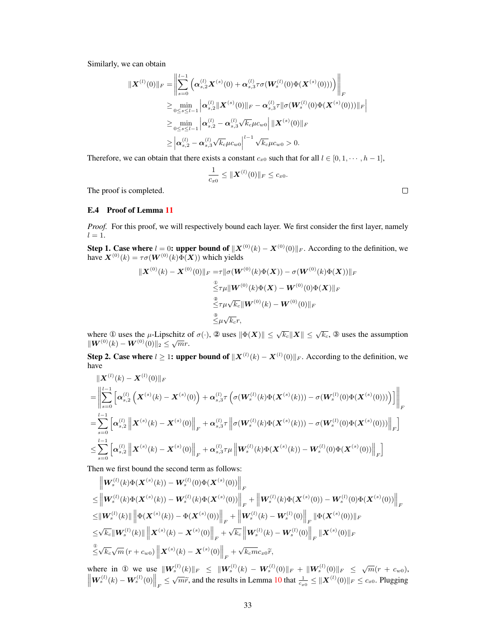Similarly, we can obtain

$$
\begin{aligned} \|\boldsymbol{X}^{(l)}(0)\|_{F} & = \left\| \sum_{s=0}^{l-1} \left( \boldsymbol{\alpha}_{s,2}^{(l)} \boldsymbol{X}^{(s)}(0) + \boldsymbol{\alpha}_{s,3}^{(l)} \tau \sigma(\boldsymbol{W}_{s}^{(l)}(0) \Phi(\boldsymbol{X}^{(s)}(0))) \right) \right\|_{F} \\ & \geq \min_{0 \leq s \leq l-1} \left| \boldsymbol{\alpha}_{s,2}^{(l)} \|\boldsymbol{X}^{(s)}(0)\|_{F} - \boldsymbol{\alpha}_{s,3}^{(l)} \tau \|\sigma(\boldsymbol{W}_{s}^{(l)}(0) \Phi(\boldsymbol{X}^{(s)}(0)))\|_{F} \right| \\ & \geq \min_{0 \leq s \leq l-1} \left| \boldsymbol{\alpha}_{s,2}^{(l)} - \boldsymbol{\alpha}_{s,3}^{(l)} \sqrt{k_{c}} \mu c_{w0} \right| \|\boldsymbol{X}^{(s)}(0)\|_{F} \\ & \geq \left| \boldsymbol{\alpha}_{s,2}^{(l)} - \boldsymbol{\alpha}_{s,3}^{(l)} \sqrt{k_{c}} \mu c_{w0} \right|^{l-1} \sqrt{k_{c}} \mu c_{w0} > 0. \end{aligned}
$$

Therefore, we can obtain that there exists a constant  $c_{x0}$  such that for all  $l \in [0, 1, \dots, h-1]$ ,

$$
\frac{1}{c_{x0}} \leq \|\boldsymbol{X}^{(l)}(0)\|_F \leq c_{x0}.
$$

The proof is completed.

# <span id="page-32-0"></span>E.4 Proof of Lemma [11](#page-5-3)

*Proof.* For this proof, we will respectively bound each layer. We first consider the first layer, namely  $l = 1.$ 

Step 1. Case where  $l = 0$ : upper bound of  $||X^{(0)}(k) - X^{(0)}(0)||_F$ . According to the definition, we have  $\mathbf{X}^{(0)}(k) = \tau \sigma(\mathbf{W}^{(0)}(k)\overline{\hat{\Phi}(\mathbf{X})})$  which yields

$$
\|X^{(0)}(k) - X^{(0)}(0)\|_{F} = \tau \|\sigma(W^{(0)}(k)\Phi(X)) - \sigma(W^{(0)}(k)\Phi(X))\|_{F}
$$
  

$$
\leq \tau \mu \|W^{(0)}(k)\Phi(X) - W^{(0)}(0)\Phi(X)\|_{F}
$$
  

$$
\leq \tau \mu \sqrt{k_c} \|W^{(0)}(k) - W^{(0)}(0)\|_{F}
$$
  

$$
\leq \mu \sqrt{k_c}r,
$$

where ① uses the  $\mu$ -Lipschitz of  $\sigma(\cdot)$ , ② uses  $\|\Phi(\bm{X})\| \leq \sqrt{k_c} \|\bm{X}\| \leq \sqrt{k_c}$ , ③ uses the assumption where  $\mathcal{L}$  uses the  $\mu$ -Eipsenheiment control  $\|W^{(0)}(k) - W^{(0)}(0)\|_2 \leq \sqrt{m}r$ .

**Step 2. Case where**  $l \geq 1$ : upper bound of  $||X^{(l)}(k) - X^{(l)}(0)||_F$ . According to the definition, we have

$$
\| \mathbf{X}^{(l)}(k) - \mathbf{X}^{(l)}(0) \|_{F}
$$
\n
$$
= \left\| \sum_{s=0}^{l-1} \left[ \alpha_{s,2}^{(l)} \left( \mathbf{X}^{(s)}(k) - \mathbf{X}^{(s)}(0) \right) + \alpha_{s,3}^{(l)} \tau \left( \sigma(\mathbf{W}_s^{(l)}(k) \Phi(\mathbf{X}^{(s)}(k))) - \sigma(\mathbf{W}_s^{(l)}(0) \Phi(\mathbf{X}^{(s)}(0))) \right) \right] \right\|_{F}
$$
\n
$$
= \sum_{s=0}^{l-1} \left[ \alpha_{s,2}^{(l)} \left\| \mathbf{X}^{(s)}(k) - \mathbf{X}^{(s)}(0) \right\|_{F} + \alpha_{s,3}^{(l)} \tau \left\| \sigma(\mathbf{W}_s^{(l)}(k) \Phi(\mathbf{X}^{(s)}(k))) - \sigma(\mathbf{W}_s^{(l)}(0) \Phi(\mathbf{X}^{(s)}(0))) \right\|_{F} \right]
$$
\n
$$
\leq \sum_{s=0}^{l-1} \left[ \alpha_{s,2}^{(l)} \left\| \mathbf{X}^{(s)}(k) - \mathbf{X}^{(s)}(0) \right\|_{F} + \alpha_{s,3}^{(l)} \tau \mu \left\| \mathbf{W}_s^{(l)}(k) \Phi(\mathbf{X}^{(s)}(k)) - \mathbf{W}_s^{(l)}(0) \Phi(\mathbf{X}^{(s)}(0)) \right\|_{F} \right]
$$

Then we first bound the second term as follows:

$$
\|W_s^{(l)}(k)\Phi(\mathbf{X}^{(s)}(k)) - W_s^{(l)}(0)\Phi(\mathbf{X}^{(s)}(0))\|_F
$$
\n
$$
\leq \|W_s^{(l)}(k)\Phi(\mathbf{X}^{(s)}(k)) - W_s^{(l)}(k)\Phi(\mathbf{X}^{(s)}(0))\|_F + \|W_s^{(l)}(k)\Phi(\mathbf{X}^{(s)}(0)) - W_s^{(l)}(0)\Phi(\mathbf{X}^{(s)}(0))\|_F
$$
\n
$$
\leq \|W_s^{(l)}(k)\| \left\|\Phi(\mathbf{X}^{(s)}(k)) - \Phi(\mathbf{X}^{(s)}(0))\right\|_F + \left\|W_s^{(l)}(k) - W_s^{(l)}(0)\right\|_F \|\Phi(\mathbf{X}^{(s)}(0))\|_F
$$
\n
$$
\leq \sqrt{k_c} \|W_s^{(l)}(k)\| \left\|\mathbf{X}^{(s)}(k) - \mathbf{X}^{(s)}(0)\right\|_F + \sqrt{k_c} \left\|W_s^{(l)}(k) - W_s^{(l)}(0)\right\|_F \|\mathbf{X}^{(s)}(0)\|_F
$$
\n
$$
\frac{\partial}{\partial \sqrt{k_c}} \sqrt{m} (r + c_{w0}) \left\|\mathbf{X}^{(s)}(k) - \mathbf{X}^{(s)}(0)\right\|_F + \sqrt{k_c m} c_{x0} \tilde{r},
$$

where in 0 we use  $\|\mathbf{W}_{s}^{(l)}(k)\|_{F} \leq \|\mathbf{W}_{s}^{(l)}(k) - \mathbf{W}_{s}^{(l)}(0)\|_{F} + \|\mathbf{W}_{s}^{(l)}(0)\|_{F} \leq \sqrt{m}(r + c_{w0}),$  $\left\|W_s^{(l)}(k) - W_s^{(l)}(0)\right\|_F \le \sqrt{m}\tilde{r}$ , and the results in Lemma [10](#page-5-0) that  $\frac{1}{c_{x0}} \le \|X^{(l)}(0)\|_F \le c_{x0}$ . Plugging

 $\Box$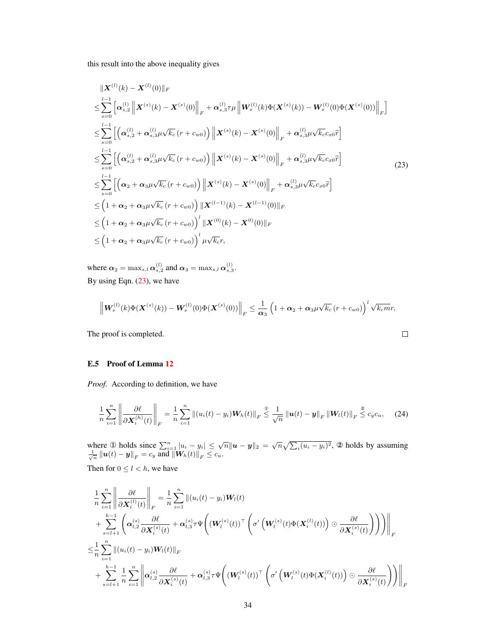this result into the above inequality gives

<span id="page-33-1"></span>
$$
\|X^{(l)}(k) - X^{(l)}(0)\|_{F}
$$
\n
$$
\leq \sum_{s=0}^{l-1} \left[ \alpha_{s,2}^{(l)} \|X^{(s)}(k) - X^{(s)}(0)\|_{F} + \alpha_{s,3}^{(l)} \tau \mu \|W_{s}^{(l)}(k) \Phi(X^{(s)}(k)) - W_{s}^{(l)}(0) \Phi(X^{(s)}(0))\|_{F} \right]
$$
\n
$$
\leq \sum_{s=0}^{l-1} \left[ \left( \alpha_{s,2}^{(l)} + \alpha_{s,3}^{(l)} \mu \sqrt{k_{c}} (r + c_{w0}) \right) \|X^{(s)}(k) - X^{(s)}(0)\|_{F} + \alpha_{s,3}^{(l)} \mu \sqrt{k_{c}} c_{x0} \tilde{r} \right]
$$
\n
$$
\leq \sum_{s=0}^{l-1} \left[ \left( \alpha_{s,2}^{(l)} + \alpha_{s,3}^{(l)} \mu \sqrt{k_{c}} (r + c_{w0}) \right) \|X^{(s)}(k) - X^{(s)}(0)\|_{F} + \alpha_{s,3}^{(l)} \mu \sqrt{k_{c}} c_{x0} \tilde{r} \right]
$$
\n
$$
\leq \sum_{s=0}^{l-1} \left[ \left( \alpha_{2} + \alpha_{3} \mu \sqrt{k_{c}} (r + c_{w0}) \right) \|X^{(s)}(k) - X^{(s)}(0)\|_{F} + \alpha_{s,3}^{(l)} \mu \sqrt{k_{c}} c_{x0} \tilde{r} \right]
$$
\n
$$
\leq \left( 1 + \alpha_{2} + \alpha_{3} \mu \sqrt{k_{c}} (r + c_{w0}) \right) \|X^{(l-1)}(k) - X^{(l-1)}(0)\|_{F}
$$
\n
$$
\leq \left( 1 + \alpha_{2} + \alpha_{3} \mu \sqrt{k_{c}} (r + c_{w0}) \right)^{l} \|X^{(0)}(k) - X^{0}(0)\|_{F}
$$
\n
$$
\leq \left( 1 + \alpha_{2} + \alpha_{3} \mu \sqrt{k_{c}} (r + c_{w0}) \right)^{l} \mu \sqrt{k_{c}} r,
$$
\n(1.10)

where  $\alpha_2 = \max_{s,l} \alpha_{s,2}^{(l)}$  and  $\alpha_3 = \max_{s,l} \alpha_{s,3}^{(l)}$ . By using Eqn. [\(23\)](#page-33-1), we have

$$
\left\| \boldsymbol{W}^{(l)}_s(k) \Phi(\boldsymbol{X}^{(s)}(k)) - \boldsymbol{W}^{(l)}_s(0) \Phi(\boldsymbol{X}^{(s)}(0)) \right\|_F \leq \frac{1}{\alpha_3} \left( 1 + \alpha_2 + \alpha_3 \mu \sqrt{k_c} \left( r + c_{w0} \right) \right)^l \sqrt{k_c m} r,
$$

The proof is completed.

# <span id="page-33-0"></span>E.5 Proof of Lemma [12](#page-5-2)

*Proof.* According to definition, we have

<span id="page-33-2"></span>
$$
\frac{1}{n}\sum_{i=1}^n\left\|\frac{\partial\ell}{\partial\mathbf{X}_i^{(h)}(t)}\right\|_F=\frac{1}{n}\sum_{i=1}^n\left\|(u_i(t)-y_i)\mathbf{W}_h(t)\right\|_F\leq\frac{1}{\sqrt{n}}\left\|\mathbf{u}(t)-\mathbf{y}\right\|_F\left\|\mathbf{W}_l(t)\right\|_F\leq c_yc_u,\quad (24)
$$

where ① holds since  $\sum_{i=1}^n |u_i - y_i| \leq \sqrt{n} ||u - y||_2 = \sqrt{n} \sqrt{\sum_i (u_i - y_i)^2}$ , ② holds by assuming  $\frac{1}{\sqrt{n}}\left\|\bm{u}(t)-\bm{y}\right\|_F=c_y$  and  $\left\|\bm{W}_h(t)\right\|_F\leq c_u$ .

Then for  $0 \leq l \leq h$ , we have

$$
\begin{split}\n&\frac{1}{n}\sum_{i=1}^{n}\left\|\frac{\partial\ell}{\partial\mathbf{X}_{i}^{(l)}(t)}\right\|_{F} = \frac{1}{n}\sum_{i=1}^{n}\left\|(u_{i}(t)-y_{i})\mathbf{W}_{l}(t)\right. \\
&\quad\left. + \sum_{s=l+1}^{h-1}\left(\alpha_{l,2}^{(s)}\frac{\partial\ell}{\partial\mathbf{X}_{i}^{(s)}(t)} + \alpha_{l,3}^{(s)}\tau\Psi\left((\mathbf{W}_{l}^{(s)}(t))^{\top}\left(\sigma'\left(\mathbf{W}_{l}^{(s)}(t)\Phi(\mathbf{X}_{i}^{(l)}(t))\right)\odot\frac{\partial\ell}{\partial\mathbf{X}_{i}^{(s)}(t)}\right)\right)\right)\right\|_{F} \\
&\leq &\frac{1}{n}\sum_{i=1}^{n}\left\|(u_{i}(t)-y_{i})\mathbf{W}_{l}(t)\right\|_{F} \\
&\quad+\sum_{s=l+1}^{h-1}\frac{1}{n}\sum_{i=1}^{n}\left\|\alpha_{l,2}^{(s)}\frac{\partial\ell}{\partial\mathbf{X}_{i}^{(s)}(t)} + \alpha_{l,3}^{(s)}\tau\Psi\left((\mathbf{W}_{l}^{(s)}(t))^{\top}\left(\sigma'\left(\mathbf{W}_{l}^{(s)}(t)\Phi(\mathbf{X}_{i}^{(l)}(t))\right)\odot\frac{\partial\ell}{\partial\mathbf{X}_{i}^{(s)}(t)}\right)\right)\right\|_{F}\n\end{split}
$$

 $\Box$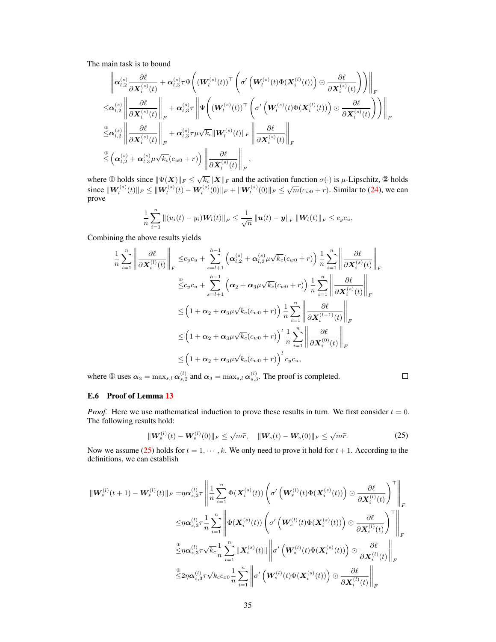The main task is to bound

$$
\begin{split} &\left\| \boldsymbol{\alpha}_{l,2}^{(s)} \frac{\partial \ell}{\partial \boldsymbol{X}_i^{(s)}(t)} + \boldsymbol{\alpha}_{l,3}^{(s)} \tau \Psi \bigg( (\boldsymbol{W}_l^{(s)}(t))^\top \left( \sigma' \left( \boldsymbol{W}_l^{(s)}(t) \Phi(\boldsymbol{X}_i^{(l)}(t)) \right) \odot \frac{\partial \ell}{\partial \boldsymbol{X}_i^{(s)}(t)} \right) \right) \right\|_F \\ \leq & \boldsymbol{\alpha}_{l,2}^{(s)} \left\| \frac{\partial \ell}{\partial \boldsymbol{X}_i^{(s)}(t)} \right\|_F + \boldsymbol{\alpha}_{l,3}^{(s)} \tau \left\| \Psi \bigg( (\boldsymbol{W}_l^{(s)}(t))^\top \left( \sigma' \left( \boldsymbol{W}_l^{(s)}(t) \Phi(\boldsymbol{X}_i^{(l)}(t)) \right) \odot \frac{\partial \ell}{\partial \boldsymbol{X}_i^{(s)}(t)} \right) \right) \right\|_F \\ \stackrel{\text{w}}{\leq} & \boldsymbol{\alpha}_{l,2}^{(s)} \left\| \frac{\partial \ell}{\partial \boldsymbol{X}_i^{(s)}(t)} \right\|_F + \boldsymbol{\alpha}_{l,3}^{(s)} \tau \mu \sqrt{k_c} \| \boldsymbol{W}_l^{(s)}(t) \|_F \left\| \frac{\partial \ell}{\partial \boldsymbol{X}_i^{(s)}(t)} \right\|_F \\ \stackrel{\text{w}}{\leq} & \left( \boldsymbol{\alpha}_{l,2}^{(s)} + \boldsymbol{\alpha}_{l,3}^{(s)} \mu \sqrt{k_c} (c_{w0} + r) \right) \left\| \frac{\partial \ell}{\partial \boldsymbol{X}_i^{(s)}(t)} \right\|_F, \end{split}
$$

where ① holds since  $\|\Psi(X)\|_F \leq \sqrt{k_c} \|X\|_F$  and the activation function  $\sigma(\cdot)$  is  $\mu$ -Lipschitz, ② holds since kW(s) l (t)k<sup>F</sup> ≤ kW(s) l (t) − W(s) l (0)k<sup>F</sup> + kW(s) l (0)k<sup>F</sup> ≤ √ m(cw<sup>0</sup> + r). Similar to [\(24\)](#page-33-2), we can prove

$$
\frac{1}{n}\sum_{i=1}^n\left\|(u_i(t)-y_i)\bm{W}_l(t)\right\|_F\leq \frac{1}{\sqrt{n}}\left\|\bm{u}(t)-\bm{y}\right\|_F\left\|\bm{W}_l(t)\right\|_F\leq c_yc_u,
$$

Combining the above results yields

$$
\frac{1}{n} \sum_{i=1}^{n} \left\| \frac{\partial \ell}{\partial \mathbf{X}_{i}^{(l)}(t)} \right\|_{F} \leq c_{y}c_{u} + \sum_{s=l+1}^{h-1} \left( \alpha_{l,2}^{(s)} + \alpha_{l,3}^{(s)} \mu \sqrt{k_{c}} (c_{w0} + r) \right) \frac{1}{n} \sum_{i=1}^{n} \left\| \frac{\partial \ell}{\partial \mathbf{X}_{i}^{(s)}(t)} \right\|_{F}
$$
  

$$
\leq c_{y}c_{u} + \sum_{s=l+1}^{h-1} \left( \alpha_{2} + \alpha_{3} \mu \sqrt{k_{c}} (c_{w0} + r) \right) \frac{1}{n} \sum_{i=1}^{n} \left\| \frac{\partial \ell}{\partial \mathbf{X}_{i}^{(s)}(t)} \right\|_{F}
$$
  

$$
\leq \left( 1 + \alpha_{2} + \alpha_{3} \mu \sqrt{k_{c}} (c_{w0} + r) \right) \frac{1}{n} \sum_{i=1}^{n} \left\| \frac{\partial \ell}{\partial \mathbf{X}_{i}^{(l-1)}(t)} \right\|_{F}
$$
  

$$
\leq \left( 1 + \alpha_{2} + \alpha_{3} \mu \sqrt{k_{c}} (c_{w0} + r) \right)^{l} \frac{1}{n} \sum_{i=1}^{n} \left\| \frac{\partial \ell}{\partial \mathbf{X}_{i}^{(0)}(t)} \right\|_{F}
$$
  

$$
\leq \left( 1 + \alpha_{2} + \alpha_{3} \mu \sqrt{k_{c}} (c_{w0} + r) \right)^{l} c_{y}c_{u},
$$

where ① uses  $\alpha_2 = \max_{s,l} \alpha_{s,2}^{(l)}$  and  $\alpha_3 = \max_{s,l} \alpha_{s,3}^{(l)}$ . The proof is completed.

# $\Box$

#### <span id="page-34-0"></span>E.6 Proof of Lemma [13](#page-5-1)

*Proof.* Here we use mathematical induction to prove these results in turn. We first consider  $t = 0$ . The following results hold:

<span id="page-34-1"></span>
$$
\|\mathbf{W}_{s}^{(l)}(t) - \mathbf{W}_{s}^{(l)}(0)\|_{F} \leq \sqrt{m}\widetilde{r}, \quad \|\mathbf{W}_{s}(t) - \mathbf{W}_{s}(0)\|_{F} \leq \sqrt{m}\widetilde{r}.
$$
 (25)

Now we assume [\(25\)](#page-34-1) holds for  $t = 1, \dots, k$ . We only need to prove it hold for  $t + 1$ . According to the definitions, we can establish

$$
\begin{split} \|\boldsymbol{W}^{(l)}_{s}(t+1)-\boldsymbol{W}^{(l)}_{s}(t)\|_{F}=&\eta\boldsymbol{\alpha}_{s,3}^{(l)}\tau\left\|\frac{1}{n}\sum_{i=1}^{n}\Phi(\boldsymbol{X}_{i}^{(s)}(t))\left(\sigma'\left(\boldsymbol{W}^{(l)}_{s}(t)\Phi(\boldsymbol{X}_{i}^{(s)}(t))\right)\odot\frac{\partial\ell}{\partial\boldsymbol{X}_{i}^{(l)}(t)}\right)^{\top}\right\|_{F} \\ \leq &\eta\boldsymbol{\alpha}_{s,3}^{(l)}\tau\frac{1}{n}\sum_{i=1}^{n}\left\|\Phi(\boldsymbol{X}_{i}^{(s)}(t))\left(\sigma'\left(\boldsymbol{W}^{(l)}_{s}(t)\Phi(\boldsymbol{X}_{i}^{(s)}(t))\right)\odot\frac{\partial\ell}{\partial\boldsymbol{X}_{i}^{(l)}(t)}\right)^{\top}\right\|_{F} \\ \overset{\mathbb{Q}}{\leq}&\eta\boldsymbol{\alpha}_{s,3}^{(l)}\tau\sqrt{k_{c}}\frac{1}{n}\sum_{i=1}^{n}\|\boldsymbol{X}_{i}^{(s)}(t)\|\left\|\sigma'\left(\boldsymbol{W}^{(l)}_{s}(t)\Phi(\boldsymbol{X}_{i}^{(s)}(t))\right)\odot\frac{\partial\ell}{\partial\boldsymbol{X}_{i}^{(l)}(t)}\right\|_{F} \\ \overset{\mathbb{Z}}{\leq}&\eta\boldsymbol{\alpha}_{s,3}^{(l)}\tau\sqrt{k_{c}}c_{x0}\frac{1}{n}\sum_{i=1}^{n}\left\|\sigma'\left(\boldsymbol{W}^{(l)}_{s}(t)\Phi(\boldsymbol{X}_{i}^{(s)}(t))\right)\odot\frac{\partial\ell}{\partial\boldsymbol{X}_{i}^{(l)}(t)}\right\|_{F} \end{split}
$$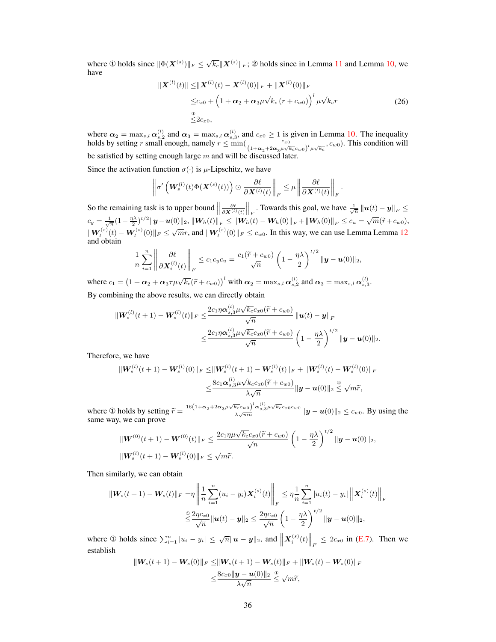where ① holds since  $\|\Phi(\bm{X}^{(s)})\|_F \leq \sqrt{k_c} \|\bm{X}^{(s)}\|_F$ ; ② holds since in Lemma [11](#page-5-3) and Lemma [10,](#page-5-0) we have

$$
\|\mathbf{X}^{(l)}(t)\| \leq \|\mathbf{X}^{(l)}(t) - \mathbf{X}^{(l)}(0)\|_{F} + \|\mathbf{X}^{(l)}(0)\|_{F}
$$
  
\n
$$
\leq c_{x0} + \left(1 + \alpha_{2} + \alpha_{3}\mu\sqrt{k_{c}}\left(r + c_{w0}\right)\right)^{l} \mu\sqrt{k_{c}}r
$$
  
\n
$$
\leq 2c_{x0}, \tag{26}
$$

where  $\alpha_2 = \max_{s,l} \alpha_{s,2}^{(l)}$  and  $\alpha_3 = \max_{s,l} \alpha_{s,3}^{(l)}$ , and  $c_{x0} \ge 1$  is given in Lemma [10.](#page-5-0) The inequality holds by setting r small enough, namely  $r \le \min\left(\frac{c_{x0}}{(1+\alpha_2+2\alpha_3\mu\sqrt{k_c}c_{w0})^l\mu\sqrt{k_c}}$ ,  $c_{w0}$ ). This condition will be satisfied by setting enough large  $m$  and will be discussed later.

Since the activation function  $\sigma(\cdot)$  is  $\mu$ -Lipschitz, we have

$$
\left\|\sigma'\left(\boldsymbol{W}_{s}^{(l)}(t)\Phi(\boldsymbol{X}^{(s)}(t))\right)\odot \frac{\partial \ell}{\partial \boldsymbol{X}^{(l)}(t)}\right\|_{F} \leq \mu \left\|\frac{\partial \ell}{\partial \boldsymbol{X}^{(l)}(t)}\right\|_{F}.
$$

So the remaining task is to upper bound  $\parallel$  $\frac{\partial \ell}{\partial \mathbf{X}^{(l)}(t)} \Big\|_F$ . Towards this goal, we have  $\frac{1}{\sqrt{n}} \|\mathbf{u}(t) - \mathbf{y}\|_F \leq$  $c_y = \frac{1}{\sqrt{n}}(1 - \frac{\eta \lambda}{2})^{t/2} ||y - u(0)||_2$ ,  $||W_h(t)||_F \le ||W_h(t) - W_h(0)||_F + ||W_h(0)||_F \le c_u = \sqrt{m}(\tilde{r} + c_{w0}),$  $\|W_i^{(s)}(t) - W_i^{(s)}(0)\|_F \le \sqrt{m}r$ , and  $\|W_i^{(s)}(0)\|_F \le c_{w0}$ . In this way, we can use Lemma Lemma [12](#page-5-2) and obtain

$$
\frac{1}{n}\sum_{i=1}^n \left\|\frac{\partial \ell}{\partial \boldsymbol{X}_i^{(l)}(t)}\right\|_F \leq c_1c_yc_u = \frac{c_1(\widetilde{r}+c_{w0})}{\sqrt{n}}\left(1-\frac{\eta\lambda}{2}\right)^{t/2} \|\boldsymbol{y}-\boldsymbol{u}(0)\|_2,
$$

where  $c_1 = (1 + \alpha_2 + \alpha_3 \tau \mu \sqrt{k_c} (\tilde{r} + c_{w0}))^l$  with  $\alpha_2 = \max_{s,l} \alpha_{s,2}^{(l)}$  and  $\alpha_3 = \max_{s,l} \alpha_{s,3}^{(l)}$ . By combining the above results, we can directly obtain

$$
\|W_s^{(l)}(t+1) - W_s^{(l)}(t)\|_F \leq \frac{2c_1\eta\alpha_{s,3}^{(l)}\mu\sqrt{k_c}c_{x0}(\widetilde{r} + c_{w0})}{\sqrt{n}} \|u(t) - y\|_F
$$
  

$$
\leq \frac{2c_1\eta\alpha_{s,3}^{(l)}\mu\sqrt{k_c}c_{x0}(\widetilde{r} + c_{w0})}{\sqrt{n}} \left(1 - \frac{\eta\lambda}{2}\right)^{t/2} \|y - u(0)\|_2.
$$

Therefore, we have

$$
\begin{aligned} \|\mathbf{W}_{s}^{(l)}(t+1)-\mathbf{W}_{s}^{(l)}(0)\|_{F} \leq & \|\mathbf{W}_{s}^{(l)}(t+1)-\mathbf{W}_{s}^{(l)}(t)\|_{F}+\|\mathbf{W}_{s}^{(l)}(t)-\mathbf{W}_{s}^{(l)}(0)\|_{F} \\ \leq & \frac{8c_{1}\alpha_{s,3}^{(l)}\mu\sqrt{k_{c}}c_{x0}(\widetilde{r}+c_{w0})}{\lambda\sqrt{n}}\|\mathbf{y}-\mathbf{u}(0)\|_{2} \leq \sqrt{m}\widetilde{r}, \end{aligned}
$$

where ① holds by setting  $\widetilde{r} = \frac{16(1+\alpha_2+2\alpha_3\mu\sqrt{k_c}c_{w0})^l\alpha_{s,3}^{(l)}\mu\sqrt{k_c}c_{x0}c_{w0}}{\lambda\sqrt{mn}}$  $\frac{\lambda_{c}c_{w0}}{\lambda\sqrt{mn}}\mathbf{u}_{s,3}\mu\mathbf{v}_{k}c_{x0}c_{w0}}{\|\mathbf{y}-\mathbf{u}(0)\|_{2}\leq c_{w0}}$ . By using the same way, we can prove

$$
\|\mathbf{W}^{(0)}(t+1) - \mathbf{W}^{(0)}(t)\|_{F} \leq \frac{2c_{1}\eta\mu\sqrt{k_{c}}c_{x0}(\widetilde{r} + c_{w0})}{\sqrt{n}} \left(1 - \frac{\eta\lambda}{2}\right)^{t/2} \|\mathbf{y} - \mathbf{u}(0)\|_{2},
$$
  

$$
\|\mathbf{W}_{s}^{(l)}(t+1) - \mathbf{W}_{s}^{(l)}(0)\|_{F} \leq \sqrt{m}\widetilde{r}.
$$

Then similarly, we can obtain

$$
\|\mathbf{W}_s(t+1) - \mathbf{W}_s(t)\|_F = \eta \left\| \frac{1}{n} \sum_{i=1}^n (u_i - y_i) \mathbf{X}_i^{(s)}(t) \right\|_F \leq \eta \frac{1}{n} \sum_{i=1}^n |u_i(t) - y_i| \left\| \mathbf{X}_i^{(s)}(t) \right\|_F
$$
  

$$
\leq \frac{2\eta c_{x0}}{\sqrt{n}} \|\mathbf{u}(t) - \mathbf{y}\|_2 \leq \frac{2\eta c_{x0}}{\sqrt{n}} \left(1 - \frac{\eta \lambda}{2}\right)^{t/2} \|\mathbf{y} - \mathbf{u}(0)\|_2,
$$

where  $\mathbb{D}$  holds since  $\sum_{i=1}^{n} |u_i - y_i| \leq \sqrt{n} ||u - y||_2$ , and  $||\mathbf{X}_i^{(s)}(t)||_F \leq 2c_{x0}$  in [\(E.7\)](#page-36-0). Then we establish

$$
\begin{aligned} \|\mathbf{W}_s(t+1)-\mathbf{W}_s(0)\|_F &\leq & \|\mathbf{W}_s(t+1)-\mathbf{W}_s(t)\|_F + \|\mathbf{W}_s(t)-\mathbf{W}_s(0)\|_F \\ &\leq & \frac{8c_{x0}\|\mathbf{y}-\mathbf{u}(0)\|_2}{\lambda\sqrt{n}} \overset{\textcircled{\tiny{\textcirc}}}{\leq} \sqrt{m}\widetilde{r}, \end{aligned}
$$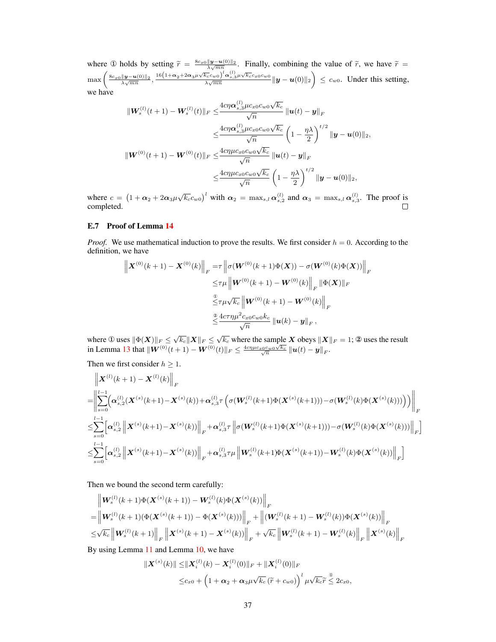where ① holds by setting  $\tilde{r} = \frac{8c_{x0}||\mathbf{y}-\mathbf{u}(0)||_2}{\lambda\sqrt{mn}}$ . Finally, combining the value of  $\tilde{r}$ , we have  $\tilde{r} =$  $\max\left(\frac{8c_{x0}\|\bm{y}-\bm{u}(0)\|_2}{\lambda\sqrt{mn}},\frac{16\left(1+\bm{\alpha}_2+2\bm{\alpha}_3\mu\sqrt{k_c}c_{w0}\right)^l\bm{\alpha}_{s,3}^{(l)}\mu\sqrt{k_c}c_{x0}c_{w0}}{\lambda\sqrt{mn}}\right)$  $\frac{\sqrt{k_c}c_{w0}^{\{1\}}\alpha_{s,3}^{(1)}\mu\sqrt{k_c}c_{x0}c_{w0}}{\lambda\sqrt{mn}}\|\bm{y}-\bm{u}(0)\|_2\bigg)\,\leq\,c_{w0}.$  Under this setting, we have

$$
\|W_s^{(l)}(t+1) - W_s^{(l)}(t)\|_F \leq \frac{4c\eta \alpha_{s,3}^{(l)} \mu c_x 0 c_{w0} \sqrt{k_c}}{\sqrt{n}} \|u(t) - y\|_F
$$
  

$$
\leq \frac{4c\eta \alpha_{s,3}^{(l)} \mu c_x 0 c_{w0} \sqrt{k_c}}{\sqrt{n}} \left(1 - \frac{\eta \lambda}{2}\right)^{t/2} \|y - u(0)\|_2,
$$
  

$$
\|W^{(0)}(t+1) - W^{(0)}(t)\|_F \leq \frac{4c\eta \mu c_x 0 c_{w0} \sqrt{k_c}}{\sqrt{n}} \|u(t) - y\|_F
$$
  

$$
\leq \frac{4c\eta \mu c_x 0 c_{w0} \sqrt{k_c}}{\sqrt{n}} \left(1 - \frac{\eta \lambda}{2}\right)^{t/2} \|y - u(0)\|_2,
$$

where  $c = (1 + \alpha_2 + 2\alpha_3\mu\sqrt{k_c}c_{w0})^l$  with  $\alpha_2 = \max_{s,l}\alpha_{s,2}^{(l)}$  and  $\alpha_3 = \max_{s,l}\alpha_{s,3}^{(l)}$ . The proof is completed.

## <span id="page-36-0"></span>E.7 Proof of Lemma [14](#page-6-0)

*Proof.* We use mathematical induction to prove the results. We first consider  $h = 0$ . According to the definition, we have

$$
\left\| \boldsymbol{X}^{(0)}(k+1) - \boldsymbol{X}^{(0)}(k) \right\|_{F} = \tau \left\| \sigma(\boldsymbol{W}^{(0)}(k+1)\Phi(\boldsymbol{X})) - \sigma(\boldsymbol{W}^{(0)}(k)\Phi(\boldsymbol{X})) \right\|_{F}
$$
  

$$
\leq \tau \mu \left\| \boldsymbol{W}^{(0)}(k+1) - \boldsymbol{W}^{(0)}(k) \right\|_{F} \|\Phi(\boldsymbol{X})\|_{F}
$$
  

$$
\leq \tau \mu \sqrt{k_{c}} \left\| \boldsymbol{W}^{(0)}(k+1) - \boldsymbol{W}^{(0)}(k) \right\|_{F}
$$
  

$$
\leq \frac{\Phi}{\sqrt{n}} \frac{4c\tau \eta \mu^{2} c_{x0} c_{w0} k_{c}}{\sqrt{n}} \left\| \boldsymbol{u}(k) - \boldsymbol{y} \right\|_{F},
$$

where ① uses  $\|\Phi(\bm{X})\|_F\leq \sqrt{k_c}\|\bm{X}\|_F\leq \sqrt{k_c}$  where the sample  $\bm{X}$  obeys  $\|\bm{X}\|_F=1;$  ② uses the result in Lemma [13](#page-5-1) that  $\|W^{(0)}(t+1) - W^{(0)}(t)\|_F \leq \frac{4cn\mu c_x o_c\omega_0\sqrt{k_c}}{\sqrt{n}} \|u(t) - y\|_F.$ 

Then we first consider  $h \geq 1$ .

$$
\begin{aligned}\n&\left\|\mathbf{X}^{(l)}(k+1)-\mathbf{X}^{(l)}(k)\right\|_{F} \\
&= \left\|\sum_{s=0}^{l-1}\Bigl(\boldsymbol{\alpha}_{s,2}^{(l)}(\mathbf{X}^{(s)}(k+1)-\mathbf{X}^{(s)}(k))+\boldsymbol{\alpha}_{s,3}^{(l)}\tau\left(\sigma(\mathbf{W}_{s}^{(l)}(k+1)\Phi(\mathbf{X}^{(s)}(k+1)))-\sigma(\mathbf{W}_{s}^{(l)}(k)\Phi(\mathbf{X}^{(s)}(k)))\right)\right)\right\|_{F} \\
&\leq &\sum_{s=0}^{l-1}\Bigl[\boldsymbol{\alpha}_{s,2}^{(l)}\left\|\mathbf{X}^{(s)}(k+1)-\mathbf{X}^{(s)}(k)\right)\Big\|_{F} + \boldsymbol{\alpha}_{s,3}^{(l)}\tau\left\|\sigma(\mathbf{W}_{s}^{(l)}(k+1)\Phi(\mathbf{X}^{(s)}(k+1)))-\sigma(\mathbf{W}_{s}^{(l)}(k)\Phi(\mathbf{X}^{(s)}(k)))\right\|_{F}\Bigr] \\
&\leq &\sum_{s=0}^{l-1}\Bigl[\boldsymbol{\alpha}_{s,2}^{(l)}\left\|\mathbf{X}^{(s)}(k+1)-\mathbf{X}^{(s)}(k)\right)\Big\|_{F} + \boldsymbol{\alpha}_{s,3}^{(l)}\tau\mu\left\|\mathbf{W}_{s}^{(l)}(k+1)\Phi(\mathbf{X}^{(s)}(k+1))-\mathbf{W}_{s}^{(l)}(k)\Phi(\mathbf{X}^{(s)}(k))\right\|_{F}\Bigr] \\
&\end{aligned}
$$

Then we bound the second term carefully:

$$
\|W_s^{(l)}(k+1)\Phi(\mathbf{X}^{(s)}(k+1)) - W_s^{(l)}(k)\Phi(\mathbf{X}^{(s)}(k))\|_F
$$
\n
$$
= \left\|W_s^{(l)}(k+1)(\Phi(\mathbf{X}^{(s)}(k+1)) - \Phi(\mathbf{X}^{(s)}(k)))\right\|_F + \left\|(W_s^{(l)}(k+1) - W_s^{(l)}(k))\Phi(\mathbf{X}^{(s)}(k))\right\|_F
$$
\n
$$
\leq \sqrt{k_c} \left\|W_s^{(l)}(k+1)\right\|_F \left\|\mathbf{X}^{(s)}(k+1) - \mathbf{X}^{(s)}(k))\right\|_F + \sqrt{k_c} \left\|W_s^{(l)}(k+1) - W_s^{(l)}(k)\right\|_F \left\|\mathbf{X}^{(s)}(k)\right\|_F
$$

By using Lemma [11](#page-5-3) and Lemma [10,](#page-5-0) we have

$$
\|\boldsymbol{X}^{(s)}(k)\| \leq \|\boldsymbol{X}_i^{(l)}(k) - \boldsymbol{X}_i^{(l)}(0)\|_F + \|\boldsymbol{X}_i^{(l)}(0)\|_F
$$
  

$$
\leq c_{x0} + \left(1 + \alpha_2 + \alpha_3 \mu \sqrt{k_c} (\widetilde{r} + c_{w0})\right)^l \mu \sqrt{k_c} \widetilde{r} \leq 2c_{x0},
$$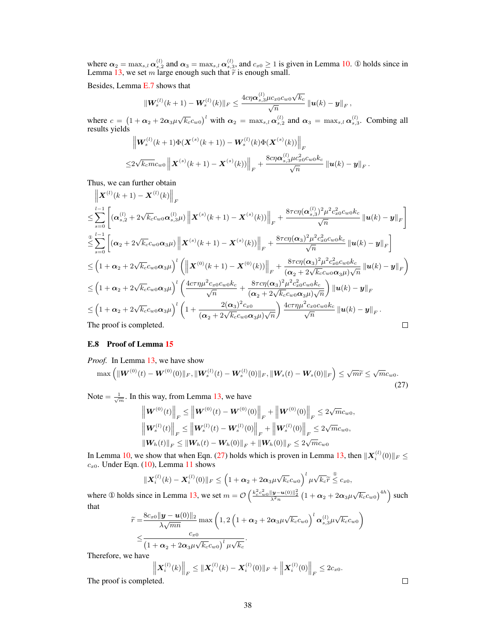where  $\alpha_2 = \max_{s,l} \alpha_{s,2}^{(l)}$  and  $\alpha_3 = \max_{s,l} \alpha_{s,3}^{(l)}$ , and  $c_{x0} \ge 1$  is given in Lemma [10.](#page-5-0) ① holds since in Lemma [13,](#page-5-1) we set m large enough such that  $\tilde{r}$  is enough small.

Besides, Lemma [E.7](#page-36-0) shows that

$$
\|\boldsymbol{W}^{(l)}_s(k+1)-\boldsymbol{W}^{(l)}_s(k)\|_F\leq \frac{4c\eta\boldsymbol{\alpha}_{s,3}^{(l)}\mu c_{x0}c_{w0}\sqrt{k_c}}{\sqrt{n}}\left\|\boldsymbol{u}(k)-\boldsymbol{y}\right\|_F
$$

 $\langle \cdot \rangle$ 

,

.

where  $c = (1 + \alpha_2 + 2\alpha_3\mu\sqrt{k_c}c_{w0})^l$  with  $\alpha_2 = \max_{s,l} \alpha_{s,2}^{(l)}$  and  $\alpha_3 = \max_{s,l} \alpha_{s,3}^{(l)}$ . Combing all results yields

$$
\|W_s^{(l)}(k+1)\Phi(\boldsymbol{X}^{(s)}(k+1)) - \boldsymbol{W}_s^{(l)}(k)\Phi(\boldsymbol{X}^{(s)}(k))\|_F
$$
  

$$
\leq 2\sqrt{k_c m}c_{w0}\left\|\boldsymbol{X}^{(s)}(k+1) - \boldsymbol{X}^{(s)}(k))\right\|_F + \frac{8c\eta\boldsymbol{\alpha}_{s,3}^{(l)}\mu c_{x0}^2 c_{w0}k_c}{\sqrt{n}}\left\|\boldsymbol{u}(k) - \boldsymbol{y}\right\|_F
$$

Thus, we can further obtain

$$
\| \mathbf{X}^{(l)}(k+1) - \mathbf{X}^{(l)}(k) \|_{F}
$$
\n
$$
\leq \sum_{s=0}^{l-1} \left[ (\alpha_{s,2}^{(l)} + 2\sqrt{k_{c}}c_{w0}\alpha_{s,3}^{(l)}\mu) \left\| \mathbf{X}^{(s)}(k+1) - \mathbf{X}^{(s)}(k) \right\|_{F} + \frac{8\tau c\eta(\alpha_{s,3}^{(l)})^{2}\mu^{2}c_{x0}^{2}c_{w0}k_{c}}{\sqrt{n}} \left\| u(k) - y \right\|_{F} \right]
$$
\n
$$
\leq \sum_{s=0}^{l-1} \left[ (\alpha_{2} + 2\sqrt{k_{c}}c_{w0}\alpha_{3}\mu) \left\| \mathbf{X}^{(s)}(k+1) - \mathbf{X}^{(s)}(k) \right\|_{F} + \frac{8\tau c\eta(\alpha_{3})^{2}\mu^{2}c_{x0}^{2}c_{w0}k_{c}}{\sqrt{n}} \left\| u(k) - y \right\|_{F} \right]
$$
\n
$$
\leq \left( 1 + \alpha_{2} + 2\sqrt{k_{c}}c_{w0}\alpha_{3}\mu \right)^{l} \left( \left\| \mathbf{X}^{(0)}(k+1) - \mathbf{X}^{(0)}(k) \right\|_{F} + \frac{8\tau c\eta(\alpha_{3})^{2}\mu^{2}c_{x0}^{2}c_{w0}k_{c}}{(\alpha_{2} + 2\sqrt{k_{c}}c_{w0}\alpha_{3}\mu)\sqrt{n}} \left\| u(k) - y \right\|_{F} \right)
$$
\n
$$
\leq \left( 1 + \alpha_{2} + 2\sqrt{k_{c}}c_{w0}\alpha_{3}\mu \right)^{l} \left( \frac{4c\tau\eta\mu^{2}c_{x0}c_{w0}k_{c}}{\sqrt{n}} + \frac{8\tau c\eta(\alpha_{3})^{2}\mu^{2}c_{x0}^{2}c_{w0}k_{c}}{(\alpha_{2} + 2\sqrt{k_{c}}c_{w0}\alpha_{3}\mu)\sqrt{n}} \right) \left\| u(k) - y \right\|_{F}
$$
\n
$$
\leq \left( 1 + \alpha_{2} + 2\sqrt{k_{c}}c_{w0}\alpha_{3}\mu \right)^{l} \left( 1 + \
$$

#### <span id="page-37-0"></span>E.8 Proof of Lemma [15](#page-6-1)

# *Proof.* In Lemma [13,](#page-5-1) we have show

$$
\max\left(\|\boldsymbol{W}^{(0)}(t)-\boldsymbol{W}^{(0)}(0)\|_{F},\|\boldsymbol{W}_{s}^{(l)}(t)-\boldsymbol{W}_{s}^{(l)}(0)\|_{F},\|\boldsymbol{W}_{s}(t)-\boldsymbol{W}_{s}(0)\|_{F}\right)\leq\sqrt{m}\widetilde{r}\leq\sqrt{m}c_{w0}.
$$
\n(27)

Note  $=\frac{1}{\sqrt{m}}$ . In this way, from Lemma [13,](#page-5-1) we have

<span id="page-37-1"></span>
$$
\left\| \mathbf{W}^{(0)}(t) \right\|_{F} \leq \left\| \mathbf{W}^{(0)}(t) - \mathbf{W}^{(0)}(0) \right\|_{F} + \left\| \mathbf{W}^{(0)}(0) \right\|_{F} \leq 2\sqrt{m}c_{w0},
$$
  

$$
\left\| \mathbf{W}^{(l)}_{s}(t) \right\|_{F} \leq \left\| \mathbf{W}^{(l)}_{s}(t) - \mathbf{W}^{(l)}_{s}(0) \right\|_{F} + \left\| \mathbf{W}^{(l)}_{s}(0) \right\|_{F} \leq 2\sqrt{m}c_{w0},
$$
  

$$
\left\| \mathbf{W}_{h}(t) \right\|_{F} \leq \left\| \mathbf{W}_{h}(t) - \mathbf{W}_{h}(0) \right\|_{F} + \left\| \mathbf{W}_{h}(0) \right\|_{F} \leq 2\sqrt{m}c_{w0}
$$

In Lemma [10,](#page-5-0) we show that when Eqn. [\(27\)](#page-37-1) holds which is proven in Lemma [13,](#page-5-1) then  $||\boldsymbol{X}_i^{(l)}(0)||_F \leq$  $c_{x0}$ . Under Eqn. [\(10\)](#page-5-0), Lemma [11](#page-5-3) shows

$$
\|\boldsymbol{X}_i^{(l)}(k)-\boldsymbol{X}_i^{(l)}(0)\|_F \leq \left(1+\boldsymbol{\alpha}_2+2\boldsymbol{\alpha}_3\mu\sqrt{k_c}c_{w0}\right)^l\mu\sqrt{k_c}\widetilde{r} \overset{\circ}{\leq} c_{x0},
$$

where ① holds since in Lemma [13,](#page-5-1) we set  $m = \mathcal{O}\left(\frac{k_c^2 c_w^2 \|\mathbf{y} - \mathbf{u}(0)\|_2^2}{\lambda^2 n} \left(1 + \alpha_2 + 2\alpha_3 \mu \sqrt{k_c} c_{w0}\right)^{4h}\right)$  such that

$$
\widetilde{r} = \frac{8c_{x0}||\boldsymbol{y} - \boldsymbol{u}(0)||_2}{\lambda\sqrt{mn}} \max\left(1, 2\left(1 + \alpha_2 + 2\alpha_3\mu\sqrt{k_c}c_{w0}\right)^l\alpha_{s,3}^{(l)}\mu\sqrt{k_c}c_{w0}\right)
$$
  

$$
\leq \frac{c_{x0}}{\left(1 + \alpha_2 + 2\alpha_3\mu\sqrt{k_c}c_{w0}\right)^l\mu\sqrt{k_c}}.
$$

Therefore, we have

$$
\left\| \boldsymbol{X}_i^{(l)}(k) \right\|_F \leq \left\| \boldsymbol{X}_i^{(l)}(k) - \boldsymbol{X}_i^{(l)}(0) \right\|_F + \left\| \boldsymbol{X}_i^{(l)}(0) \right\|_F \leq 2c_{x0}.
$$

The proof is completed.

 $\Box$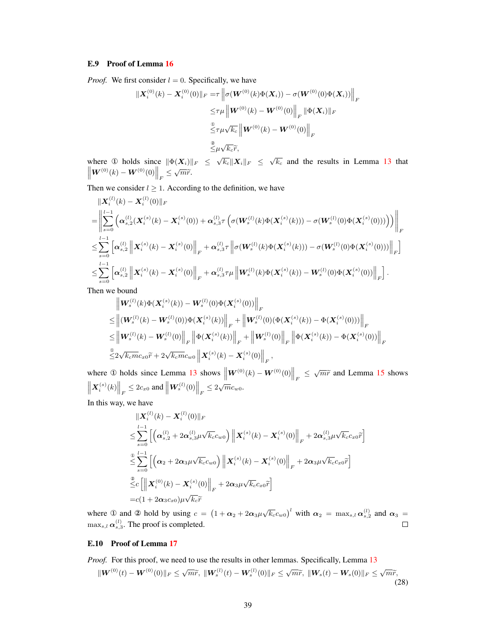# <span id="page-38-0"></span>E.9 Proof of Lemma [16](#page-6-2)

 $\overline{\phantom{a}}$ 

*Proof.* We first consider  $l = 0$ . Specifically, we have

$$
\begin{aligned} \|\mathbf{X}_{i}^{(0)}(k) - \mathbf{X}_{i}^{(0)}(0)\|_{F} &= \tau \left\| \sigma(\mathbf{W}^{(0)}(k)\Phi(\mathbf{X}_{i})) - \sigma(\mathbf{W}^{(0)}(0)\Phi(\mathbf{X}_{i})) \right\|_{F} \\ &\leq & \tau \mu \left\| \mathbf{W}^{(0)}(k) - \mathbf{W}^{(0)}(0) \right\|_{F} \|\Phi(\mathbf{X}_{i})\|_{F} \\ &\stackrel{\mathbb{Q}}{\leq} & \tau \mu \sqrt{k_{c}} \left\| \mathbf{W}^{(0)}(k) - \mathbf{W}^{(0)}(0) \right\|_{F} \\ &\stackrel{\mathbb{Z}}{\leq} & \mu \sqrt{k_{c}} \widetilde{r}, \end{aligned}
$$

where ① holds since  $\|\Phi(X_i)\|_F \leq \sqrt{k_c} \|X_i\|_F \leq \sqrt{k_c}$  and the results in Lemma [13](#page-5-1) that  $\left\|\boldsymbol{W}^{(0)}(k)-\boldsymbol{W}^{(0)}(0)\right\|_F\leq \sqrt{m}\widetilde{r}.$ 

Then we consider  $l \geq 1$ . According to the definition, we have

$$
\begin{split} &\|\boldsymbol{X}^{(l)}_{i}(k)-\boldsymbol{X}^{(l)}_{i}(0)\|_{F}\\ =&\left\|\sum_{s=0}^{l-1}\left(\boldsymbol{\alpha}^{(l)}_{s,2}(\boldsymbol{X}^{(s)}_{i}(k)-\boldsymbol{X}^{(s)}_{i}(0))+\boldsymbol{\alpha}^{(l)}_{s,3}\tau\left(\sigma(\boldsymbol{W}^{(l)}_{s}(k)\Phi(\boldsymbol{X}^{(s)}_{i}(k)))-\sigma(\boldsymbol{W}^{(l)}_{s}(0)\Phi(\boldsymbol{X}^{(s)}_{i}(0)))\right)\right)\right\|_{F}\\ \leq &\sum_{s=0}^{l-1}\left[\boldsymbol{\alpha}^{(l)}_{s,2}\left\|\boldsymbol{X}^{(s)}_{i}(k)-\boldsymbol{X}^{(s)}_{i}(0)\right\|_{F}+\boldsymbol{\alpha}^{(l)}_{s,3}\tau\left\|\sigma(\boldsymbol{W}^{(l)}_{s}(k)\Phi(\boldsymbol{X}^{(s)}_{i}(k)))-\sigma(\boldsymbol{W}^{(l)}_{s}(0)\Phi(\boldsymbol{X}^{(s)}_{i}(0)))\right\|_{F}\right] \\ \leq &\sum_{s=0}^{l-1}\left[\boldsymbol{\alpha}^{(l)}_{s,2}\left\|\boldsymbol{X}^{(s)}_{i}(k)-\boldsymbol{X}^{(s)}_{i}(0)\right\|_{F}+\boldsymbol{\alpha}^{(l)}_{s,3}\tau\mu\left\|\boldsymbol{W}^{(l)}_{s}(k)\Phi(\boldsymbol{X}^{(s)}_{i}(k))- \boldsymbol{W}^{(l)}_{s}(0)\Phi(\boldsymbol{X}^{(s)}_{i}(0))\right\|_{F}\right]. \end{split}
$$

Then we bound

$$
\begin{split} &\left\| \boldsymbol{W}^{(l)}_{s}(k) \boldsymbol{\Phi}(\boldsymbol{X}^{(s)}_{i}(k)) - \boldsymbol{W}^{(l)}_{s}(0) \boldsymbol{\Phi}(\boldsymbol{X}^{(s)}_{i}(0)) \right\|_{F} \\ \leq & \left\| (\boldsymbol{W}^{(l)}_{s}(k) - \boldsymbol{W}^{(l)}_{s}(0)) \boldsymbol{\Phi}(\boldsymbol{X}^{(s)}_{i}(k)) \right\|_{F} + \left\| \boldsymbol{W}^{(l)}_{s}(0) (\boldsymbol{\Phi}(\boldsymbol{X}^{(s)}_{i}(k)) - \boldsymbol{\Phi}(\boldsymbol{X}^{(s)}_{i}(0))) \right\|_{F} \\ \leq & \left\| \boldsymbol{W}^{(l)}_{s}(k) - \boldsymbol{W}^{(l)}_{s}(0) \right\|_{F} \left\| \boldsymbol{\Phi}(\boldsymbol{X}^{(s)}_{i}(k)) \right\|_{F} + \left\| \boldsymbol{W}^{(l)}_{s}(0) \right\|_{F} \left\| \boldsymbol{\Phi}(\boldsymbol{X}^{(s)}_{i}(k)) - \boldsymbol{\Phi}(\boldsymbol{X}^{(s)}_{i}(0)) \right\|_{F} \\ \stackrel{\text{0.6}}{\leq} & 2 \sqrt{k_{c} m} c_{x0} \widetilde{r} + 2 \sqrt{k_{c} m} c_{w0} \left\| \boldsymbol{X}^{(s)}_{i}(k) - \boldsymbol{X}^{(s)}_{i}(0) \right\|_{F}, \end{split}
$$

where ① holds since Lemma [13](#page-5-1) shows  $\left\| \boldsymbol{W}^{(0)}(k) - \boldsymbol{W}^{(0)}(0) \right\|_F \leq \sqrt{m}\tilde{r}$  and Lemma [15](#page-6-1) shows  $\left\| \mathbf{X}_i^{(s)}(k) \right\|_F \leq 2c_{x0} \text{ and } \left\| \mathbf{W}_s^{(l)}(0) \right\|_F \leq 2\sqrt{m}c_{w0}.$ 

In this way, we have

$$
\|X_{i}^{(l)}(k) - X_{i}^{(l)}(0)\|_{F}
$$
\n
$$
\leq \sum_{s=0}^{l-1} \left[ \left( \alpha_{s,2}^{(l)} + 2\alpha_{s,3}^{(l)} \mu \sqrt{k_{c}} c_{w0} \right) \left\| X_{i}^{(s)}(k) - X_{i}^{(s)}(0) \right\|_{F} + 2\alpha_{s,3}^{(l)} \mu \sqrt{k_{c}} c_{x0} \tilde{r} \right]
$$
\n
$$
\leq \sum_{s=0}^{0} \left[ \left( \alpha_{2} + 2\alpha_{3}\mu \sqrt{k_{c}} c_{w0} \right) \left\| X_{i}^{(s)}(k) - X_{i}^{(s)}(0) \right\|_{F} + 2\alpha_{3}\mu \sqrt{k_{c}} c_{x0} \tilde{r} \right]
$$
\n
$$
\leq c \left[ \left\| X_{i}^{(0)}(k) - X_{i}^{(s)}(0) \right\|_{F} + 2\alpha_{3}\mu \sqrt{k_{c}} c_{x0} \tilde{r} \right]
$$
\n
$$
= c(1 + 2\alpha_{3}c_{x0})\mu \sqrt{k_{c}} \tilde{r}
$$

where ① and ② hold by using  $c = (1 + \alpha_2 + 2\alpha_3\mu\sqrt{k_c}c_{w0})^l$  with  $\alpha_2 = \max_{s,l} \alpha_{s,2}^{(l)}$  and  $\alpha_3 =$  $\max_{s,l} \alpha_{s,3}^{(l)}$ . The proof is completed.  $\Box$ 

# <span id="page-38-1"></span>E.10 Proof of Lemma [17](#page-6-3)

*Proof.* For this proof, we need to use the results in other lemmas. Specifically, Lemma [13](#page-5-1)

<span id="page-38-2"></span>
$$
\|\mathbf{W}^{(0)}(t)-\mathbf{W}^{(0)}(0)\|_{F}\leq \sqrt{m}\widetilde{r},\ \|\mathbf{W}_{s}^{(l)}(t)-\mathbf{W}_{s}^{(l)}(0)\|_{F}\leq \sqrt{m}\widetilde{r},\ \|\mathbf{W}_{s}(t)-\mathbf{W}_{s}(0)\|_{F}\leq \sqrt{m}\widetilde{r},\tag{28}
$$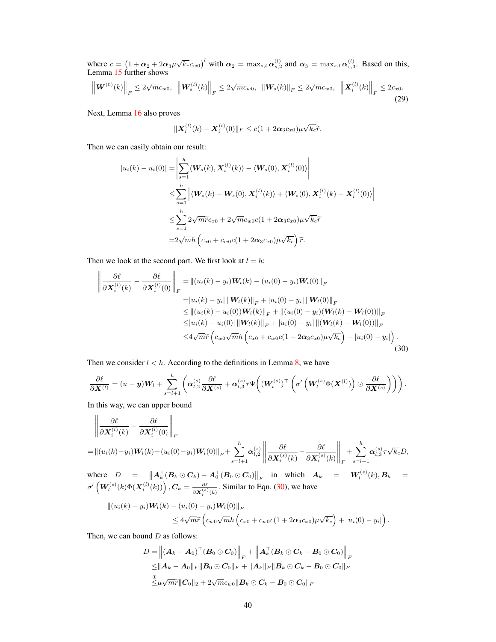where  $c = (1 + \alpha_2 + 2\alpha_3\mu\sqrt{k_c}c_{w0})^l$  with  $\alpha_2 = \max_{s,l} \alpha_{s,2}^{(l)}$  and  $\alpha_3 = \max_{s,l} \alpha_{s,3}^{(l)}$ . Based on this, Lemma [15](#page-6-1) further shows

$$
\left\| \boldsymbol{W}^{(0)}(k) \right\|_{F} \leq 2\sqrt{m}c_{w0}, \ \left\| \boldsymbol{W}^{(l)}_{s}(k) \right\|_{F} \leq 2\sqrt{m}c_{w0}, \ \left\| \boldsymbol{W}_{s}(k) \right\|_{F} \leq 2\sqrt{m}c_{w0}, \ \left\| \boldsymbol{X}^{(l)}_{i}(k) \right\|_{F} \leq 2c_{x0}. \tag{29}
$$

Next, Lemma [16](#page-6-2) also proves

<span id="page-39-1"></span><span id="page-39-0"></span>
$$
\|\boldsymbol{X}_i^{(l)}(k)-\boldsymbol{X}_i^{(l)}(0)\|_F\leq c(1+2\boldsymbol{\alpha}_3c_{x0})\mu\sqrt{k_c}\widetilde{r}.
$$

Then we can easily obtain our result:

$$
|u_i(k) - u_i(0)| = \left| \sum_{s=1}^h \langle \mathbf{W}_s(k), \mathbf{X}_i^{(l)}(k) \rangle - \langle \mathbf{W}_s(0), \mathbf{X}_i^{(l)}(0) \rangle \right|
$$
  
\n
$$
\leq \sum_{s=1}^h \left| \langle \mathbf{W}_s(k) - \mathbf{W}_s(0), \mathbf{X}_i^{(l)}(k) \rangle + \langle \mathbf{W}_s(0), \mathbf{X}_i^{(l)}(k) - \mathbf{X}_i^{(l)}(0) \rangle \right|
$$
  
\n
$$
\leq \sum_{s=1}^h 2\sqrt{m}\widetilde{r}c_{x0} + 2\sqrt{m}c_{w0}c(1 + 2\alpha_3c_{x0})\mu\sqrt{k_c}\widetilde{r}
$$
  
\n
$$
= 2\sqrt{m}h \left( c_{x0} + c_{w0}c(1 + 2\alpha_3c_{x0})\mu\sqrt{k_c} \right) \widetilde{r}.
$$

Then we look at the second part. We first look at  $l = h$ :

$$
\left\| \frac{\partial \ell}{\partial \mathbf{X}_{i}^{(l)}(k)} - \frac{\partial \ell}{\partial \mathbf{X}_{i}^{(l)}(0)} \right\|_{F} = \left\| (u_{i}(k) - y_{i}) \mathbf{W}_{l}(k) - (u_{i}(0) - y_{i}) \mathbf{W}_{l}(0) \right\|_{F}
$$
  
\n
$$
= |u_{i}(k) - y_{i}| \left\| \mathbf{W}_{l}(k) \right\|_{F} + |u_{i}(0) - y_{i}| \left\| \mathbf{W}_{l}(0) \right\|_{F}
$$
  
\n
$$
\leq \left\| (u_{i}(k) - u_{i}(0)) \mathbf{W}_{l}(k) \right\|_{F} + \left\| (u_{i}(0) - y_{i}) (\mathbf{W}_{l}(k) - \mathbf{W}_{l}(0)) \right\|_{F}
$$
  
\n
$$
\leq |u_{i}(k) - u_{i}(0)| \left\| \mathbf{W}_{l}(k) \right\|_{F} + |u_{i}(0) - y_{i}| \left\| (\mathbf{W}_{l}(k) - \mathbf{W}_{l}(0)) \right\|_{F}
$$
  
\n
$$
\leq 4\sqrt{m}\widetilde{r} \left( c_{w0}\sqrt{m}h \left( c_{x0} + c_{w0}c(1 + 2\alpha_{3}c_{x0})\mu\sqrt{k_{c}} \right) + |u_{i}(0) - y_{i}| \right).
$$
\n(30)

Then we consider  $l < h$ . According to the definitions in Lemma [8,](#page-4-1) we have

$$
\frac{\partial \ell}{\partial \mathbf{X}^{(l)}} = (u - \mathbf{y})\mathbf{W}_l + \sum_{s=l+1}^h \left( \alpha_{l,2}^{(s)} \frac{\partial \ell}{\partial \mathbf{X}^{(s)}} + \alpha_{l,3}^{(s)} \tau \Psi \left( (\mathbf{W}_l^{(s)})^\top \left( \sigma' \left( \mathbf{W}_l^{(s)} \Phi(\mathbf{X}^{(l)}) \right) \odot \frac{\partial \ell}{\partial \mathbf{X}^{(s)}} \right) \right) \right).
$$

In this way, we can upper bound

$$
\left\|\frac{\partial \ell}{\partial \mathbf{X}_{i}^{(l)}(k)} - \frac{\partial \ell}{\partial \mathbf{X}_{i}^{(l)}(0)}\right\|_{F}
$$
\n
$$
= \left\|(u_{i}(k) - y_{i})\mathbf{W}_{i}(k) - (u_{i}(0) - y_{i})\mathbf{W}_{i}(0)\right\|_{F} + \sum_{s=l+1}^{h} \alpha_{l,2}^{(s)} \left\|\frac{\partial \ell}{\partial \mathbf{X}_{i}^{(s)}(k)} - \frac{\partial \ell}{\partial \mathbf{X}_{i}^{(s)}(k)}\right\|_{F} + \sum_{s=l+1}^{h} \alpha_{l,3}^{(s)} \tau \sqrt{k_{c}}D,
$$
\nwhere\n
$$
D = \frac{\|\mathbf{A}^{\top}(\mathbf{P} \cap \mathbf{G})\|_{F} + \|\mathbf{A}^{\top}(\mathbf{P} \cap \mathbf{G})\|_{F}}{\|\mathbf{A}^{\top}(\mathbf{P} \cap \mathbf{G})\|_{F}} \quad \text{in, which } \mathbf{A} = \mathbf{W}^{(s)}(k) \cdot \mathbf{P}
$$

where  $D = \left\| A_k^\top (B_k \odot C_k) - A_0^\top (B_0 \odot C_0) \right\|_F$  in which  $A_k = W_l^{(s)}(k), B_k =$  $\sigma'\left(\bm{W}_l^{(s)}(k)\Phi(\bm{X}_i^{(l)}(k))\right), \bm{C}_k = \frac{\partial \ell}{\partial \bm{X}_i^{(s)}(k)}.$  Similar to Eqn. [\(30\)](#page-39-0), we have

$$
||(u_i(k) - y_i)W_l(k) - (u_i(0) - y_i)W_l(0)||_F
$$
  
 
$$
\leq 4\sqrt{m}\widetilde{r}\left(c_{w0}\sqrt{m}h\left(c_{x0} + c_{w0}c(1 + 2\alpha_3c_{x0})\mu\sqrt{k_c}\right) + |u_i(0) - y_i|\right).
$$

Then, we can bound  $D$  as follows:

$$
D = \left\| \left( \boldsymbol{A}_{k} - \boldsymbol{A}_{0} \right)^{\top} \left( \boldsymbol{B}_{0} \odot \boldsymbol{C}_{0} \right) \right\|_{F} + \left\| \boldsymbol{A}_{k}^{\top} \left( \boldsymbol{B}_{k} \odot \boldsymbol{C}_{k} - \boldsymbol{B}_{0} \odot \boldsymbol{C}_{0} \right) \right\|_{F} \leq \left\| \boldsymbol{A}_{k} - \boldsymbol{A}_{0} \right\|_{F} \left\| \boldsymbol{B}_{0} \odot \boldsymbol{C}_{0} \right\|_{F} + \left\| \boldsymbol{A}_{k} \right\|_{F} \left\| \boldsymbol{B}_{k} \odot \boldsymbol{C}_{k} - \boldsymbol{B}_{0} \odot \boldsymbol{C}_{0} \right\|_{F} \stackrel{\circ}{\leq} \mu \sqrt{m} \widetilde{r} \left\| \boldsymbol{C}_{0} \right\|_{2} + 2 \sqrt{m} c_{w0} \left\| \boldsymbol{B}_{k} \odot \boldsymbol{C}_{k} - \boldsymbol{B}_{0} \odot \boldsymbol{C}_{0} \right\|_{F}
$$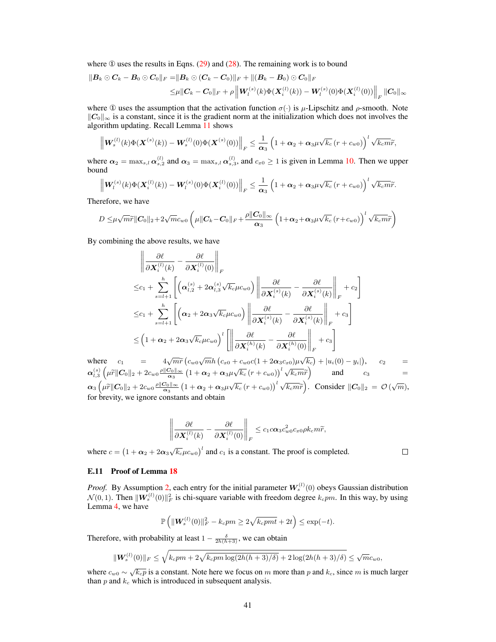where  $\Phi$  uses the results in Eqns. [\(29\)](#page-39-1) and [\(28\)](#page-38-2). The remaining work is to bound

$$
\|B_{k} \odot C_{k} - B_{0} \odot C_{0}\|_{F} = \|B_{k} \odot (C_{k} - C_{0})\|_{F} + \|(B_{k} - B_{0}) \odot C_{0}\|_{F}
$$
  

$$
\leq \mu \|C_{k} - C_{0}\|_{F} + \rho \left\|W_{l}^{(s)}(k)\Phi(X_{i}^{(l)}(k)) - W_{l}^{(s)}(0)\Phi(X_{i}^{(l)}(0))\right\|_{F} \|C_{0}\|_{\infty}
$$

where  $\Phi$  uses the assumption that the activation function  $\sigma(\cdot)$  is  $\mu$ -Lipschitz and  $\rho$ -smooth. Note  $\Vert C_0 \Vert_{\infty}$  is a constant, since it is the gradient norm at the initialization which does not involves the algorithm updating. Recall Lemma [11](#page-5-3) shows

$$
\left\| \boldsymbol{W}^{(l)}_{s}(k) \Phi(\boldsymbol{X}^{(s)}(k)) - \boldsymbol{W}^{(l)}_{s}(0) \Phi(\boldsymbol{X}^{(s)}(0)) \right\|_{F} \leq \frac{1}{\alpha_3} \left( 1 + \alpha_2 + \alpha_3 \mu \sqrt{k_c} \left( r + c_{w0} \right) \right)^l \sqrt{k_c m} \widetilde{r},
$$

where  $\alpha_2 = \max_{s,l} \alpha_{s,2}^{(l)}$  and  $\alpha_3 = \max_{s,l} \alpha_{s,3}^{(l)}$ , and  $c_{x0} \ge 1$  is given in Lemma [10.](#page-5-0) Then we upper bound

$$
\left\| \boldsymbol{W}_{l}^{(s)}(k) \Phi(\boldsymbol{X}_{i}^{(l)}(k)) - \boldsymbol{W}_{l}^{(s)}(0) \Phi(\boldsymbol{X}_{i}^{(l)}(0)) \right\|_{F} \leq \frac{1}{\alpha_{3}} \left( 1 + \alpha_{2} + \alpha_{3} \mu \sqrt{k_{c}} \left( r + c_{w0} \right) \right)^{l} \sqrt{k_{c} m \widetilde{r}}.
$$

Therefore, we have

$$
D\leq \mu\sqrt{m}\widetilde{r}\|\boldsymbol{C}_0\|_2+2\sqrt{m}c_{w0}\left(\mu\|\boldsymbol{C}_k-\boldsymbol{C}_0\|_F+\frac{\rho\|\boldsymbol{C}_0\|_\infty}{\boldsymbol{\alpha}_3}\left(1+\boldsymbol{\alpha}_2+\boldsymbol{\alpha}_3\mu\sqrt{k_c}\left(r+c_{w0}\right)\right)^l\sqrt{k_c m}\widetilde{r}\right)
$$

By combining the above results, we have

$$
\left\| \frac{\partial \ell}{\partial \mathbf{X}_{i}^{(l)}(k)} - \frac{\partial \ell}{\partial \mathbf{X}_{i}^{(l)}(0)} \right\|_{F}
$$
\n
$$
\leq c_{1} + \sum_{s=l+1}^{h} \left[ \left( \alpha_{l,2}^{(s)} + 2\alpha_{l,3}^{(s)} \sqrt{k_{c}} \mu c_{w0} \right) \left\| \frac{\partial \ell}{\partial \mathbf{X}_{i}^{(s)}(k)} - \frac{\partial \ell}{\partial \mathbf{X}_{i}^{(s)}(k)} \right\|_{F} + c_{2} \right]
$$
\n
$$
\leq c_{1} + \sum_{s=l+1}^{h} \left[ \left( \alpha_{2} + 2\alpha_{3} \sqrt{k_{c}} \mu c_{w0} \right) \left\| \frac{\partial \ell}{\partial \mathbf{X}_{i}^{(s)}(k)} - \frac{\partial \ell}{\partial \mathbf{X}_{i}^{(s)}(k)} \right\|_{F} + c_{3} \right]
$$
\n
$$
\leq \left( 1 + \alpha_{2} + 2\alpha_{3} \sqrt{k_{c}} \mu c_{w0} \right)^{l} \left[ \left\| \frac{\partial \ell}{\partial \mathbf{X}_{i}^{(h)}(k)} - \frac{\partial \ell}{\partial \mathbf{X}_{i}^{(h)}(0)} \right\|_{F} + c_{3} \right]
$$

where  $c_1 = 4\sqrt{m}\widetilde{r}\left(c_{w0}\sqrt{m}h\left(c_{x0}+c_{w0}c(1+2\alpha_3c_{x0})\mu\sqrt{k_c}\right)+|u_i(0)-y_i|\right), \quad c_2 =$  $\alpha_{l,3}^{(s)}\left(\mu \tilde{r} \| \mathcal{C}_0 \|_2 + 2c_{w0} \frac{\rho \| \mathcal{C}_0 \|_\infty}{\alpha_3} \left(1 + \alpha_2 + \alpha_3 \mu \sqrt{k_c} \left(r + c_{w0}\right)\right)^l \sqrt{k_c m} \tilde{r}\right)$  and  $c_3$  =  $\alpha_3 \left( \mu \tilde{r} \| \mathcal{C}_0 \|_2 + 2c_{w0} \frac{\rho \| \mathcal{C}_0 \|_\infty}{\alpha_3} \left( 1 + \alpha_2 + \alpha_3 \mu \sqrt{k_c} \left( r + c_{w0} \right) \right)^l \sqrt{k_c m} \tilde{r} \right)$ . Consider  $\|\mathcal{C}_0 \|_2 = \mathcal{O}(\sqrt{m}),$ for brevity, we ignore constants and obtain

$$
\left\|\frac{\partial \ell}{\partial \bm{X}_i^{(l)}(k)} - \frac{\partial \ell}{\partial \bm{X}_i^{(l)}(0)}\right\|_F \leq c_1 c \bm{\alpha}_3 c_{w0}^2 c_{x0} \rho k_c m \widetilde{r},
$$

where  $c = (1 + \alpha_2 + 2\alpha_3\sqrt{k_c}\mu c_{w0})^l$  and  $c_1$  is a constant. The proof is completed.

 $\Box$ 

#### <span id="page-40-0"></span>E.11 Proof of Lemma [18](#page-6-4)

*Proof.* By Assumption [2,](#page-0-2) each entry for the initial parameter  $W_s^{(l)}(0)$  obeys Gaussian distribution  $\mathcal{N}(0, 1)$ . Then  $\|\mathbf{W}_{s}^{(l)}(0)\|_{F}^{2}$  is chi-square variable with freedom degree  $k_{c}p$ m. In this way, by using Lemma [4,](#page-3-7) we have

$$
\mathbb{P}\left(\|\boldsymbol{W}_{s}^{(l)}(0)\|_{F}^{2}-k_{c}pm\ge 2\sqrt{k_{c}pmt}+2t\right)\le \exp(-t).
$$

Therefore, with probability at least  $1 - \frac{\delta}{2h(h+3)}$ , we can obtain

$$
\|\mathbf{W}_{s}^{(l)}(0)\|_{F} \leq \sqrt{k_{c}pm + 2\sqrt{k_{c}pm\log(2h(h+3)/\delta)}} + 2\log(2h(h+3)/\delta) \leq \sqrt{m}c_{w0},
$$

where  $c_{w0} \sim \sqrt{k_c p}$  is a constant. Note here we focus on m more than p and  $k_c$ , since m is much larger than  $p$  and  $k_c$  which is introduced in subsequent analysis.